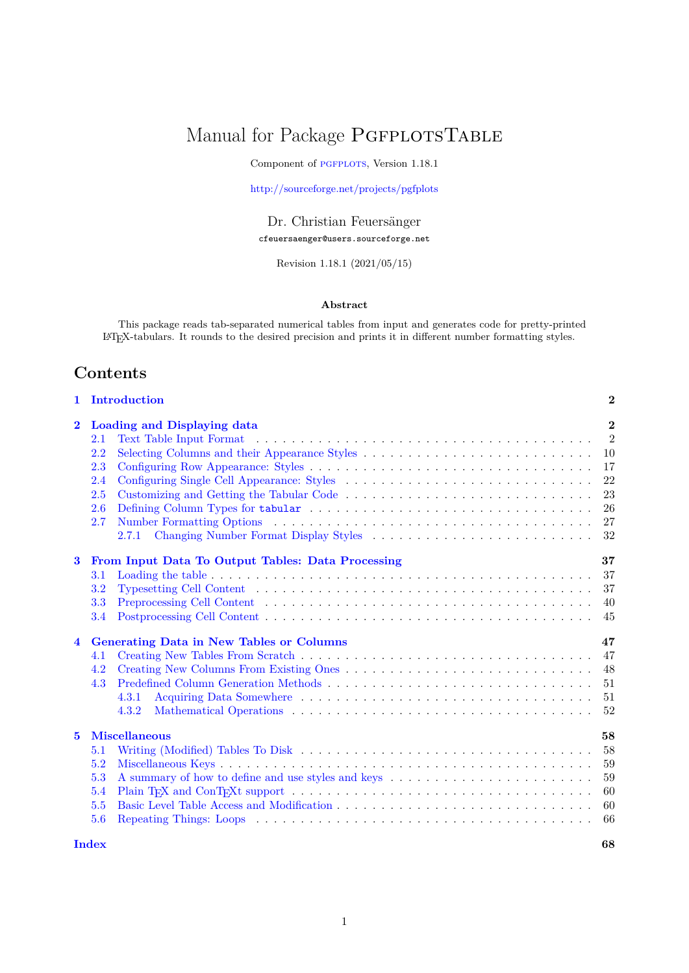# <span id="page-0-0"></span>Manual for Package PGFPLOTSTABLE

Component of PGFPLOTS, Version 1.18.1

<http://sourceforge.net/projects/pgfplots>

Dr. Christian Feuersänger cfeuersaenger@users.sourceforge.net

Revision 1.18.1 (2021/05/15)

# **Abstract**

This package reads tab-separated numerical tables from input and generates code for pretty-printed LATEX-tabulars. It rounds to the desired precision and prints it in different number formatting styles.

# **Contents**

| 1                       | Introduction                                                                                                                                                                                                                                           | $\bf{2}$                                                             |
|-------------------------|--------------------------------------------------------------------------------------------------------------------------------------------------------------------------------------------------------------------------------------------------------|----------------------------------------------------------------------|
| $\bf{2}$                | Loading and Displaying data<br>2.1<br>2.2<br>2.3<br>2.4<br>2.5<br>Customizing and Getting the Tabular Code<br>2.6<br>2.7<br>2.7.1 Changing Number Format Display Styles                                                                                | $\bf{2}$<br>$\overline{2}$<br>10<br>17<br>22<br>23<br>26<br>27<br>32 |
| $\bf{3}$                | From Input Data To Output Tables: Data Processing<br>3.1<br>3.2<br>Typesetting Cell Content $\dots \dots \dots \dots \dots \dots \dots \dots \dots \dots \dots \dots \dots \dots \dots \dots$<br>3.3<br>3.4                                            | 37<br>37<br>37<br>40<br>45                                           |
| $\overline{\mathbf{4}}$ | <b>Generating Data in New Tables or Columns</b><br>4.1<br>4.2<br>4.3<br>4.3.1<br>4.3.2                                                                                                                                                                 | 47<br>47<br>48<br>51<br>51<br>52                                     |
| $\mathbf{5}$            | <b>Miscellaneous</b><br>Writing (Modified) Tables To Disk $\ldots \ldots \ldots \ldots \ldots \ldots \ldots \ldots \ldots \ldots \ldots \ldots \ldots$<br>5.1<br>5.2<br>5.3<br>A summary of how to define and use styles and keys<br>5.4<br>5.5<br>5.6 | 58<br>58<br>59<br>59<br>60<br>60<br>66                               |
|                         | <b>Index</b>                                                                                                                                                                                                                                           | 68                                                                   |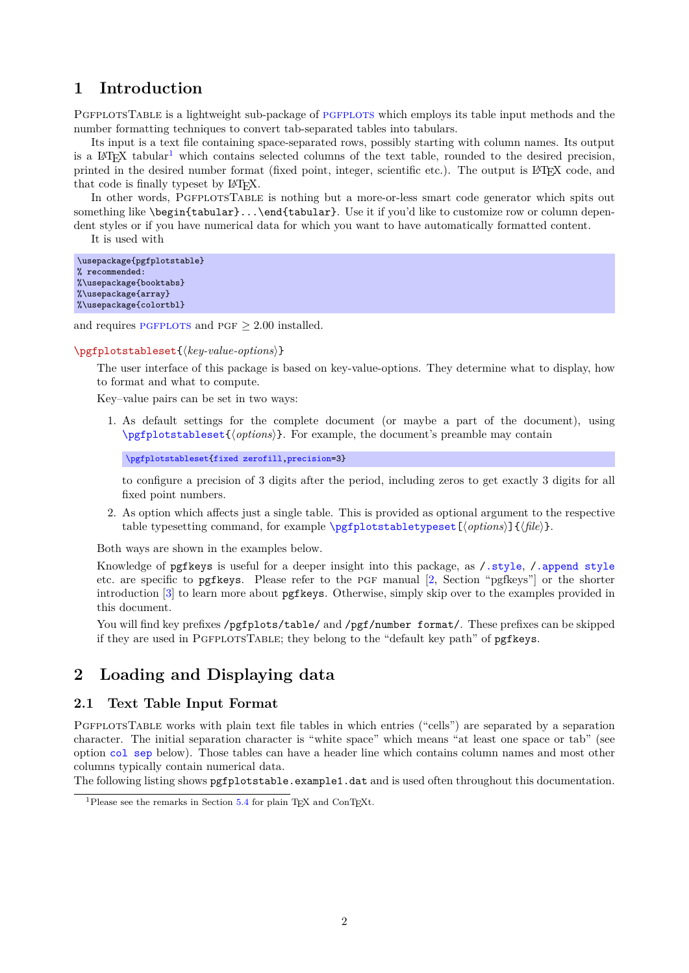# <span id="page-1-0"></span>**1 Introduction**

PGFPLOTSTABLE is a lightweight sub-package of PGFPLOTS which employs its table input methods and the number formatting techniques to convert tab-separated tables into tabulars.

Its input is a text file containing space-separated rows, possibly starting with column names. Its output is a LAT<sub>E</sub>X tabular<sup>[1](#page-1-3)</sup> which contains selected columns of the text table, rounded to the desired precision, printed in the desired number format (fixed point, integer, scientific etc.). The output is LATEX code, and that code is finally typeset by LAT<sub>EX</sub>.

In other words, PGFPLOTSTABLE is nothing but a more-or-less smart code generator which spits out something like \begin{tabular}...\end{tabular}. Use it if you'd like to customize row or column dependent styles or if you have numerical data for which you want to have automatically formatted content.

It is used with

```
\usepackage{pgfplotstable}
% recommended:
%\usepackage{booktabs}
%\usepackage{array}
%\usepackage{colortbl}
```
and requires PGFPLOTS and PGF  $\geq 2.00$  installed.

#### <span id="page-1-4"></span>\pgfplotstableset{ $\langle key-value-options \rangle$ }

The user interface of this package is based on key-value-options. They determine what to display, how to format and what to compute.

Key–value pairs can be set in two ways:

1. As default settings for the complete document (or maybe a part of the document), using [\pgfplotstableset{](#page-1-4)h*options*i}. For example, the document's preamble may contain

[\pgfplotstableset{](#page-1-4)[fixed zerofill](#page-26-1)[,precision=](#page-31-1)3}

to configure a precision of 3 digits after the period, including zeros to get exactly 3 digits for all fixed point numbers.

2. As option which affects just a single table. This is provided as optional argument to the respective table typesetting command, for example  $\pgfplotstableypeset[\langle options\rangle]{\langle file\rangle}.$ 

Both ways are shown in the examples below.

Knowledge of pgfkeys is useful for a deeper insight into this package, as [/.style](#page-58-2), [/.append style](#page-59-2) etc. are specific to pgfkeys. Please refer to the pgf manual [\[2,](#page-71-0) Section "pgfkeys"] or the shorter introduction [\[3\]](#page-71-1) to learn more about pgfkeys. Otherwise, simply skip over to the examples provided in this document.

You will find key prefixes /pgfplots/table/ and /pgf/number format/. These prefixes can be skipped if they are used in PgfplotsTable; they belong to the "default key path" of pgfkeys.

# <span id="page-1-1"></span>**2 Loading and Displaying data**

# <span id="page-1-2"></span>**2.1 Text Table Input Format**

PGFPLOTSTABLE works with plain text file tables in which entries ("cells") are separated by a separation character. The initial separation character is "white space" which means "at least one space or tab" (see option [col sep](#page-4-0) below). Those tables can have a header line which contains column names and most other columns typically contain numerical data.

The following listing shows pgfplotstable.example1.dat and is used often throughout this documentation.

<span id="page-1-3"></span><sup>&</sup>lt;sup>1</sup>Please see the remarks in Section  $5.4$  for plain TEX and ConTEXt.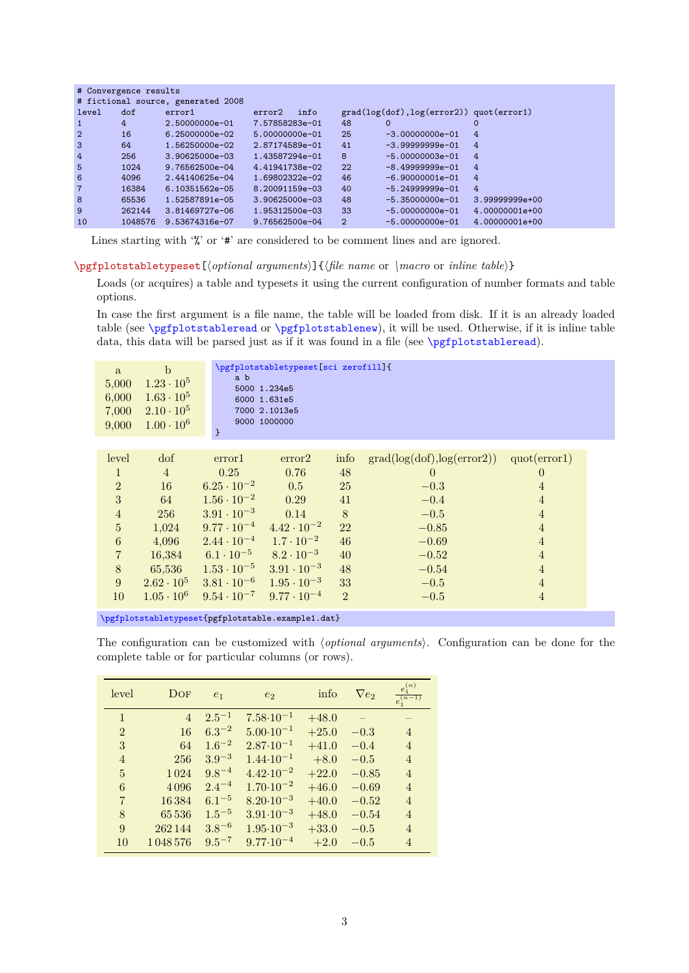| # Convergence results |                                    |                    |                    |                |                                            |                |  |
|-----------------------|------------------------------------|--------------------|--------------------|----------------|--------------------------------------------|----------------|--|
|                       | # fictional source, generated 2008 |                    |                    |                |                                            |                |  |
| level                 | dof                                | error1             | info<br>error2     |                | $grad(log(dot), log(error2))$ quot(error1) |                |  |
| 1                     | 4                                  | 2.50000000e-01     | 7.57858283e-01     | 48             | 0                                          |                |  |
| $\overline{2}$        | 16                                 | $6.25000000e-02$   | 5.00000000e-01     | 25             | $-3.00000000e-01$                          | 4              |  |
| 3                     | 64                                 | 1.56250000e-02     | 2.87174589e-01     | 41             | $-3.99999999e-01$                          | 4              |  |
| 4                     | 256                                | $3.90625000e - 03$ | 1.43587294e-01     | 8              | $-5.00000003e-01$                          | 4              |  |
| 5                     | 1024                               | $9.76562500e-04$   | 4.41941738e-02     | 22             | $-8.49999999e-01$                          | 4              |  |
| 6                     | 4096                               | 2.44140625e-04     | 1.69802322e-02     | 46             | $-6.90000001e-01$                          | 4              |  |
| $\overline{7}$        | 16384                              | 6.10351562e-05     | 8.20091159e-03     | 40             | $-5.24999999e-01$                          | 4              |  |
| 8                     | 65536                              | 1.52587891e-05     | $3.90625000e - 03$ | 48             | $-5.35000000e-01$                          | 3.99999999e+00 |  |
| 9                     | 262144                             | 3.81469727e-06     | 1.95312500e-03     | 33             | $-5.00000000e-01$                          | 4.00000001e+00 |  |
| 10                    | 1048576                            | 9.53674316e-07     | 9.76562500e-04     | $\overline{2}$ | $-5.00000000e-01$                          | 4.00000001e+00 |  |

Lines starting with '%' or '#' are considered to be comment lines and are ignored.

<span id="page-2-0"></span>\pgfplotstabletypeset[\*optional arguments*)]{\file name or \macro or *inline table*}}

Loads (or acquires) a table and typesets it using the current configuration of number formats and table options.

In case the first argument is a file name, the table will be loaded from disk. If it is an already loaded table (see [\pgfplotstableread](#page-3-0) or [\pgfplotstablenew](#page-46-2)), it will be used. Otherwise, if it is inline table data, this data will be parsed just as if it was found in a file (see [\pgfplotstableread](#page-3-0)).

The configuration can be customized with  $\langle$  optional arguments $\rangle$ . Configuration can be done for the complete table or for particular columns (or rows).

| level          | DOF            | e <sub>1</sub> | e <sub>2</sub>       | info    | $\nabla e_2$ | $e_1^{(n)}$<br>$e_1^{(n-1)}$ |
|----------------|----------------|----------------|----------------------|---------|--------------|------------------------------|
| $\mathbf{1}$   | $\overline{4}$ | $2.5^{-1}$     | $7.58 \cdot 10^{-1}$ | $+48.0$ |              |                              |
| $\overline{2}$ | 16             | $6.3^{-2}$     | $5.00 \cdot 10^{-1}$ | $+25.0$ | $-0.3$       | $\overline{4}$               |
| 3              | 64             | $1.6^{-2}$     | $2.87 \cdot 10^{-1}$ | $+41.0$ | $-0.4$       | $\overline{4}$               |
| $\overline{4}$ | 256            | $3.9^{-3}$     | $1.44 \cdot 10^{-1}$ | $+8.0$  | $-0.5$       | $\overline{4}$               |
| 5              | 1024           | $9.8^{-4}$     | $4.42 \cdot 10^{-2}$ | $+22.0$ | $-0.85$      | $\overline{4}$               |
| 6              | 4096           | $2.4^{-4}$     | $1.70 \cdot 10^{-2}$ | $+46.0$ | $-0.69$      | $\overline{4}$               |
| $\overline{7}$ | 16384          | $6.1^{-5}$     | $8.20 \cdot 10^{-3}$ | $+40.0$ | $-0.52$      | $\overline{4}$               |
| 8              | 65536          | $1.5^{-5}$     | $3.91 \cdot 10^{-3}$ | $+48.0$ | $-0.54$      | $\overline{4}$               |
| 9              | 262144         | $3.8^{-6}$     | $1.95 \cdot 10^{-3}$ | $+33.0$ | $-0.5$       | $\overline{4}$               |
| 10             | 1048576        | $9.5^{-7}$     | $9.77 \cdot 10^{-4}$ | $+2.0$  | $-0.5$       | $\overline{4}$               |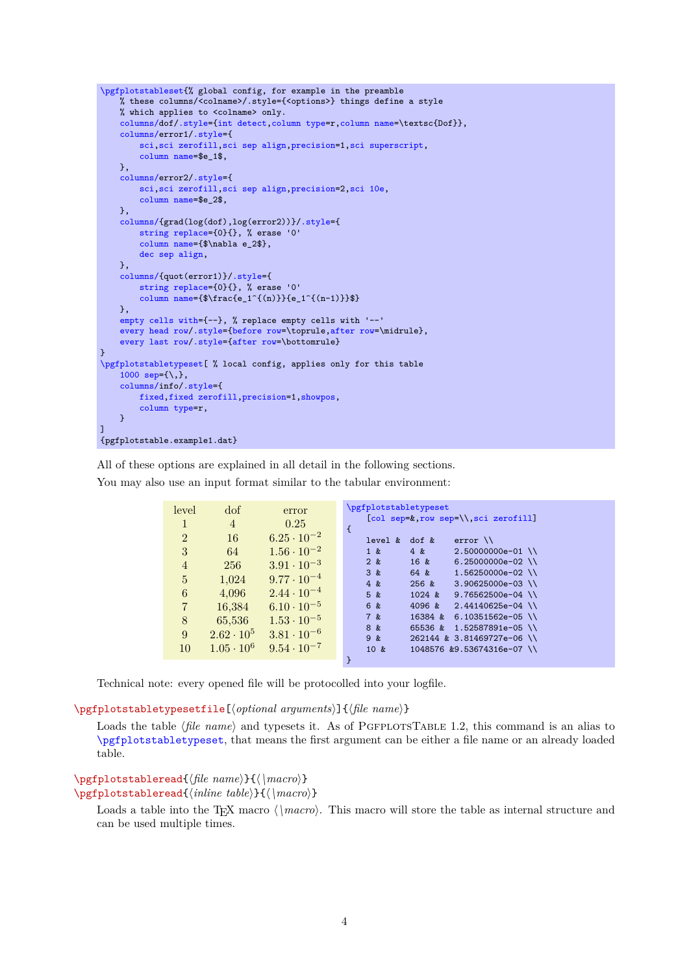```
\pgfplotstableset{% global config, for example in the preamble
    % these columns/<colname>/.style={<options>} things define a style
    % which applies to <colname> only.
    columns/dof/.style={int detect,column type=r,column name=\textsc{Dof}},
    columns/error1/.style={
        sci,sci zerofill,sci sep align,precision=1,sci superscript,
        column name=$e_1$,
    },
    columns/error2/.style={
        sci,sci zerofill,sci sep align,precision=2,sci 10e,
        column name=$e_2$,
    },
    columns/{grad(log(dof),log(error2))}/.style={
        string replace={0}{}, % erase '0'
        column name={$\nabla e_2$},
        dec sep align,
    },
    columns/{quot(error1)}/.style={
        string replace={0}{}, % erase '0'
        column name={$\frac{e_1^{(n)}}{e_1^{(n-1)}}$}
    },
    empty cells with={--}, % replace empty cells with '--'
    every head row/.style={before row=\toprule,after row=\midrule},
    every last row/.style={after row=\bottomrule}
}
\pgfplotstabletypeset[ % local config, applies only for this table
    1000 sep={\,},
    columns/info/.style={
        fixed,fixed zerofill,precision=1,showpos,
        column type=r,
    }
\overline{1}{pgfplotstable.example1.dat}
```
level dof error 1 4 0.25 2 16  $6.25 \cdot 10^{-2}$ 3 64  $1.56 \cdot 10^{-2}$ 4 256  $3.91 \cdot 10^{-3}$ 5 1,024 9.77 · 10−<sup>4</sup> 6  $4,096$   $2.44 \cdot 10^{-4}$ 7 16,384 6.10 · 10−<sup>5</sup> 8 65,536 1.53 · 10<sup>-5</sup> 9  $2.62 \cdot 10^5$   $3.81 \cdot 10^{-6}$  $10 \quad 1.05 \cdot 10^6 \quad 9.54 \cdot 10^{-7}$ [\pgfplotstabletypeset](#page-2-0) [\[col sep=](#page-4-0)&[,row sep=](#page-6-0)\\[,sci zerofill\]](#page-27-0) { level & dof & error  $\setminus$ <br>1 & 4 & 2.500000  $\begin{array}{ccc} 1 & k & 4 & k & 2.50000000e-01 \\ 2 & k & 16 & 6.25000000e-02 \end{array}$  $6.25000000e-02$ 3 & 64 & 1.56250000e-02 \\ 4 & 256 & 3.90625000e-03 \\  $5 k$  1024  $k$  9.76562500e-04 \\ 6 & 4096 & 2.44140625e-04 \\ 7 & 16384 & 6.10351562e-05 \\ 8 & 65536 & 1.52587891e-05 \\ 9 & 262144 & 3.81469727e-06 \\ 10 & 1048576 &9.53674316e-07 \\ }

All of these options are explained in all detail in the following sections. You may also use an input format similar to the tabular environment:

Technical note: every opened file will be protocolled into your logfile.

\pgfplotstabletypesetfile[\*optional arguments*}]{\*file name*}}

Loads the table (*file name*) and typesets it. As of PGFPLOTSTABLE 1.2, this command is an alias to [\pgfplotstabletypeset](#page-2-0), that means the first argument can be either a file name or an already loaded table.

<span id="page-3-0"></span>\pgfplotstableread{*\file name*}}{/\macro}} \pgfplotstableread{*\inline table*}}{*\\macro*}}

Loads a table into the T<sub>F</sub>X macro  $\langle \langle \rangle$  *macro*). This macro will store the table as internal structure and can be used multiple times.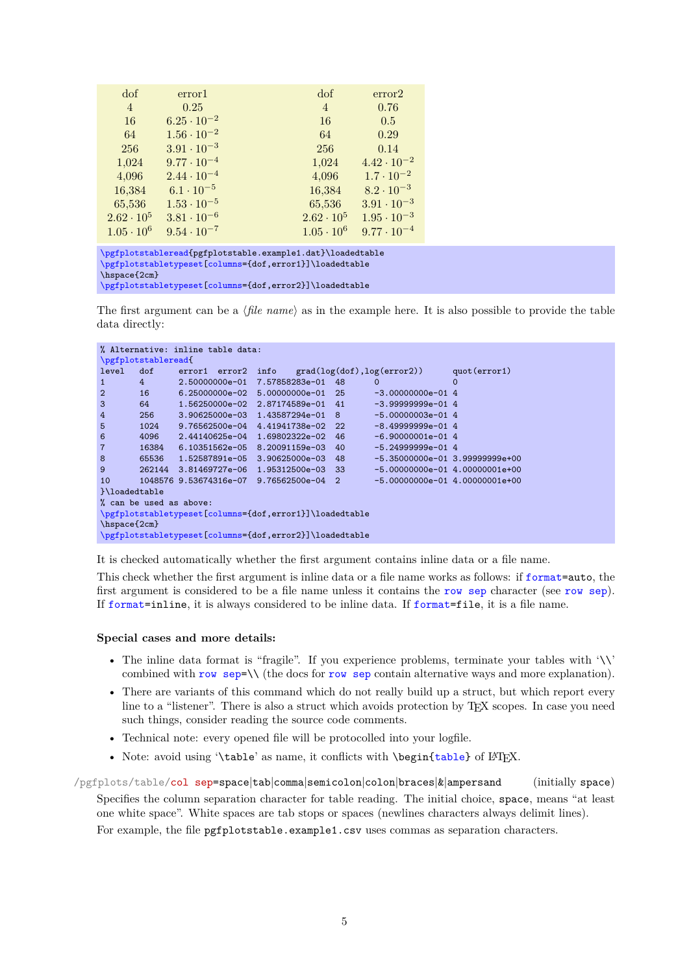| dof               | error1               | dof               | error2               |
|-------------------|----------------------|-------------------|----------------------|
| 4                 | 0.25                 | $\overline{4}$    | 0.76                 |
| 16                | $6.25 \cdot 10^{-2}$ | 16                | 0.5                  |
| 64                | $1.56 \cdot 10^{-2}$ | 64                | 0.29                 |
| 256               | $3.91 \cdot 10^{-3}$ | 256               | 0.14                 |
| 1,024             | $9.77 \cdot 10^{-4}$ | 1,024             | $4.42 \cdot 10^{-2}$ |
| 4,096             | $2.44 \cdot 10^{-4}$ | 4,096             | $1.7 \cdot 10^{-2}$  |
| 16,384            | $6.1 \cdot 10^{-5}$  | 16,384            | $8.2 \cdot 10^{-3}$  |
| 65,536            | $1.53 \cdot 10^{-5}$ | 65,536            | $3.91 \cdot 10^{-3}$ |
| $2.62 \cdot 10^5$ | $3.81 \cdot 10^{-6}$ | $2.62 \cdot 10^5$ | $1.95 \cdot 10^{-3}$ |
| $1.05 \cdot 10^6$ | $9.54 \cdot 10^{-7}$ | $1.05 \cdot 10^6$ | $9.77 \cdot 10^{-4}$ |

[\pgfplotstableread{](#page-3-0)pgfplotstable.example1.dat}\loadedtable [\pgfplotstabletypeset\[](#page-2-0)[columns=](#page-9-1){dof,error1}]\loadedtable \hspace{2cm} [\pgfplotstabletypeset\[](#page-2-0)[columns=](#page-9-1){dof,error2}]\loadedtable

The first argument can be a  $\langle$ *file name* $\rangle$  as in the example here. It is also possible to provide the table data directly:

```
% Alternative: inline table data:
\pgfplotstableread{
level dof error1 error2 info grad(log(dof),log(error2)) quot(error1)
1 4 2.50000000e-01 7.57858283e-01 48 0 0
                 6.25000000e-02 5.00000000e-01 25
3 64 1.56250000e-02 2.87174589e-01 41 -3.99999999e-01 4<br>4 256 3.90625000e-03 1.43587294e-01 8 -5.00000003e-01 4
4 256 3.90625000e-03 1.43587294e-01 8
5 1024 9.76562500e-04 4.41941738e-02 22 -8.49999999e-01 4
6 4096 2.44140625e-04 1.69802322e-02 46 -6.9000001e-01 4 7 16384 6.10351562e-05 8.20091159e-03 40 -5.2499999e-01 46.10351562e-05 8.20091159e-03 40
8 65536 1.52587891e-05 3.90625000e-03 48 -5.35000000e-01 3.99999999e+00
9 262144 3.81469727e-06 1.95312500e-03 33 -5.00000000e-01 4.00000001e+00<br>10 1048576 9.53674316e-07 9.76562500e-04 2 -5.00000000e-01 4.00000001e+00
        10 48576 9.53674316e-07 9.76562500e-04 2
}\loadedtable
% can be used as above:
\pgfplotstabletypeset[columns={dof,error1}]\loadedtable
\hspace{2cm}
\pgfplotstabletypeset[columns={dof,error2}]\loadedtable
```
It is checked automatically whether the first argument contains inline data or a file name.

This check whether the first argument is inline data or a file name works as follows: if [format=](#page-6-1)auto, the first argument is considered to be a file name unless it contains the [row sep](#page-6-0) character (see [row sep](#page-6-0)). If [format=](#page-6-1)inline, it is always considered to be inline data. If [format=](#page-6-1)file, it is a file name.

#### **Special cases and more details:**

- The inline data format is "fragile". If you experience problems, terminate your tables with '\\' combined with [row sep=](#page-6-0) $\setminus \$  (the docs for [row sep](#page-6-0) contain alternative ways and more explanation).
- There are variants of this command which do not really build up a struct, but which report every line to a "listener". There is also a struct which avoids protection by TEX scopes. In case you need such things, consider reading the source code comments.
- Technical note: every opened file will be protocolled into your logfile.
- Note: avoid using '\table' as name, it conflicts with \begin[{table}](#page-56-0) of LATEX.

<span id="page-4-0"></span>/pgfplots/table/col sep=space|tab|comma|semicolon|colon|braces|&|ampersand (initially space) Specifies the column separation character for table reading. The initial choice, space, means "at least one white space". White spaces are tab stops or spaces (newlines characters always delimit lines). For example, the file pgfplotstable.example1.csv uses commas as separation characters.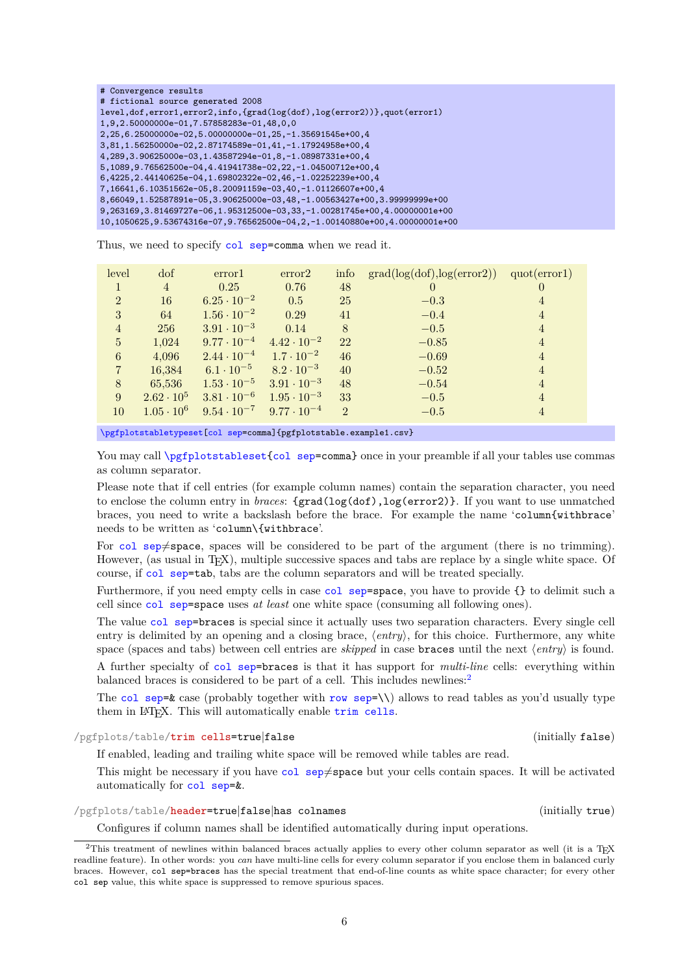| # Convergence results                                                         |
|-------------------------------------------------------------------------------|
| # fictional source generated 2008                                             |
| level, dof, error1, error2, info, {grad(log(dof), log(error2))}, quot(error1) |
| 1,9,2.50000000e-01,7.57858283e-01,48,0,0                                      |
| $2, 25, 6.250000000e-02, 5.00000000e-01, 25, -1.35691545e+00, 4$              |
| 3,81,1.56250000e-02,2.87174589e-01,41,-1.17924958e+00,4                       |
| 4, 289, 3.90625000e-03, 1.43587294e-01, 8, -1.08987331e+00, 4                 |
| 5,1089,9.76562500e-04,4.41941738e-02,22,-1.04500712e+00,4                     |
| 6,4225,2.44140625e-04,1.69802322e-02,46,-1.02252239e+00,4                     |
| 7,16641,6.10351562e-05,8.20091159e-03,40,-1.01126607e+00,4                    |
| 8,66049,1.52587891e-05,3.90625000e-03,48,-1.00563427e+00,3.99999999e+00       |
| 9,263169,3.81469727e-06,1.95312500e-03,33,-1.00281745e+00,4.00000001e+00      |
| 10,1050625,9.53674316e-07,9.76562500e-04,2,-1.00140880e+00,4.00000001e+00     |

Thus, we need to specify [col sep=](#page-4-0)comma when we read it.

| level          | dof               | error1               | error2               | info           | grad(log(dot), log(error2)) | quot(error1)   |
|----------------|-------------------|----------------------|----------------------|----------------|-----------------------------|----------------|
|                | $\overline{4}$    | 0.25                 | 0.76                 | 48             | $\left( \right)$            | $\theta$       |
| $\overline{2}$ | 16                | $6.25 \cdot 10^{-2}$ | 0.5                  | 25             | $-0.3$                      | 4              |
| 3              | 64                | $1.56 \cdot 10^{-2}$ | 0.29                 | 41             | $-0.4$                      | $\overline{4}$ |
| $\overline{4}$ | 256               | $3.91 \cdot 10^{-3}$ | 0.14                 | 8              | $-0.5$                      | $\overline{4}$ |
| $\overline{5}$ | 1,024             | $9.77 \cdot 10^{-4}$ | $4.42 \cdot 10^{-2}$ | 22             | $-0.85$                     | $\overline{4}$ |
| 6              | 4,096             | $2.44 \cdot 10^{-4}$ | $1.7 \cdot 10^{-2}$  | 46             | $-0.69$                     | $\overline{4}$ |
| $\overline{7}$ | 16,384            | $6.1 \cdot 10^{-5}$  | $8.2 \cdot 10^{-3}$  | 40             | $-0.52$                     | $\overline{4}$ |
| 8              | 65,536            | $1.53 \cdot 10^{-5}$ | $3.91 \cdot 10^{-3}$ | 48             | $-0.54$                     | $\overline{4}$ |
| 9              | $2.62 \cdot 10^5$ | $3.81 \cdot 10^{-6}$ | $1.95 \cdot 10^{-3}$ | 33             | $-0.5$                      | $\overline{4}$ |
| 10             | $1.05 \cdot 10^6$ | $9.54 \cdot 10^{-7}$ | $9.77 \cdot 10^{-4}$ | $\overline{2}$ | $-0.5$                      | $\overline{4}$ |

[\pgfplotstabletypeset\[](#page-2-0)[col sep=](#page-4-0)comma]{pgfplotstable.example1.csv}

You may call [\pgfplotstableset{](#page-1-4)[col sep=](#page-4-0)comma} once in your preamble if all your tables use commas as column separator.

Please note that if cell entries (for example column names) contain the separation character, you need to enclose the column entry in *braces*: {grad(log(dof),log(error2)}. If you want to use unmatched braces, you need to write a backslash before the brace. For example the name 'column{withbrace' needs to be written as 'column\{withbrace'.

For [col sep](#page-4-0) $\neq$ space, spaces will be considered to be part of the argument (there is no trimming). However, (as usual in T<sub>EX</sub>), multiple successive spaces and tabs are replace by a single white space. Of course, if [col sep=](#page-4-0)tab, tabs are the column separators and will be treated specially.

Furthermore, if you need empty cells in case [col sep=](#page-4-0)space, you have to provide {} to delimit such a cell since [col sep=](#page-4-0)space uses *at least* one white space (consuming all following ones).

The value [col sep=](#page-4-0)braces is special since it actually uses two separation characters. Every single cell entry is delimited by an opening and a closing brace,  $\langle entry \rangle$ , for this choice. Furthermore, any white space (spaces and tabs) between cell entries are *skipped* in case **braces** until the next  $\langle entry \rangle$  is found. A further specialty of [col sep=](#page-4-0)braces is that it has support for *multi-line* cells: everything within balanced braces is considered to be part of a cell. This includes newlines:<sup>[2](#page-5-0)</sup>

The [col sep=](#page-4-0) $\&$  case (probably together with [row sep=](#page-6-0)\\) allows to read tables as you'd usually type them in LAT<sub>E</sub>X. This will automatically enable [trim cells](#page-5-1).

<span id="page-5-1"></span>/pgfplots/table/trim cells=true|false (initially false)

If enabled, leading and trailing white space will be removed while tables are read.

This might be necessary if you have [col sep](#page-4-0) $\neq$ space but your cells contain spaces. It will be activated automatically for [col sep=](#page-4-0)&.

<span id="page-5-2"></span>/pgfplots/table/header=true|false|has colnames (initially true)

Configures if column names shall be identified automatically during input operations.

<span id="page-5-0"></span><sup>&</sup>lt;sup>2</sup>This treatment of newlines within balanced braces actually applies to every other column separator as well (it is a TEX readline feature). In other words: you *can* have multi-line cells for every column separator if you enclose them in balanced curly braces. However, col sep=braces has the special treatment that end-of-line counts as white space character; for every other col sep value, this white space is suppressed to remove spurious spaces.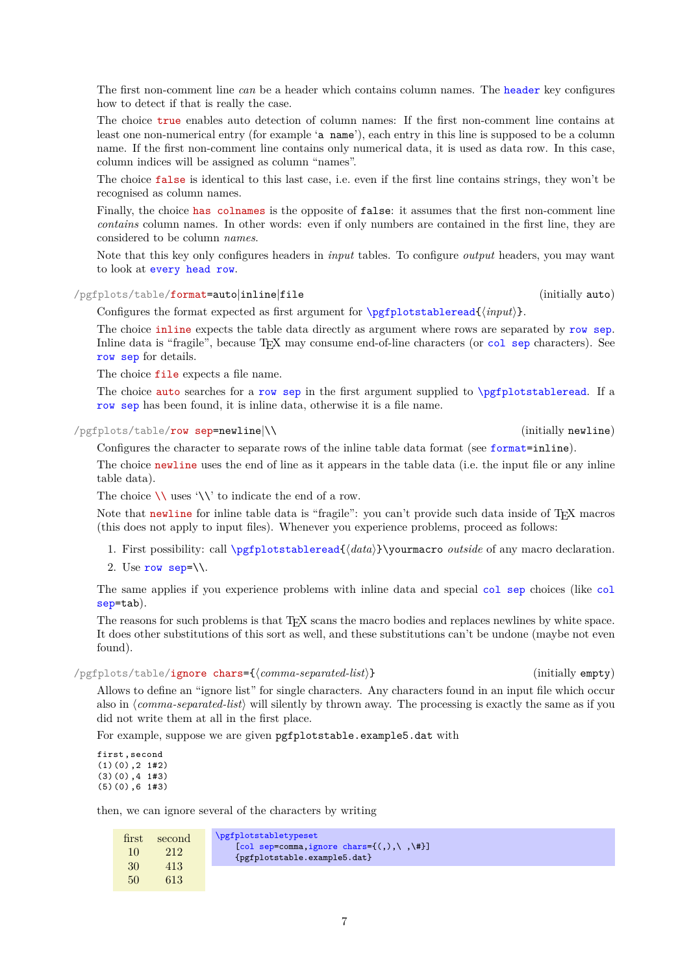The first non-comment line *can* be a header which contains column names. The [header](#page-5-2) key configures how to detect if that is really the case.

The choice true enables auto detection of column names: If the first non-comment line contains at least one non-numerical entry (for example 'a name'), each entry in this line is supposed to be a column name. If the first non-comment line contains only numerical data, it is used as data row. In this case, column indices will be assigned as column "names".

The choice false is identical to this last case, i.e. even if the first line contains strings, they won't be recognised as column names.

Finally, the choice has colnames is the opposite of false: it assumes that the first non-comment line *contains* column names. In other words: even if only numbers are contained in the first line, they are considered to be column *names*.

Note that this key only configures headers in *input* tables. To configure *output* headers, you may want to look at [every head row](#page-19-0).

<span id="page-6-1"></span>/pgfplots/table/format=auto|inline|file (initially auto)

Configures the format expected as first argument for  $\pgfplotstableread{\in\phi}.$  $\pgfplotstableread{\in\phi}.$ 

The choice inline expects the table data directly as argument where rows are separated by [row sep](#page-6-0). Inline data is "fragile", because T<sub>EX</sub> may consume end-of-line characters (or [col sep](#page-4-0) characters). See [row sep](#page-6-0) for details.

The choice file expects a file name.

The choice auto searches for a [row sep](#page-6-0) in the first argument supplied to [\pgfplotstableread](#page-3-0). If a [row sep](#page-6-0) has been found, it is inline data, otherwise it is a file name.

<span id="page-6-0"></span>/pgfplots/table/row sep=newline|\\ (initially newline)

Configures the character to separate rows of the inline table data format (see [format=](#page-6-1)inline).

The choice newline uses the end of line as it appears in the table data (i.e. the input file or any inline table data).

The choice  $\setminus \setminus$  uses  $\setminus \setminus \setminus'$  to indicate the end of a row.

Note that newline for inline table data is "fragile": you can't provide such data inside of TEX macros (this does not apply to input files). Whenever you experience problems, proceed as follows:

- 1. First possibility: call [\pgfplotstableread{](#page-3-0)\data}}\yourmacro *outside* of any macro declaration.
- 2. Use [row sep=](#page-6-0) $\mathcal{N}$ .

The same applies if you experience problems with inline data and special [col sep](#page-4-0) choices (like [col](#page-4-0) [sep=](#page-4-0)tab).

The reasons for such problems is that T<sub>EX</sub> scans the macro bodies and replaces newlines by white space. It does other substitutions of this sort as well, and these substitutions can't be undone (maybe not even found).

<span id="page-6-2"></span>/pgfplots/table/ignore chars={h*comma-separated-list*i} (initially empty)

Allows to define an "ignore list" for single characters. Any characters found in an input file which occur also in  $\langle comma-separated-list \rangle$  will silently by thrown away. The processing is exactly the same as if you did not write them at all in the first place.

For example, suppose we are given pgfplotstable.example5.dat with

first ,second (1)(0) ,2 1#2)  $(3)(0)$ , 4 1#3) (5)(0) ,6 1#3)

then, we can ignore several of the characters by writing

| first | second | <i><u><b>Npgfplotstabletypeset</b></u></i>                                |
|-------|--------|---------------------------------------------------------------------------|
| 10    | 212    | [col sep=comma, ignore chars= $\{(),\},\$<br>{pgfplotstable.example5.dat} |
| 30    | 413    |                                                                           |
| 50    | 613    |                                                                           |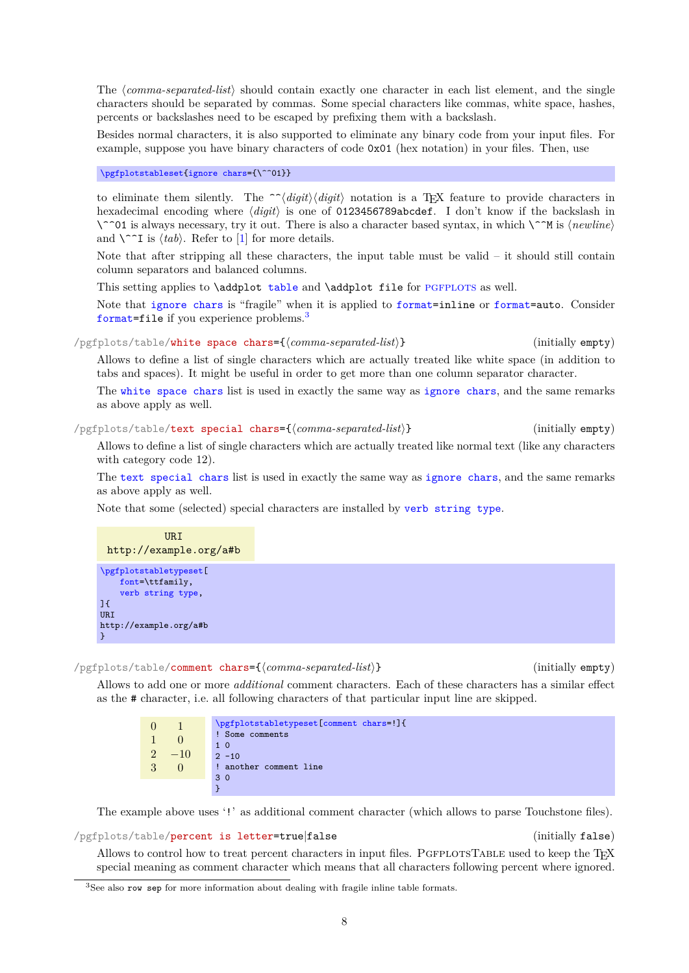The (comma-separated-list) should contain exactly one character in each list element, and the single characters should be separated by commas. Some special characters like commas, white space, hashes, percents or backslashes need to be escaped by prefixing them with a backslash.

Besides normal characters, it is also supported to eliminate any binary code from your input files. For example, suppose you have binary characters of code 0x01 (hex notation) in your files. Then, use

# [\pgfplotstableset{](#page-1-4)[ignore chars=](#page-6-2){\^^01}}

to eliminate them silently. The  $\hat{\phantom{a}}$ *digit* $\langle diqit \rangle$  notation is a TEX feature to provide characters in hexadecimal encoding where  $\langle diqit \rangle$  is one of 0123456789abcdef. I don't know if the backslash in \^^01 is always necessary, try it out. There is also a character based syntax, in which \^^M is  $\langle newline \rangle$ and  $\{\hat{ }$  is  $\langle tab \rangle$ . Refer to [\[1\]](#page-71-2) for more details.

Note that after stripping all these characters, the input table must be valid  $-$  it should still contain column separators and balanced columns.

This setting applies to \addplot [table](#page-56-0) and \addplot file for PGFPLOTS as well.

Note that [ignore chars](#page-6-2) is "fragile" when it is applied to [format=](#page-6-1)inline or [format=](#page-6-1)auto. Consider [format=](#page-6-1)file if you experience problems.<sup>[3](#page-7-0)</sup>

<span id="page-7-1"></span>/pgfplots/table/white space chars={h*comma-separated-list*i} (initially empty)

Allows to define a list of single characters which are actually treated like white space (in addition to tabs and spaces). It might be useful in order to get more than one column separator character.

The [white space chars](#page-7-1) list is used in exactly the same way as [ignore chars](#page-6-2), and the same remarks as above apply as well.

<span id="page-7-2"></span>/pgfplots/table/text special chars={h*comma-separated-list*i} (initially empty)

Allows to define a list of single characters which are actually treated like normal text (like any characters with category code 12).

The [text special chars](#page-7-2) list is used in exactly the same way as [ignore chars](#page-6-2), and the same remarks as above apply as well.

Note that some (selected) special characters are installed by [verb string type](#page-37-0).



# <span id="page-7-3"></span>/pgfplots/table/comment chars={h*comma-separated-list*i} (initially empty)

Allows to add one or more *additional* comment characters. Each of these characters has a similar effect as the # character, i.e. all following characters of that particular input line are skipped.

| $\Omega$       |       | \pgfplotstabletypeset[comment chars=!]{ |
|----------------|-------|-----------------------------------------|
|                |       | Some comments                           |
|                |       | $1\,0$                                  |
| 2 <sup>0</sup> | $-10$ | $2 - 10$                                |
| 3              |       | ! another comment line                  |
|                |       | 30                                      |
|                |       |                                         |

The example above uses '!' as additional comment character (which allows to parse Touchstone files).

/pgfplots/table/percent is letter=true|false (initially false)

Allows to control how to treat percent characters in input files. PGFPLOTSTABLE used to keep the TFX special meaning as comment character which means that all characters following percent where ignored.

<span id="page-7-0"></span><sup>&</sup>lt;sup>3</sup>See also row sep for more information about dealing with fragile inline table formats.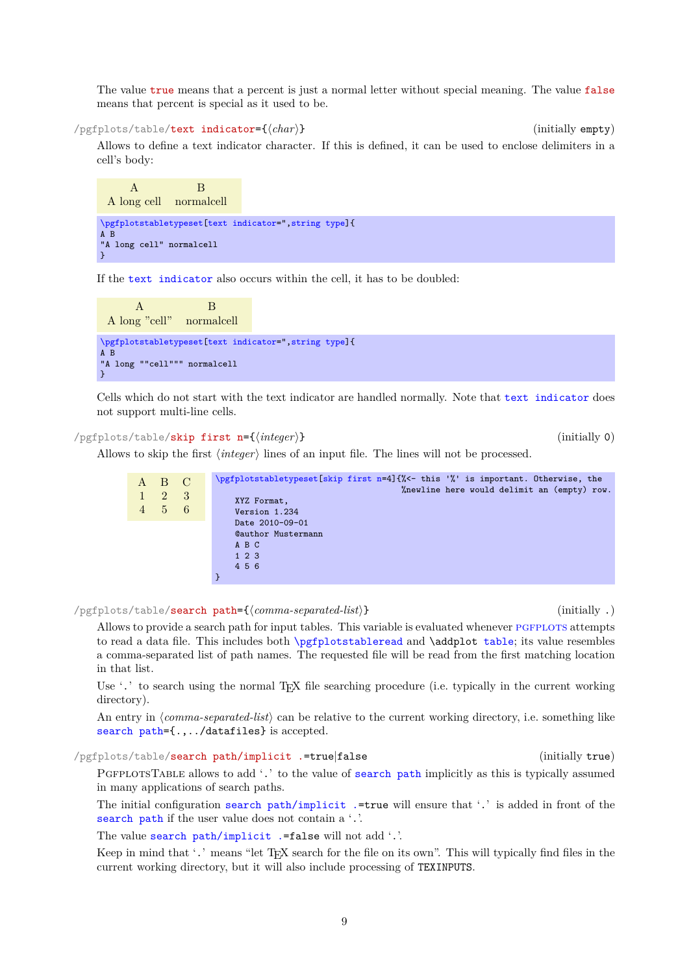The value true means that a percent is just a normal letter without special meaning. The value false means that percent is special as it used to be.

<span id="page-8-0"></span>/pgfplots/table/text indicator={h*char*i} (initially empty)

Allows to define a text indicator character. If this is defined, it can be used to enclose delimiters in a cell's body:

A B A long cell normalcell [\pgfplotstabletypeset\[](#page-2-0)[text indicator=](#page-8-0)"[,string type\]](#page-37-1){ A B "A long cell" normalcell }

If the [text indicator](#page-8-0) also occurs within the cell, it has to be doubled:

```
A B
 A long "cell" normalcell
\pgfplotstabletypeset[text indicator=",string type]{
A B
"A long ""cell""" normalcell
}
```
Cells which do not start with the text indicator are handled normally. Note that [text indicator](#page-8-0) does not support multi-line cells.

# <span id="page-8-1"></span>/pgfplots/table/skip first n={h*integer*i} (initially 0)

Allows to skip the first *(integer)* lines of an input file. The lines will not be processed.

| A B C<br>$2^{\circ}$<br>$5\quad 6$ | $\mathbf{3}$ | \pgfplotstabletypeset[skip first n=4]{%<- this '%' is important. Otherwise, the<br>%newline here would delimit an (empty) row.<br>XYZ Format,<br>Version 1.234 |
|------------------------------------|--------------|----------------------------------------------------------------------------------------------------------------------------------------------------------------|
|                                    |              | Date 2010-09-01                                                                                                                                                |
|                                    |              | <b>Cauthor Mustermann</b>                                                                                                                                      |
|                                    |              | A B C                                                                                                                                                          |
|                                    |              | $1\ 2\ 3$                                                                                                                                                      |
|                                    |              | 4 5 6                                                                                                                                                          |
|                                    |              |                                                                                                                                                                |

<span id="page-8-2"></span>/pgfplots/table/search path={h*comma-separated-list*i} (initially .)

Allows to provide a search path for input tables. This variable is evaluated whenever PGFPLOTS attempts to read a data file. This includes both [\pgfplotstableread](#page-3-0) and \addplot [table](#page-56-0); its value resembles a comma-separated list of path names. The requested file will be read from the first matching location in that list.

Use '.' to search using the normal T<sub>E</sub>X file searching procedure (i.e. typically in the current working directory).

An entry in *(comma-separated-list)* can be relative to the current working directory, i.e. something like [search path=](#page-8-2){.,../datafiles} is accepted.

```
/pgfplots/table/search path/implicit .=true|false (initially true)
```
PGFPLOTSTABLE allows to add '.' to the value of [search path](#page-8-2) implicitly as this is typically assumed in many applications of search paths.

The initial configuration [search path/implicit .=](#page-8-3)true will ensure that '.' is added in front of the [search path](#page-8-2) if the user value does not contain a '.'.

The value [search path/implicit .=](#page-8-3)false will not add '.'.

Keep in mind that '.' means "let T<sub>E</sub>X search for the file on its own". This will typically find files in the current working directory, but it will also include processing of TEXINPUTS.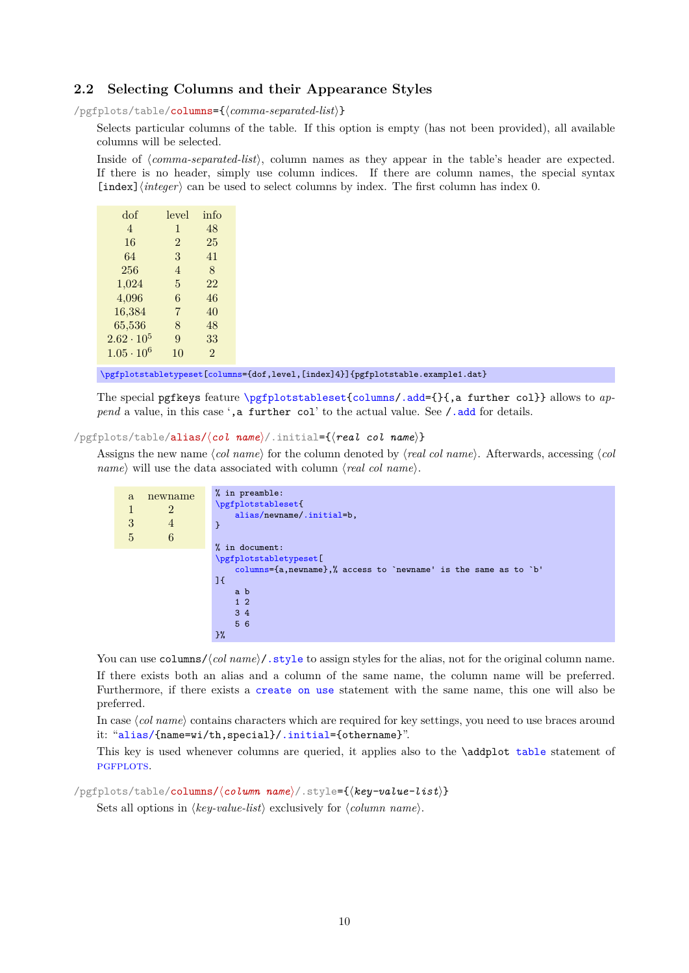# <span id="page-9-0"></span>**2.2 Selecting Columns and their Appearance Styles**

<span id="page-9-1"></span>/pgfplots/table/columns={h*comma-separated-list*i}

Selects particular columns of the table. If this option is empty (has not been provided), all available columns will be selected.

Inside of *(comma-separated-list*), column names as they appear in the table's header are expected. If there is no header, simply use column indices. If there are column names, the special syntax  $\lceil \text{index} \rceil \langle \text{integer} \rangle \rceil$  can be used to select columns by index. The first column has index 0.

| dof                 | level          | info           |
|---------------------|----------------|----------------|
| $\overline{4}$      | $\mathbf{1}$   | 48             |
| 16                  | $\overline{2}$ | 25             |
| 64                  | 3              | 41             |
| 256                 | 4              | 8              |
| 1,024               | 5              | 22             |
| 4,096               | 6              | 46             |
| 16,384              | 7              | 40             |
| 65,536              | 8              | 48             |
| $2.62 \cdot 10^{5}$ | 9              | 33             |
| $1.05 \cdot 10^{6}$ | 10             | $\mathfrak{D}$ |

preferred.

[\pgfplotstabletypeset\[](#page-2-0)[columns=](#page-9-1){dof,level,[index]4}]{pgfplotstable.example1.dat}

The special pgfkeys feature [\pgfplotstableset{](#page-1-4)[columns](#page-9-1)[/.add=](#page-59-3){}{,a further col}} allows to *append* a value, in this case ', a further col' to the actual value. See [/.add](#page-59-3) for details.

# <span id="page-9-2"></span>/pgfplots/table/alias/(*col name*)/.initial={(*real col name*)}

Assigns the new name  $\langle col \text{ name} \rangle$  for the column denoted by  $\langle \text{real} \text{ col} \text{ name} \rangle$ . Afterwards, accessing  $\langle col \text{ name} \rangle$ *name*) will use the data associated with column  $\langle real \ col \ name \rangle$ .

| a<br>3<br>5 | newname<br>$\overline{2}$<br>$\overline{4}$<br>6 | % in preamble:<br>\pgfplotstableset{<br>alias/newname/.initial=b,<br>ን |
|-------------|--------------------------------------------------|------------------------------------------------------------------------|
|             |                                                  | % in document:                                                         |
|             |                                                  | \pgfplotstabletypeset[                                                 |
|             |                                                  | columns= $\{a, newname\}$ ,% access to 'newname' is the same as to 'b' |
|             |                                                  | J {                                                                    |
|             |                                                  | a b                                                                    |
|             |                                                  | $1\quad2$                                                              |
|             |                                                  | $3\overline{4}$                                                        |
|             |                                                  | 5 6                                                                    |
|             |                                                  | }%                                                                     |

You can use columns//*col name*)[/.style](#page-58-2) to assign styles for the alias, not for the original column name. If there exists both an alias and a column of the same name, the column name will be preferred. Furthermore, if there exists a [create on use](#page-49-0) statement with the same name, this one will also be

In case (col name) contains characters which are required for key settings, you need to use braces around it: "[alias/{](#page-9-2)name=wi/th,special}[/.initial=](#page-59-4){othername}".

This key is used whenever columns are queried, it applies also to the \addplot [table](#page-56-0) statement of PGFPLOTS.

/pgfplots/table/columns/h*column name*i/.style={h*key-value-list*i}

Sets all options in  $\langle kev-value-list \rangle$  exclusively for  $\langle column \ name \rangle$ .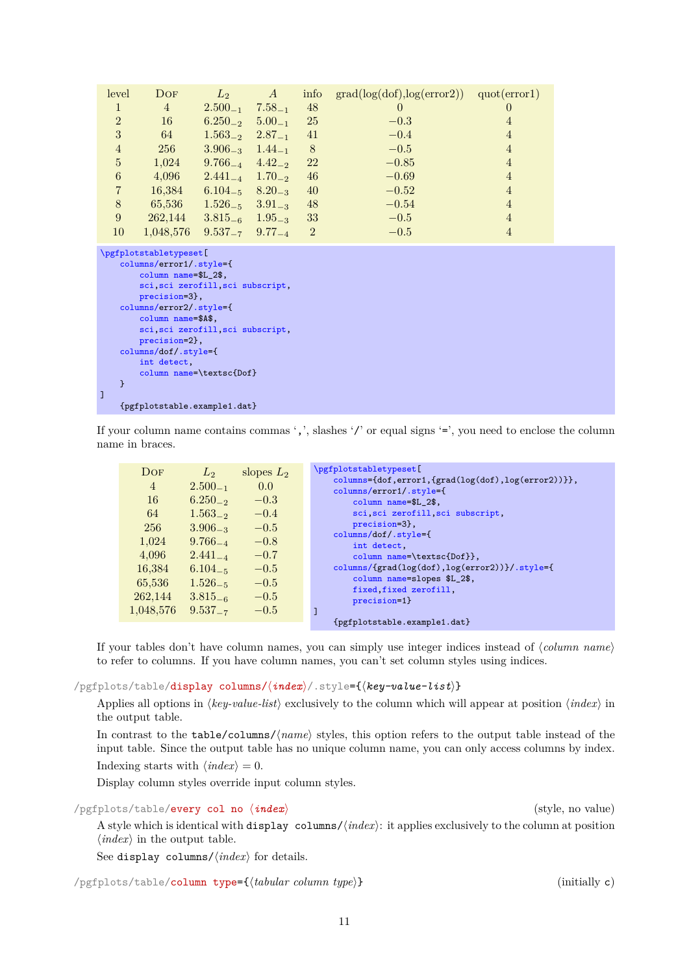| level                                                                                                                                                                                                                                                                                                           | DOF                            | $L_2$                    | A           | info           | $grad(log(dof), log(error2))$ $quot(error1)$ |                |
|-----------------------------------------------------------------------------------------------------------------------------------------------------------------------------------------------------------------------------------------------------------------------------------------------------------------|--------------------------------|--------------------------|-------------|----------------|----------------------------------------------|----------------|
| $\mathbf{1}$                                                                                                                                                                                                                                                                                                    | $\overline{4}$                 | $2.500_{-1}$             | $7.58_{-1}$ | 48             | $\overline{0}$                               | 0              |
| $\overline{2}$                                                                                                                                                                                                                                                                                                  | 16                             | $6.250_{-2}$ $5.00_{-1}$ |             | 25             | $-0.3$                                       | $\overline{4}$ |
| 3                                                                                                                                                                                                                                                                                                               | 64                             | $1.563_{-2}$ $2.87_{-1}$ |             | 41             | $-0.4$                                       | $\overline{4}$ |
| $\overline{4}$                                                                                                                                                                                                                                                                                                  | 256                            | $3.906_{-3}$ $1.44_{-1}$ |             | 8              | $-0.5$                                       | $\overline{4}$ |
| $\overline{5}$                                                                                                                                                                                                                                                                                                  | 1,024                          | $9.766_{-4}$ $4.42_{-2}$ |             | 22             | $-0.85$                                      | $\overline{4}$ |
| $\,6\,$                                                                                                                                                                                                                                                                                                         | 4,096                          | $2.441_{-4}$ $1.70_{-2}$ |             | 46             | $-0.69$                                      | $\overline{4}$ |
| $\overline{7}$                                                                                                                                                                                                                                                                                                  | 16,384                         | $6.104_{-5}$ $8.20_{-3}$ |             | 40             | $-0.52$                                      | $\overline{4}$ |
| $\,8\,$                                                                                                                                                                                                                                                                                                         | 65,536                         | $1.526_{-5}$ $3.91_{-3}$ |             | 48             | $-0.54$                                      | $\overline{4}$ |
| 9                                                                                                                                                                                                                                                                                                               | 262,144                        | $3.815_{-6}$ $1.95_{-3}$ |             | 33             | $-0.5$                                       | $\overline{4}$ |
| 10                                                                                                                                                                                                                                                                                                              | 1,048,576                      | $9.537_{-7}$ $9.77_{-4}$ |             | $\overline{2}$ | $-0.5$                                       | $\overline{4}$ |
| \pgfplotstabletypeset [<br>columns/error1/.style={<br>column name=\$L 2\$,<br>sci, sci zerofill, sci subscript,<br>precision=3},<br>columns/error2/.style={<br>column name=\$A\$,<br>sci, sci zerofill, sci subscript,<br>precision=2},<br>columns/dof/.style={<br>int detect,<br>column name=\textsc{Dof}<br>} |                                |                          |             |                |                                              |                |
| I                                                                                                                                                                                                                                                                                                               | ${pffplotstable.cxample1.dat}$ |                          |             |                |                                              |                |

If your column name contains commas ',', slashes '/' or equal signs  $=$ ', you need to enclose the column name in braces.

| DOF<br>4<br>16<br>64<br>256<br>1,024<br>4,096<br>16,384<br>65,536<br>262,144<br>1,048,576 | L <sub>2</sub><br>$2.500_{-1}$<br>$6.250_{-2}$<br>$1.563_{-2}$<br>$3.906_{-3}$<br>$9.766_{-4}$<br>$2.441_{-4}$<br>$6.104_{-5}$<br>$1.526_{-5}$<br>$3.815_{-6}$<br>$9.537_{-7}$ | slopes $L_2$<br>0.0<br>$-0.3$<br>$-0.4$<br>$-0.5$<br>$-0.8$<br>$-0.7$<br>$-0.5$<br>$-0.5$<br>$-0.5$<br>$-0.5$ | \pgfplotstabletypeset [<br>$\text{columns}=\{\text{dof},\text{error1},\{\text{grad}(\text{log}(\text{dof}),\text{log}(\text{error2}))\}\},$<br>columns/error1/.style={<br>column name=\$L 2\$,<br>sci, sci zerofill, sci subscript,<br>precision=3},<br>columns/dof/.style={<br>int detect,<br>column name=\textsc{Dof}},<br>columns/{grad(log(dof),log(error2))}/.style={<br>column name=slopes \$L_2\$,<br>fixed, fixed zerofill,<br>precision=1}<br>{pgfplotstable.example1.dat} |
|-------------------------------------------------------------------------------------------|--------------------------------------------------------------------------------------------------------------------------------------------------------------------------------|---------------------------------------------------------------------------------------------------------------|-------------------------------------------------------------------------------------------------------------------------------------------------------------------------------------------------------------------------------------------------------------------------------------------------------------------------------------------------------------------------------------------------------------------------------------------------------------------------------------|
|                                                                                           |                                                                                                                                                                                |                                                                                                               |                                                                                                                                                                                                                                                                                                                                                                                                                                                                                     |

If your tables don't have column names, you can simply use integer indices instead of  $\langle column \ name \rangle$ to refer to columns. If you have column names, you can't set column styles using indices.

/pgfplots/table/display columns/ $\langle \textit{index} \rangle$ /.style={ $\langle \textit{key-value-list} \rangle$ }

Applies all options in  $\langle kev-value-list \rangle$  exclusively to the column which will appear at position  $\langle index \rangle$  in the output table.

In contrast to the table/columns/ $\langle name \rangle$  styles, this option refers to the output table instead of the input table. Since the output table has no unique column name, you can only access columns by index. Indexing starts with  $\langle \text{index} \rangle = 0$ .

Display column styles override input column styles.

/pgfplots/table/every col no  $\langle \textit{index} \rangle$  (style, no value)

A style which is identical with display columns/ $\langle \text{index} \rangle$ : it applies exclusively to the column at position  $\langle index \rangle$  in the output table.

See display columns/ $\langle \text{index} \rangle$  for details.

<span id="page-10-0"></span>/pgfplots/table/column type={h*tabular column type*i} (initially c)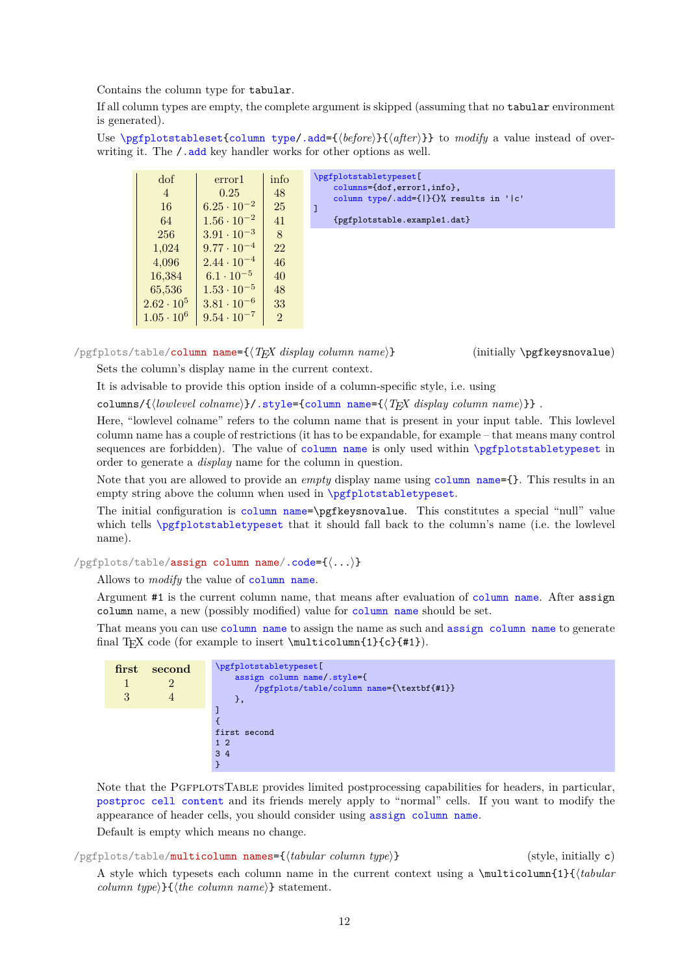Contains the column type for tabular.

If all column types are empty, the complete argument is skipped (assuming that no tabular environment is generated).

Use [\pgfplotstableset{](#page-1-4)[column type/](#page-10-0)[.add=](#page-59-3){\before}}{\after}}} to *modify* a value instead of overwriting it. The  $\ell$  add key handler works for other options as well.



<span id="page-11-0"></span>/pgfplots/table/column name={h*TEX display column name*i} (initially \pgfkeysnovalue) Sets the column's display name in the current context.

It is advisable to provide this option inside of a column-specific style, i.e. using

columns/{*(lowlevel colname*)}[/.style=](#page-58-2)[{column name=](#page-11-0){ $\{TRX\ displaysub>displayname{map}\}$ .

Here, "lowlevel colname" refers to the column name that is present in your input table. This lowlevel column name has a couple of restrictions (it has to be expandable, for example – that means many control sequences are forbidden). The value of [column name](#page-11-0) is only used within [\pgfplotstabletypeset](#page-2-0) in order to generate a *display* name for the column in question.

Note that you are allowed to provide an *empty* display name using [column name=](#page-11-0){}. This results in an empty string above the column when used in [\pgfplotstabletypeset](#page-2-0).

The initial configuration is [column name=](#page-11-0)\pgfkeysnovalue. This constitutes a special "null" value which tells  $\pgfplotstabletypeset$  that it should fall back to the column's name (i.e. the lowlevel name).

<span id="page-11-1"></span>/pgfplots/table/assign column name[/.code=](#page-59-5){h*...*i}

Allows to *modify* the value of [column name](#page-11-0).

Argument #1 is the current column name, that means after evaluation of [column name](#page-11-0). After assign column name, a new (possibly modified) value for [column name](#page-11-0) should be set.

That means you can use [column name](#page-11-0) to assign the name as such and [assign column name](#page-11-1) to generate final T<sub>E</sub>X code (for example to insert  $\mu\text{1}(c){+1}$ ).

| first<br>3 | second | \pgfplotstabletypeset[<br>assign column name/.style={<br>/pgfplots/table/column name={\textbf{#1}}<br>}, |
|------------|--------|----------------------------------------------------------------------------------------------------------|
|            |        |                                                                                                          |
|            |        |                                                                                                          |
|            |        | first second                                                                                             |
|            |        | $1\quad2$                                                                                                |
|            |        | $3\overline{4}$                                                                                          |
|            |        |                                                                                                          |

Note that the PGFPLOTSTABLE provides limited postprocessing capabilities for headers, in particular, [postproc cell content](#page-44-1) and its friends merely apply to "normal" cells. If you want to modify the appearance of header cells, you should consider using [assign column name](#page-11-1).

Default is empty which means no change.

/pgfplots/table/multicolumn names={h*tabular column type*i} (style, initially c)

A style which typesets each column name in the current context using a  $\mathrm{multicolumn{1}{\{tabular}}}$ *column type* $\{\langle the \ column \ name \rangle\}$  statement.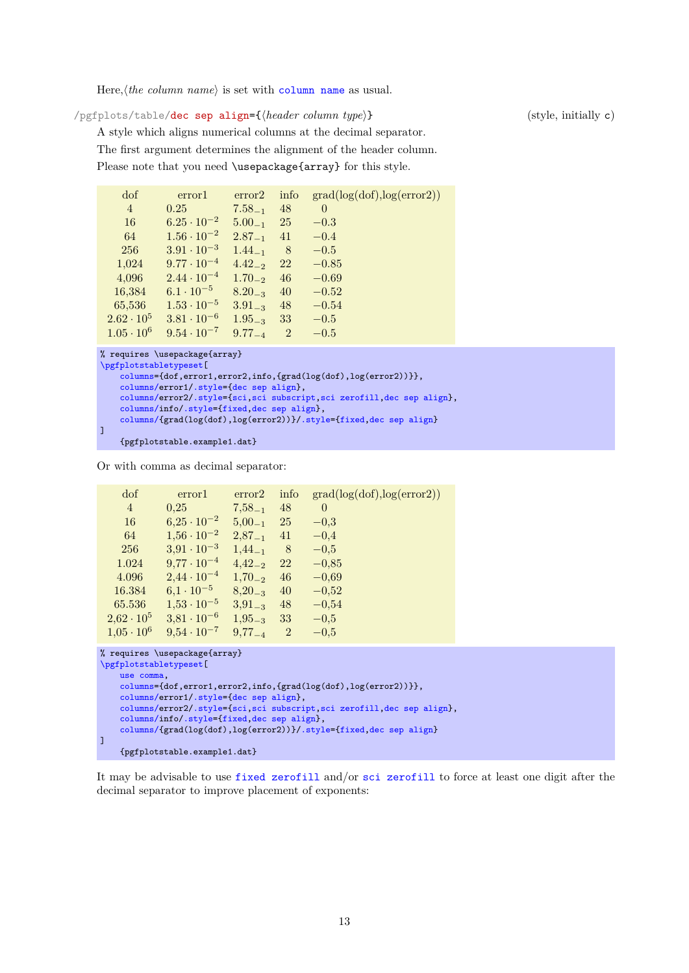Here,  $\langle$ *the [column name](#page-11-0)* $\rangle$  is set with column name as usual.

<span id="page-12-0"></span>/pgfplots/table/dec sep align={*{header column type*}} (style, initially c)

A style which aligns numerical columns at the decimal separator. The first argument determines the alignment of the header column. Please note that you need \usepackage{array} for this style.

| dof               | error1               | error2      | info           | grad(log(dot), log(error2)) |
|-------------------|----------------------|-------------|----------------|-----------------------------|
| $\overline{4}$    | 0.25                 | $7.58_{-1}$ | 48             | $\Omega$                    |
| 16                | $6.25 \cdot 10^{-2}$ | $5.00_{-1}$ | 25             | $-0.3$                      |
| 64                | $1.56 \cdot 10^{-2}$ | $2.87_{-1}$ | 41             | $-0.4$                      |
| 256               | $3.91 \cdot 10^{-3}$ | $1.44_{-1}$ | 8 <sup>8</sup> | $-0.5$                      |
| 1,024             | $9.77 \cdot 10^{-4}$ | $4.42_{-2}$ | 22             | $-0.85$                     |
| 4,096             | $2.44 \cdot 10^{-4}$ | $1.70_{-2}$ | 46             | $-0.69$                     |
| 16,384            | $6.1 \cdot 10^{-5}$  | $8.20_{-3}$ | 40             | $-0.52$                     |
| 65,536            | $1.53 \cdot 10^{-5}$ | $3.91_{-3}$ | 48             | $-0.54$                     |
| $2.62 \cdot 10^5$ | $3.81 \cdot 10^{-6}$ | $1.95_{-3}$ | 33             | $-0.5$                      |
| $1.05 \cdot 10^6$ | $9.54 \cdot 10^{-7}$ | $9.77_{-4}$ | $\overline{2}$ | $-0.5$                      |
|                   |                      |             |                |                             |

```
% requires \usepackage{array}
\pgfplotstabletypeset[
    columns={dof,error1,error2,info,{grad(log(dof),log(error2))}},
    columns/error1/.style={dec sep align},
    columns/error2/.style={sci,sci subscript,sci zerofill,dec sep align},
    columns/info/.style={fixed,dec sep align},
    columns/{grad(log(dof),log(error2))}/.style={fixed,dec sep align}
]
    {pgfplotstable.example1.dat}
```
Or with comma as decimal separator:

| dof               | error1               | error <sub>2</sub> | info           | grad(log(dot), log(error2)) |
|-------------------|----------------------|--------------------|----------------|-----------------------------|
| $\overline{4}$    | 0.25                 | $7,58_{-1}$        | 48             | $\overline{0}$              |
| 16                | $6,25 \cdot 10^{-2}$ | $5,00_{-1}$        | 25             | $-0,3$                      |
| 64                | $1,56 \cdot 10^{-2}$ | $2,87_{-1}$        | 41             | $-0,4$                      |
| 256               | $3,91 \cdot 10^{-3}$ | $1,44_{-1}$        | 8              | $-0,5$                      |
| 1.024             | $9,77 \cdot 10^{-4}$ | $4,42_{-2}$        | 22             | $-0.85$                     |
| 4.096             | $2,44 \cdot 10^{-4}$ | $1,70_{-2}$        | 46             | $-0,69$                     |
| 16.384            | $6.1 \cdot 10^{-5}$  | $8,20_{-3}$        | 40             | $-0,52$                     |
| 65.536            | $1,53 \cdot 10^{-5}$ | $3,91_{-3}$        | 48             | $-0,54$                     |
| $2,62 \cdot 10^5$ | $3,81 \cdot 10^{-6}$ | $1.95_{-3}$        | 33             | $-0.5$                      |
| $1,05 \cdot 10^6$ | $9.54 \cdot 10^{-7}$ | $9,77_{-4}$        | $\overline{2}$ | $-0.5$                      |

```
% requires \usepackage{array}
\pgfplotstabletypeset[
    use comma,
    columns={dof,error1,error2,info,{grad(log(dof),log(error2))}},
    columns/error1/.style={dec sep align},
    columns/error2/.style={sci,sci subscript,sci zerofill,dec sep align},
    columns/info/.style={fixed,dec sep align},
    columns/{grad(log(dof),log(error2))}/.style={fixed,dec sep align}
\overline{1}{pgfplotstable.example1.dat}
```
It may be advisable to use [fixed zerofill](#page-26-1) and/or [sci zerofill](#page-27-0) to force at least one digit after the decimal separator to improve placement of exponents: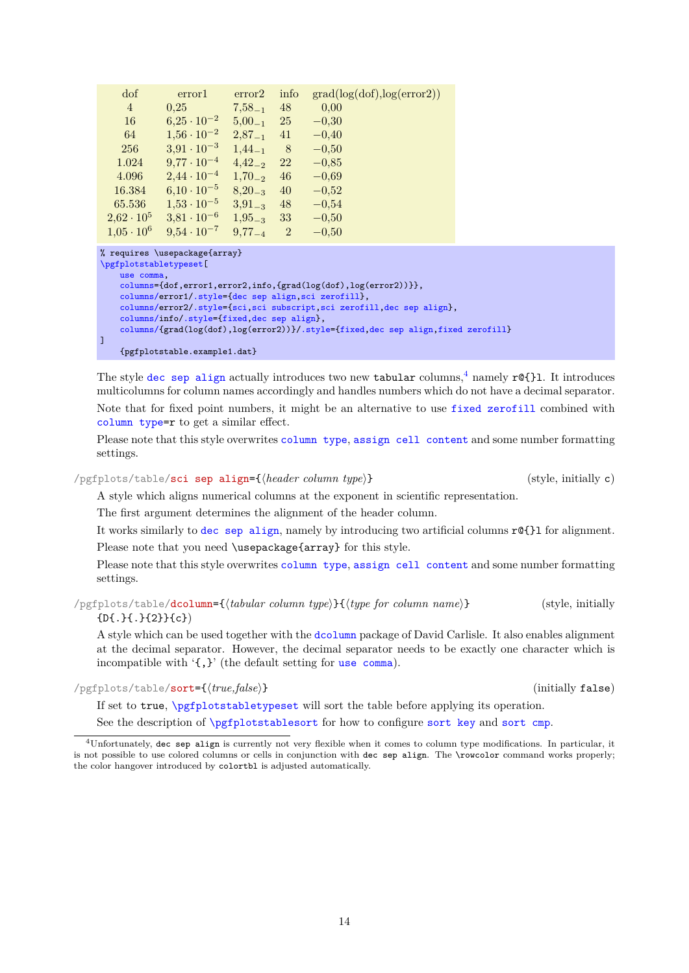| dof                                                                                                                                      | error1                                               | error2      | info           | grad(log(dot), log(error2)) |  |  |  |
|------------------------------------------------------------------------------------------------------------------------------------------|------------------------------------------------------|-------------|----------------|-----------------------------|--|--|--|
| $\overline{4}$                                                                                                                           | 0.25                                                 | $7.58_{-1}$ | 48             | 0.00                        |  |  |  |
| 16                                                                                                                                       | $6,25 \cdot 10^{-2}$                                 | $5.00_{-1}$ | 25             | $-0.30$                     |  |  |  |
| 64                                                                                                                                       | $1.56 \cdot 10^{-2}$                                 | $2,87_{-1}$ | 41             | $-0,40$                     |  |  |  |
| 256                                                                                                                                      | $3.91 \cdot 10^{-3}$                                 | $1,44_{-1}$ | -8             | $-0.50$                     |  |  |  |
| 1.024                                                                                                                                    | $9,77 \cdot 10^{-4}$                                 | $4.42_{-2}$ | 22             | $-0,85$                     |  |  |  |
| 4.096                                                                                                                                    | $2,44 \cdot 10^{-4}$                                 | $1,70_{-2}$ | 46             | $-0,69$                     |  |  |  |
| 16.384                                                                                                                                   | $6.10 \cdot 10^{-5}$                                 | $8,20_{-3}$ | 40             | $-0,52$                     |  |  |  |
| 65.536                                                                                                                                   | $1,53 \cdot 10^{-5}$                                 | $3.91_{-3}$ | 48             | $-0.54$                     |  |  |  |
| $2,62 \cdot 10^5$                                                                                                                        | $3,81 \cdot 10^{-6}$                                 | $1,95_{-3}$ | 33             | $-0,50$                     |  |  |  |
| $1.05 \cdot 10^6$                                                                                                                        | $9.54 \cdot 10^{-7}$                                 | $9,77_{-4}$ | $\overline{2}$ | $-0.50$                     |  |  |  |
| % requires \usepackage{array}<br>\pgfplotstabletypeset [                                                                                 |                                                      |             |                |                             |  |  |  |
| use comma,                                                                                                                               |                                                      |             |                |                             |  |  |  |
| $\text{columns}=\{\text{dof},\text{error1},\text{error2},\text{info},\text{grad}(\text{log}(\text{dof}),\text{log}(\text{error2}))\}\},$ |                                                      |             |                |                             |  |  |  |
|                                                                                                                                          | columns/error1/.style={dec sep align, sci zerofill}, |             |                |                             |  |  |  |
| columns/error2/.style={sci,sci subscript,sci zerofill, dec sep align},                                                                   |                                                      |             |                |                             |  |  |  |

#### [columns/i](#page-9-1)nfo[/.style=](#page-58-2)[{fixed,](#page-26-2)[dec sep align}](#page-12-0), [columns/{](#page-9-1)grad(log(dof),log(error2))}[/.style=](#page-58-2)[{fixed](#page-26-2)[,dec sep align](#page-12-0)[,fixed zerofill}](#page-26-1)

{pgfplotstable.example1.dat}

 $\overline{1}$ 

The style [dec sep align](#page-12-0) actually introduces two new tabular columns,<sup>[4](#page-13-1)</sup> namely  $r@{}$ l. It introduces multicolumns for column names accordingly and handles numbers which do not have a decimal separator. Note that for fixed point numbers, it might be an alternative to use [fixed zerofill](#page-26-1) combined with [column type=](#page-10-0)r to get a similar effect.

Please note that this style overwrites [column type](#page-10-0), [assign cell content](#page-36-3) and some number formatting settings.

<span id="page-13-0"></span>/pgfplots/table/sci sep align={*header column type*}} (style, initially c)

A style which aligns numerical columns at the exponent in scientific representation.

The first argument determines the alignment of the header column.

It works similarly to [dec sep align](#page-12-0), namely by introducing two artificial columns r@{}l for alignment. Please note that you need \usepackage{array} for this style.

Please note that this style overwrites [column type](#page-10-0), [assign cell content](#page-36-3) and some number formatting settings.

/pgfplots/table/dcolumn={h*tabular column type*i}{h*type for column name*i} (style, initially {D{.}{.}{2}}{c})

<span id="page-13-2"></span>A style which can be used together with the [dcolumn](#page-13-2) package of David Carlisle. It also enables alignment at the decimal separator. However, the decimal separator needs to be exactly one character which is incompatible with '{,}' (the default setting for [use comma](#page-33-0)).

<span id="page-13-3"></span>/pgfplots/table/sort={*{true,false}*} (initially false)

If set to true, [\pgfplotstabletypeset](#page-2-0) will sort the table before applying its operation. See the description of  $\sqrt{pfplotstablesort}$  for how to configure [sort key](#page-63-1) and [sort cmp](#page-63-2).

<span id="page-13-1"></span><sup>4</sup>Unfortunately, dec sep align is currently not very flexible when it comes to column type modifications. In particular, it is not possible to use colored columns or cells in conjunction with dec sep align. The \rowcolor command works properly; the color hangover introduced by colortbl is adjusted automatically.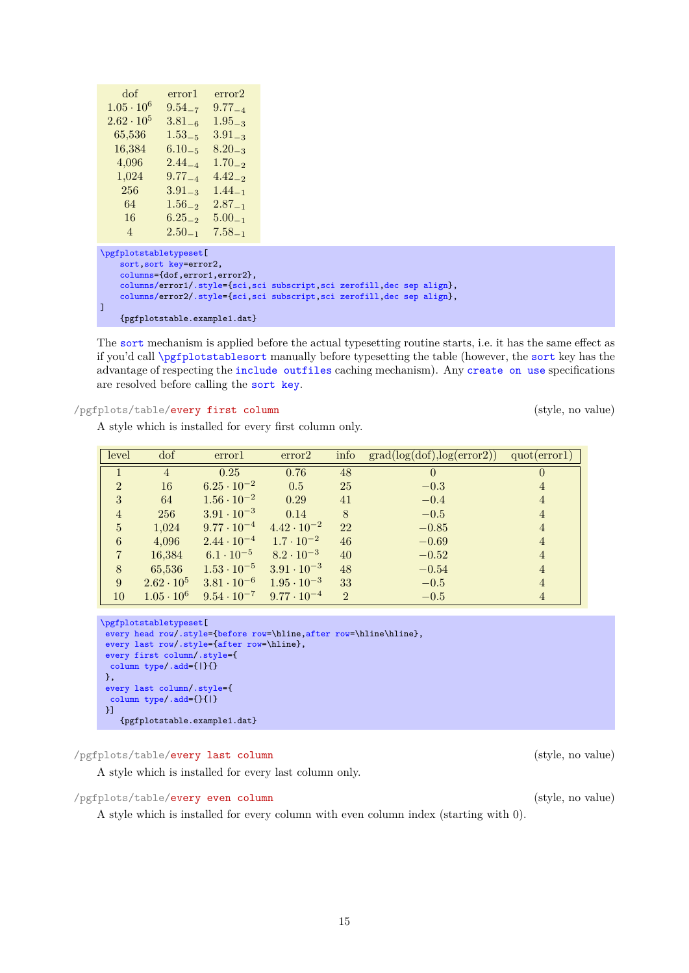15

16 6.25<sup>−</sup><sup>2</sup> 5.00<sup>−</sup><sup>1</sup> 4 2.50<sup>−</sup><sup>1</sup> 7.58<sup>−</sup><sup>1</sup> [\pgfplotstabletypeset\[](#page-2-0) [sort,](#page-13-3)[sort key=](#page-63-1)error2, [columns=](#page-9-1){dof,error1,error2}, [columns/e](#page-9-1)rror1[/.style=](#page-58-2)[{sci,](#page-27-1)[sci subscript](#page-34-3)[,sci zerofill](#page-27-0)[,dec sep align}](#page-12-0), [columns/e](#page-9-1)rror2[/.style=](#page-58-2)[{sci,](#page-27-1)[sci subscript](#page-34-3)[,sci zerofill](#page-27-0)[,dec sep align}](#page-12-0), ] {pgfplotstable.example1.dat}

The [sort](#page-13-3) mechanism is applied before the actual typesetting routine starts, i.e. it has the same effect as if you'd call [\pgfplotstablesort](#page-63-0) manually before typesetting the table (however, the [sort](#page-13-3) key has the advantage of respecting the [include outfiles](#page-24-0) caching mechanism). Any [create on use](#page-49-0) specifications are resolved before calling the [sort key](#page-63-1).

# <span id="page-14-0"></span>/pgfplots/table/every first column (style, no value)

dof error1 error2  $1.05 \cdot 10^6$   $9.54_{-7}$   $9.77_{-4}$ <br> $2.62 \cdot 10^5$   $3.81_{-6}$   $1.95_{-3}$ 

65,536 1.53<sup>−</sup><sup>5</sup> 3.91<sup>−</sup><sup>3</sup>  $16,384$   $6.10_{-5}$   $8.20_{-3}$ <br>4.096  $2.44_{-4}$   $1.70_{-2}$  $4,096$   $2.44_{-4}$   $1.70_{-2}$ <br> $1.024$   $9.77_{-4}$   $4.42_{-2}$ 

256 3.91<sup>−</sup><sup>3</sup> 1.44<sup>−</sup><sup>1</sup> 64 1.56<sup>−</sup><sup>2</sup> 2.87<sup>−</sup><sup>1</sup>

 $3.81_{-6}$  1.95<sub>-3</sub>

 $9.77_{-4}$  4.42<sub>-2</sub>

A style which is installed for every first column only.

| level           | dof               | error1               | error2               | info           | grad(log(dot), log(error2)) | quot(error1)   |
|-----------------|-------------------|----------------------|----------------------|----------------|-----------------------------|----------------|
|                 | $\overline{4}$    | 0.25                 | 0.76                 | 48             | $\overline{0}$              | $\theta$       |
| $\mathfrak{D}$  | 16                | $6.25 \cdot 10^{-2}$ | 0.5                  | 25             | $-0.3$                      | 4              |
| 3               | 64                | $1.56 \cdot 10^{-2}$ | 0.29                 | 41             | $-0.4$                      | 4              |
| $\overline{4}$  | 256               | $3.91 \cdot 10^{-3}$ | 0.14                 | 8              | $-0.5$                      | $\overline{4}$ |
| $5\overline{)}$ | 1,024             | $9.77 \cdot 10^{-4}$ | $4.42 \cdot 10^{-2}$ | 22             | $-0.85$                     | 4              |
| 6               | 4,096             | $2.44 \cdot 10^{-4}$ | $1.7 \cdot 10^{-2}$  | 46             | $-0.69$                     | 4              |
| $\overline{7}$  | 16,384            | $6.1 \cdot 10^{-5}$  | $8.2 \cdot 10^{-3}$  | 40             | $-0.52$                     | 4              |
| 8               | 65,536            | $1.53 \cdot 10^{-5}$ | $3.91 \cdot 10^{-3}$ | 48             | $-0.54$                     | $\overline{4}$ |
| 9               | $2.62 \cdot 10^5$ | $3.81 \cdot 10^{-6}$ | $1.95 \cdot 10^{-3}$ | 33             | $-0.5$                      | 4              |
| 10              | $1.05 \cdot 10^6$ | $9.54 \cdot 10^{-7}$ | $9.77 \cdot 10^{-4}$ | $\overline{2}$ | $-0.5$                      | 4              |

```
\pgfplotstabletypeset[
every head row/.style={before row=,after row=\hline\hline},
every last row/.style={after row=\hline},
 every first column/.style={
  column type/.add={|}{}
},
every last column/.style={
 column type/.add={}{|}
}]
   {pgfplotstable.example1.dat}
```
# <span id="page-14-1"></span>/pgfplots/table/every last column (style, no value)

A style which is installed for every last column only.

<span id="page-14-2"></span>/pgfplots/table/every even column (style, no value)

A style which is installed for every column with even column index (starting with 0).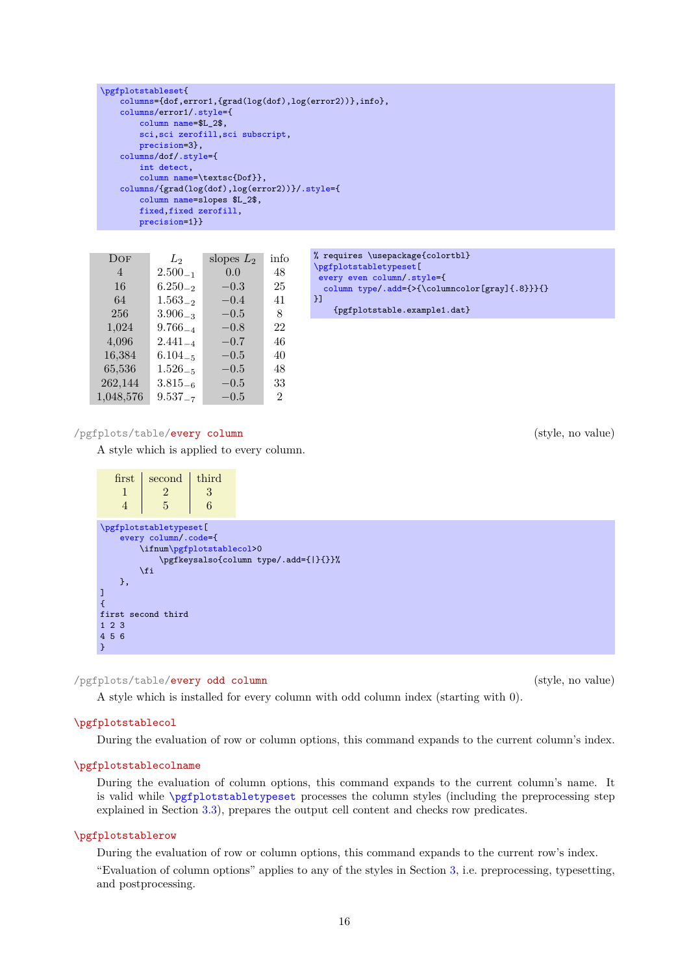```
16
```

```
\pgfplotstablerow
```
During the evaluation of row or column options, this command expands to the current row's index. "Evaluation of column options" applies to any of the styles in Section [3,](#page-36-0) i.e. preprocessing, typesetting, and postprocessing.

During the evaluation of row or column options, this command expands to the current column's index.

During the evaluation of column options, this command expands to the current column's name. It is valid while [\pgfplotstabletypeset](#page-2-0) processes the column styles (including the preprocessing step

\pgfplotstablecol

explained in Section [3.3\)](#page-39-0), prepares the output cell content and checks row predicates.

<span id="page-15-1"></span>

# \pgfplotstablecolname

/pgfplots/table/every odd column (style, no value) A style which is installed for every column with odd column index (starting with 0).

```
},
\overline{1}
```
[\pgfplotstabletypeset\[](#page-2-0) [every column](#page-15-0)[/.code=](#page-59-5){

\fi

first second third

{

<span id="page-15-0"></span> $1 \quad 2 \quad 3$ 4 5 6

[\pgfplotstableset{](#page-1-4)

[columns/e](#page-9-1)rror1[/.style=](#page-58-2){ [column name=](#page-11-0)\$L\_2\$,

[precision=](#page-31-1)3}, [columns/d](#page-9-1)of[/.style=](#page-58-2){ [int detect,](#page-29-0)

[sci](#page-27-1)[,sci zerofill](#page-27-0)[,sci subscript,](#page-34-3)

[columns/{](#page-9-1)grad(log(dof),log(error2))}[/.style=](#page-58-2){

[column name=](#page-11-0)\textsc{Dof}},

[column name=](#page-11-0)slopes \$L\_2\$, [fixed,](#page-26-2)[fixed zerofill,](#page-26-1) [precision=](#page-31-1)1}}

DOF  $L_2$  slopes  $L_2$  info 4 2.500<sup>−</sup><sup>1</sup> 0.0 48 16  $6.250_{-2}$  −0.3 25 64  $1.563_{-2}$  −0.4 41 256  $3.906_{-3}$  −0.5 8  $1,024$   $9.766_{-4}$   $-0.8$  22  $4,096$   $2.441_{-4}$   $-0.7$   $46$ <br>16.384 6.104 =  $-0.5$  40  $16,384$   $6.104_{-5}$   $-0.5$ 

```
65,536 1.526−5 −0.5 48
   262.144 3.815<sub>-6</sub> -0.5 33
   1,048,576 9.537<sub>-7</sub> −0.5 2
/pgfplots/table/every column (style, no value)
   A style which is applied to every column.
     first second third
```
\ifnu[m\pgfplotstablecol>](#page-15-1)0

\pgfkeysalso{column type/.add={|}{}}%

[columns=](#page-9-1){dof,error1,{grad(log(dof),log(error2))},info},

```
% requires \usepackage{colortbl}
\pgfplotstabletypeset[
 every even column/.style={
 column type/.add={>{\columncolor[gray]{.8}}}{}
}]
    {pgfplotstable.example1.dat}
```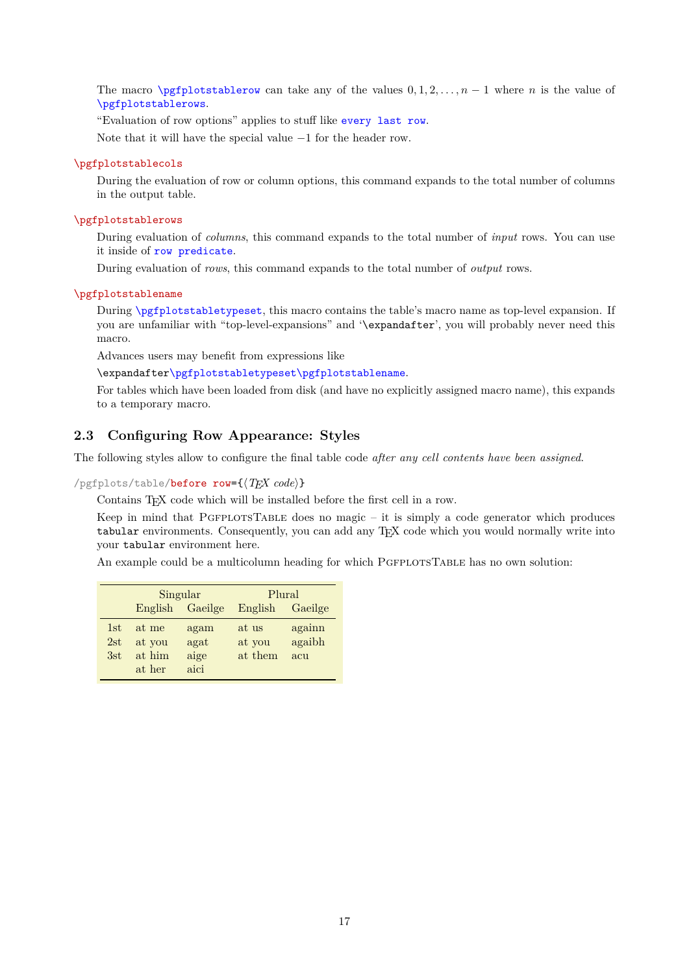The macro [\pgfplotstablerow](#page-15-2) can take any of the values  $0, 1, 2, \ldots, n - 1$  where n is the value of [\pgfplotstablerows](#page-16-2).

"Evaluation of row options" applies to stuff like [every last row](#page-20-0).

Note that it will have the special value −1 for the header row.

### <span id="page-16-4"></span>\pgfplotstablecols

During the evaluation of row or column options, this command expands to the total number of columns in the output table.

# <span id="page-16-2"></span>\pgfplotstablerows

During evaluation of *columns*, this command expands to the total number of *input* rows. You can use it inside of [row predicate](#page-41-0).

During evaluation of *rows*, this command expands to the total number of *output* rows.

### <span id="page-16-3"></span>\pgfplotstablename

During [\pgfplotstabletypeset](#page-2-0), this macro contains the table's macro name as top-level expansion. If you are unfamiliar with "top-level-expansions" and '\expandafter', you will probably never need this macro.

Advances users may benefit from expressions like

\expandafte[r\pgfplotstabletypeset](#page-2-0)[\pgfplotstablename](#page-16-3).

For tables which have been loaded from disk (and have no explicitly assigned macro name), this expands to a temporary macro.

# <span id="page-16-0"></span>**2.3 Configuring Row Appearance: Styles**

The following styles allow to configure the final table code *after any cell contents have been assigned*.

<span id="page-16-1"></span> $\text{logfplots}/\text{table}/\text{before row}=\{\langle T_F X \text{ code}\rangle\}$ 

Contains T<sub>E</sub>X code which will be installed before the first cell in a row.

Keep in mind that PGFPLOTSTABLE does no magic  $-$  it is simply a code generator which produces tabular environments. Consequently, you can add any T<sub>EX</sub> code which you would normally write into your tabular environment here.

An example could be a multicolumn heading for which PGFPLOTSTABLE has no own solution:

|     |         | Singular | Plural  |         |  |
|-----|---------|----------|---------|---------|--|
|     | English | Gaeilge  | English | Gaeilge |  |
| 1st | at me   | agam     | at us   | againn  |  |
| 2st | at you  | agat     | at you  | agaibh  |  |
| 3st | at him  | aige     | at them | acu     |  |
|     | at her  | aici     |         |         |  |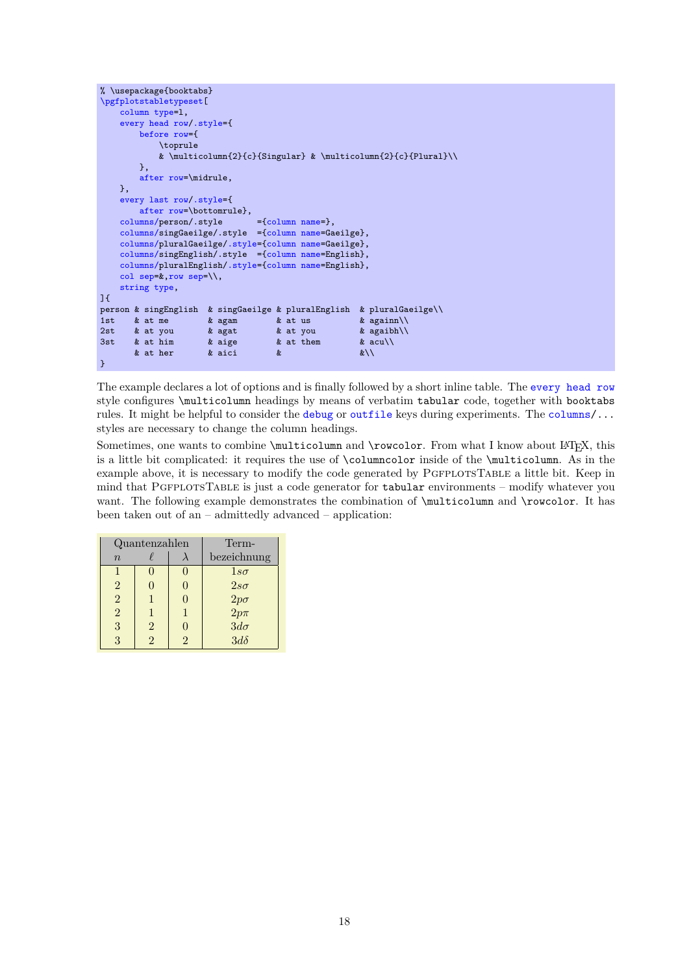```
% \usepackage{booktabs}
\pgfplotstabletypeset[
   column type=l,
   every head row/.style={
       before row={
          \toprule
          & \multicolumn{2}{c}{Singular} & \multicolumn{2}{c}{Plural}\\
       },
       after row=\midrule,
   },
   every last row/.style={
       after row=\bottomrule},
   columns/p {column name=},
   columns/singGaeilge/.style ={column name=Gaeilge},
    columns/pluralGaeilge/.style={column name=Gaeilge},
    columns/singEnglish/.style ={column name=English},
   columns/pluralEnglish/.style={column name=English},
   col sep=k, row sep=\setminus.
   string type,
]{
person & singEnglish & singGaeilge & pluralEnglish & pluralGaeilge\\
1st & at me & agam & at us & againn\\
2st & at you & agat & at you & agaibh\\
3st & at him & aige & at them & acu\\
      & at her & aici & &\\
}
```
The example declares a lot of options and is finally followed by a short inline table. The [every head row](#page-19-0) style configures \multicolumn headings by means of verbatim tabular code, together with booktabs rules. It might be helpful to consider the [debug](#page-24-1) or [outfile](#page-23-0) keys during experiments. The [columns/](#page-9-1)... styles are necessary to change the column headings.

Sometimes, one wants to combine \multicolumn and \rowcolor. From what I know about IATEX, this is a little bit complicated: it requires the use of \columncolor inside of the \multicolumn. As in the example above, it is necessary to modify the code generated by PGFPLOTSTABLE a little bit. Keep in mind that PGFPLOTSTABLE is just a code generator for tabular environments – modify whatever you want. The following example demonstrates the combination of \multicolumn and \rowcolor. It has been taken out of an – admittedly advanced – application:

|                | Quantenzahlen | Term- |                                        |
|----------------|---------------|-------|----------------------------------------|
| $\overline{n}$ |               |       | bezeichnung                            |
|                |               |       | $1s\sigma$                             |
| $\overline{2}$ |               |       | $2s\sigma$                             |
| $\overline{2}$ |               |       |                                        |
| $\overline{2}$ |               |       | $\frac{2p\sigma}{2p\pi}$<br>$3d\sigma$ |
| 3              | 2             |       |                                        |
| 3              |               |       | $3d\delta$                             |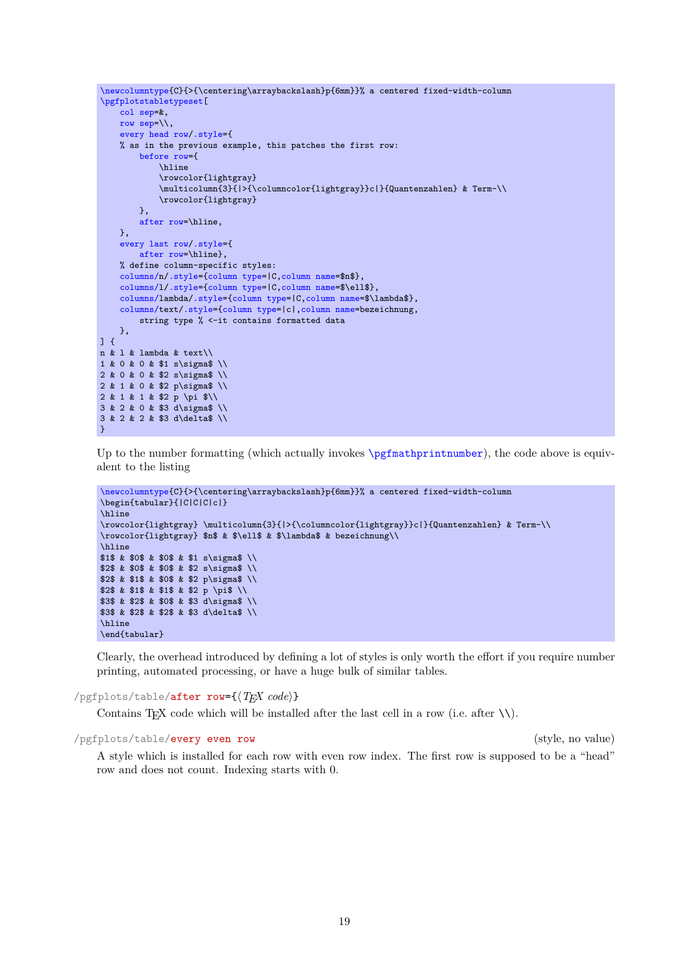```
\newcolumntype{C}{>{\centering\arraybackslash}p{6mm}}% a centered fixed-width-column
\pgfplotstabletypeset[
    col sep=&,
    row sep=\backslash \backslash,
    every head row/.style={
    % as in the previous example, this patches the first row:
        before row={
            \hline
            \rowcolor{lightgray}
             \multicolumn{3}{|>{\columncolor{lightgray}}c|}{Quantenzahlen} & Term-\\
             \rowcolor{lightgray}
        },
        after row=\hline,
    },
    every last row/.style={
         after row=\hline},
    % define column-specific styles:
    columns/n/.style={column type=|C,column name=$n$},
    columns/l/.style={column type=|C,column name=$\ell$},
    columns/lambda/.style={column type=|C,column name=$\lambda$},
    columns/text/.style={column type=|c|,column name=bezeichnung,
        string type % <-it contains formatted data
    },
] {
n & l & lambda & text\\
1 & 0 & 0 & $1 s\sigma$ \\
2 & 0 & 0 & $2 s\sigma$ \\
2 & 1 & 0 & $2 p\sigma$ \\
2 & 1 & 1 & $2 p \pi $\\
3 & 2 & 0 & $3 d\sigma$ \\
3 & 2 & 2 & $3 d\delta$ \\
}
```
Up to the number formatting (which actually invokes  $\epsilon$ )  $\gamma$ ), the code above is equivalent to the listing

```
\newcolumntype{C}{>{\centering\arraybackslash}p{6mm}}% a centered fixed-width-column
\begin{tabular}{|C|C|C|c|}
\hline
\rowcolor{lightgray} \multicolumn{3}{|>{\columncolor{lightgray}}c|}{Quantenzahlen} & Term-\\
\rowcolor{lightgray} $n$ & $\ell$ & $\lambda$ & bezeichnung\\
\hline
$1$ & $0$ & $0$ & $1 s\sigma$ \\
$2$ & $0$ & $0$ & $2 s\sigma$ \\
$2$ & $1$ & $0$ & $2 p\sigma$ \\
$2$ & $1$ & $1$ & $2 p \pi$ \\
$3$ & $2$ & $0$ & $3 d\sigma$ \\
$3$ & $2$ & $2$ & $3 d\delta$ \\
\hline
\end{tabular}
```
Clearly, the overhead introduced by defining a lot of styles is only worth the effort if you require number printing, automated processing, or have a huge bulk of similar tables.

<span id="page-18-0"></span> $\text{logfplots}/\text{table/after row}=\{\langle T_F X \text{ code}\rangle\}$ 

Contains T<sub>E</sub>X code which will be installed after the last cell in a row (i.e. after  $\setminus \setminus$ ).

# <span id="page-18-1"></span>/pgfplots/table/every even row (style, no value)

A style which is installed for each row with even row index. The first row is supposed to be a "head" row and does not count. Indexing starts with 0.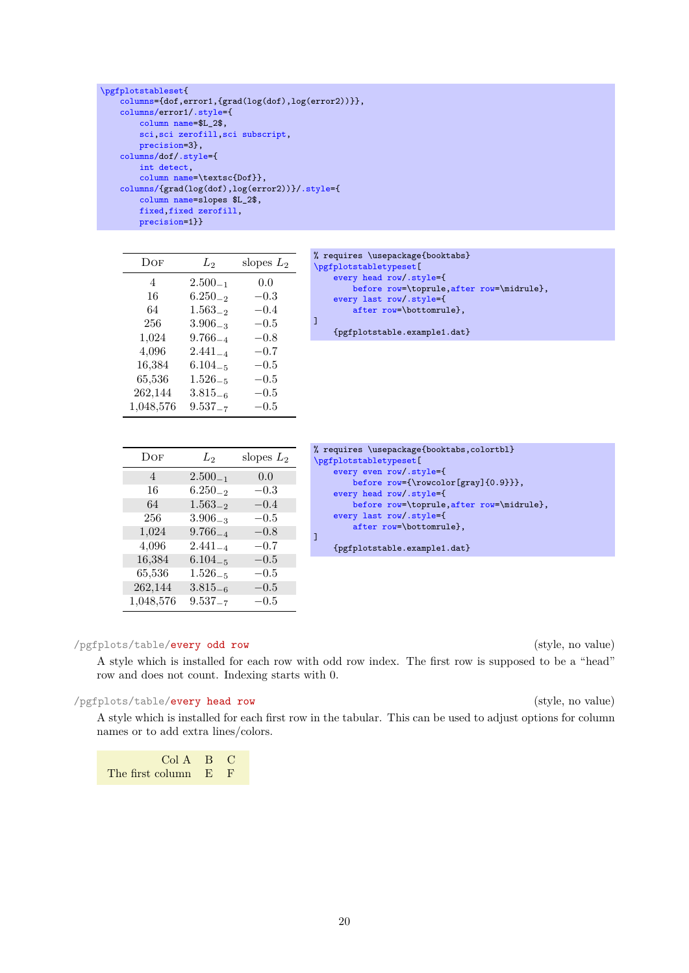```
\pgfplotstableset{
   columns={dof,error1,{grad(log(dof),log(error2))}},
   columns/error1/.style={
       column name=$L_2$,
       sci,sci zerofill,sci subscript,
       precision=3},
   columns/dof/.style={
       int detect,
       column name=\textsc{Dof}},
   columns/{grad(log(dof),log(error2))}/.style={
       column name=slopes $L_2$,
       fixed,fixed zerofill,
       precision=1}}
```

| Dof       | $L_2$        | slopes $L_2$  |
|-----------|--------------|---------------|
| 4         | $2.500_{-1}$ | 0.0           |
| 16        | $6.250_{-2}$ | $-0.3\,$      |
| 64        | $1.563_{-2}$ | $-0.4\,$      |
| 256       | $3.906_{-3}$ | $-0.5\,$      |
| 1,024     | $9.766_{-4}$ | $^{-0.8}$     |
| 4,096     | $2.441_{-4}$ | $^{-0.7}$     |
| 16,384    | $6.104_{-5}$ | $^{\rm -0.5}$ |
| 65,536    | $1.526_{-5}$ | $^{\rm -0.5}$ |
| 262,144   | $3.815_{-6}$ | $^{\rm -0.5}$ |
| 1,048,576 | $9.537_{-7}$ | $-0.5\,$      |

| Dof       | $L_2$        | slopes $L_2$ |
|-----------|--------------|--------------|
| 4         | $2.500_{-1}$ | 0.0          |
| 16        | $6.250_{-2}$ | $-0.3$       |
| 64        | $1.563_{-2}$ | $-0.4$       |
| 256       | $3.906_{-3}$ | $-0.5$       |
| 1,024     | $9.766_{-4}$ | $-0.8$       |
| 4,096     | $2.441_{-4}$ | $-0.7$       |
| 16,384    | $6.104_{-5}$ | $-0.5$       |
| 65,536    | $1.526_{-5}$ | $-0.5$       |
| 262,144   | $3.815_{-6}$ | $-0.5$       |
| 1,048,576 | $9.537 - 7$  | $-0.5$       |

```
after row=\bottomrule},
]
    {pgfplotstable.example1.dat}
```
[before row=](#page-16-1)\toprule[,after row=](#page-18-0)\midrule},

% requires \usepackage{booktabs}

[every head row/](#page-19-0)[.style=](#page-58-2){

[every last row/](#page-20-0)[.style=](#page-58-2){

[\pgfplotstabletypeset\[](#page-2-0)

```
% requires \usepackage{booktabs,colortbl}
\pgfplotstabletypeset[
    every even row/.style={
       before row={\rowcolor[gray]{0.9}}},
    every head row/.style={
       before row=\toprule,after row=\midrule},
    every last row/.style={
        after row=\bottomrule},
]
    {pgfplotstable.example1.dat}
```
# /pgfplots/table/every odd row (style, no value)

A style which is installed for each row with odd row index. The first row is supposed to be a "head" row and does not count. Indexing starts with 0.

# <span id="page-19-0"></span>/pgfplots/table/every head row (style, no value)

A style which is installed for each first row in the tabular. This can be used to adjust options for column names or to add extra lines/colors.

|                      | $Col A \quad B \quad C$ |  |
|----------------------|-------------------------|--|
| The first column E F |                         |  |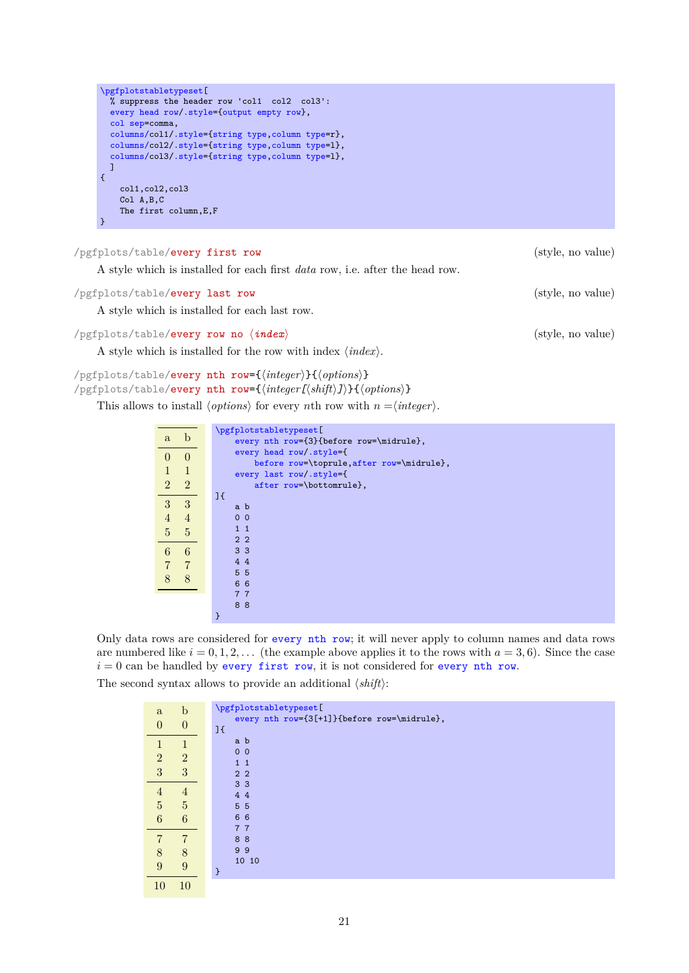```
\pgfplotstabletypeset[
      % suppress the header row 'col1 col2 col3':
      every head row/.style={output empty row},
      col sep=comma,
      columns/col1/.style={string type,column type=r},
      columns/col2/.style={string type,column type=l},
      columns/col3/.style={string type,column type=l},
      ]
    {
        col1,col2,col3
        Col A,B,C
        The first column,E,F
    }
/pgfplots/table/every first row (style, no value)
```
<span id="page-20-2"></span>A style which is installed for each first *data* row, i.e. after the head row.

<span id="page-20-0"></span>

| /pgfplots/table/every last row                                              | (style, no value) |
|-----------------------------------------------------------------------------|-------------------|
| A style which is installed for each last row.                               |                   |
| $\sqrt{p\pi}}$ pgfplots/table/every row no $\langle \textit{index} \rangle$ | (style, no value) |

A style which is installed for the row with index  $\langle \text{index} \rangle$ .

```
/pgfplots/table/every nth row={\integer}}{\options}}
\anglepgfplots/table/every nth row={\langle \text{integer[}\langle \text{shift} \rangle \text{]} \rangle}{\langle \text{options} \rangle}
```
This allows to install  $\langle options \rangle$  for every nth row with  $n = \langle integer \rangle$ .

|                |                | \pgfplotstabletypeset[                    |
|----------------|----------------|-------------------------------------------|
| $\mathbf{a}$   | b              | every nth row={3}{before row=\midrule},   |
| $\left($       | $\theta$       | every head row/.style={                   |
|                |                | before row=\toprule, after row=\midrule}, |
|                | $\mathbf{1}$   | every last row/.style={                   |
| $\overline{2}$ | $\overline{2}$ | after row=\bottomrule},                   |
|                |                | 1 <sup>1</sup>                            |
| 3              | $\overline{3}$ | a b                                       |
| $\overline{4}$ | $\overline{4}$ | 0 <sub>0</sub>                            |
| 5              | 5              | $1\quad1$                                 |
|                |                | 2 <sub>2</sub>                            |
| 6              | 6              | 3 <sub>3</sub>                            |
|                | $\overline{7}$ | 4 4                                       |
|                |                | 5 <sub>5</sub>                            |
| 8              | 8              | 6 6                                       |
|                |                |                                           |
|                |                | 77                                        |
|                |                | 88                                        |
|                |                |                                           |

Only data rows are considered for [every nth row](#page-20-1); it will never apply to column names and data rows are numbered like  $i = 0, 1, 2, \ldots$  (the example above applies it to the rows with  $a = 3, 6$ ). Since the case  $i = 0$  can be handled by [every first row](#page-20-2), it is not considered for [every nth row](#page-20-1).

The second syntax allows to provide an additional  $\langle shift \rangle$ :

| $\mathbf{a}$    | $\mathbf b$      | \pgfplotstabletypeset[                                        |
|-----------------|------------------|---------------------------------------------------------------|
| $\Omega$        | $\boldsymbol{0}$ | every nth row={3[+1]}{before row=\midrule},<br>1 <sup>1</sup> |
|                 |                  | a b                                                           |
| $\overline{2}$  | $\overline{2}$   | 0 <sub>0</sub><br>$1\quad1$                                   |
| 3               | 3                | 2 <sub>2</sub>                                                |
| 4               | $\overline{4}$   | 3 <sub>3</sub><br>44                                          |
| $\overline{5}$  | $\overline{5}$   | 5 5                                                           |
| $6\phantom{.}6$ | 6                | 66                                                            |
|                 |                  | 77<br>88                                                      |
| 8               | 8                | 99                                                            |
| 9               | 9                | 10 10                                                         |
| 10              | 10               |                                                               |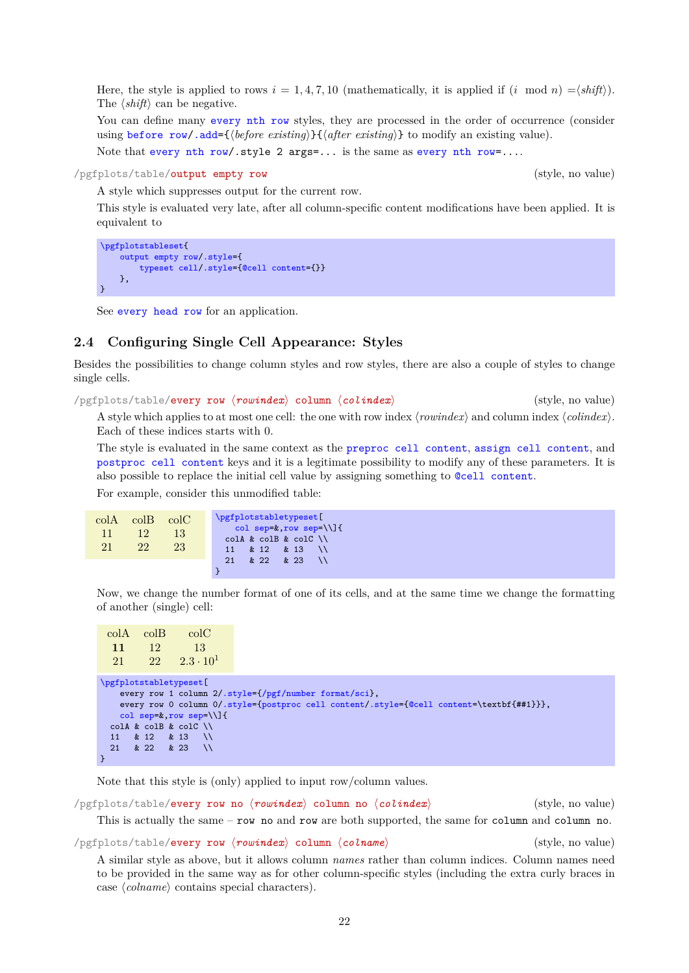Here, the style is applied to rows  $i = 1, 4, 7, 10$  (mathematically, it is applied if  $(i \mod n) = \langle shift \rangle$ ). The  $\langle shift \rangle$  can be negative.

You can define many [every nth row](#page-20-1) styles, they are processed in the order of occurrence (consider using [before row](#page-16-1)[/.add=](#page-59-3) $\{ \text{before existing} \} \{ \text{after existing} \}$  to modify an existing value).

Note that [every nth row/](#page-20-1).style 2 args=... is the same as [every nth row=](#page-20-1)....

```
/pgfplots/table/output empty row (style, no value)
```
A style which suppresses output for the current row.

This style is evaluated very late, after all column-specific content modifications have been applied. It is equivalent to

```
\pgfplotstableset{
    output empty row/.style={
        typeset cell/.style={@cell content={}}
    },
}
```
See [every head row](#page-19-0) for an application.

# <span id="page-21-0"></span>**2.4 Configuring Single Cell Appearance: Styles**

Besides the possibilities to change column styles and row styles, there are also a couple of styles to change single cells.

/pgfplots/table/every row *(rowindex)* column *(colindex)* (style, no value)

A style which applies to at most one cell: the one with row index  $\langle rowindex \rangle$  and column index  $\langle colindex \rangle$ . Each of these indices starts with 0.

The style is evaluated in the same context as the [preproc cell content](#page-39-2), [assign cell content](#page-36-3), and [postproc cell content](#page-44-1) keys and it is a legitimate possibility to modify any of these parameters. It is also possible to replace the initial cell value by assigning something to [@cell content](#page-44-2).

For example, consider this unmodified table:

| $\mathrm{colA}$<br>11<br>21 | $\mathrm{colB}$<br>12<br>22 <sup>1</sup> | $_{\rm colC}$<br><sup>13</sup><br>23 | \pgfplotstabletypeset[<br>col sep= $k, row sep=\1]$<br>$coll & colB & colC \ \wedge$ |
|-----------------------------|------------------------------------------|--------------------------------------|--------------------------------------------------------------------------------------|
|                             |                                          |                                      | & 22 & 23<br>21                                                                      |

Now, we change the number format of one of its cells, and at the same time we change the formatting of another (single) cell:

| colA                   | colB | $_{\rm colC}$                          |                                                                                          |
|------------------------|------|----------------------------------------|------------------------------------------------------------------------------------------|
| 11                     | -12  | -13                                    |                                                                                          |
| 21                     |      | $22 \t 2.3 \t 10^1$                    |                                                                                          |
|                        |      |                                        |                                                                                          |
| \pgfplotstabletypeset[ |      |                                        | every row 1 column $2/.style={}/pgf/number format/sci$ ,                                 |
|                        |      |                                        | every row 0 column 0/.style={postproc cell content/.style={@cell content=\textbf{##1}}}, |
|                        |      | col sep= $k$ , row sep= $\setminus$ ]{ |                                                                                          |
|                        |      | $coll & colB & colC \setminus \$       |                                                                                          |
| 11                     |      | $& 12 & 213 \ \ 13$                    |                                                                                          |
| 21                     |      | & 22 & 23 \\                           |                                                                                          |
|                        |      |                                        |                                                                                          |

Note that this style is (only) applied to input row/column values.

/pgfplots/table/every row no *(rowindex*) column no *(colindex*) (style, no value)

This is actually the same – row no and row are both supported, the same for column and column no.

/pgfplots/table/every row h*rowindex*i column h*colname*i (style, no value)

A similar style as above, but it allows column *names* rather than column indices. Column names need to be provided in the same way as for other column-specific styles (including the extra curly braces in case  $\langle \text{column} \rangle$  contains special characters).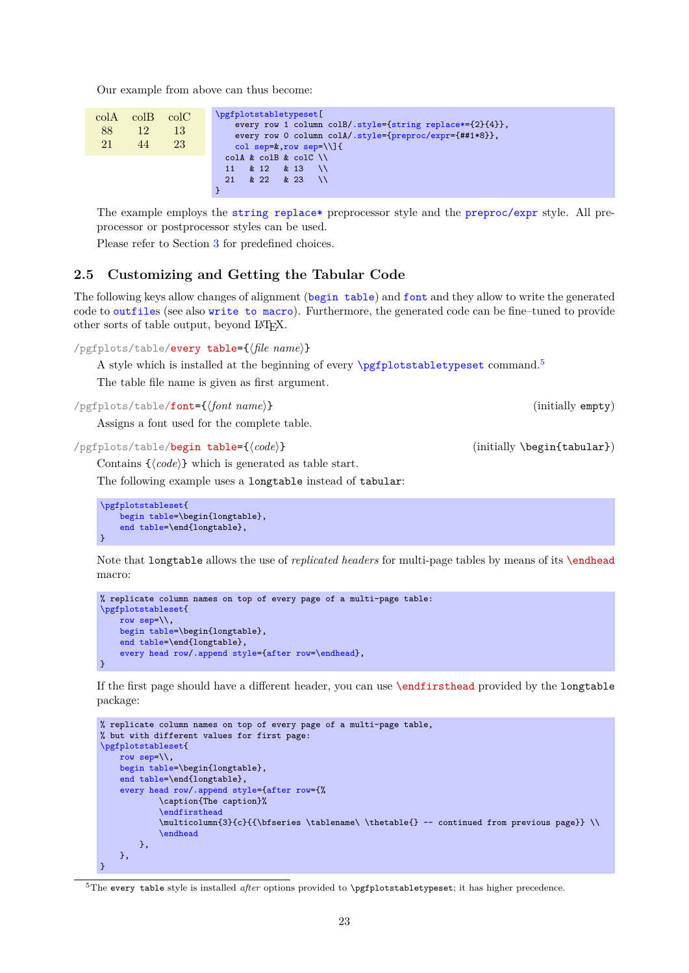Our example from above can thus become:

|    | $colA$ $colB$ $colC$ |    | \pgfplotstabletypeset[                                   |
|----|----------------------|----|----------------------------------------------------------|
|    |                      |    | every row 1 column colB/.style={string replace*={2}{4}}, |
| 88 | 12                   | 13 | every row 0 column colA/.style={preproc/expr={##1*8}},   |
| 21 | 44                   | 23 | col sep= $k$ , row sep= $\setminus$ ]{                   |
|    |                      |    | $coll & colB & colC \ \backslash \$                      |
|    |                      |    | & 12 & 13 \\<br>11                                       |
|    |                      |    | $21 \& 22 \& 23 \quad \vee$                              |
|    |                      |    |                                                          |

The example employs the [string replace\\*](#page-39-3) preprocessor style and the [preproc/expr](#page-40-0) style. All preprocessor or postprocessor styles can be used.

Please refer to Section [3](#page-36-0) for predefined choices.

# <span id="page-22-0"></span>**2.5 Customizing and Getting the Tabular Code**

The following keys allow changes of alignment ([begin table](#page-22-2)) and [font](#page-22-1) and they allow to write the generated code to [outfile](#page-23-0)s (see also [write to macro](#page-24-2)). Furthermore, the generated code can be fine–tuned to provide other sorts of table output, beyond LATEX.

<span id="page-22-6"></span>/pgfplots/table/every table={\*file name*}}

A style which is installed at the beginning of every  $\pp$  fplotstabletypeset command.<sup>[5](#page-22-3)</sup>

The table file name is given as first argument.

<span id="page-22-1"></span>/pgfplots/table/**font={/font** name}} (initially empty)

Assigns a font used for the complete table.

<span id="page-22-2"></span>/pgfplots/table/begin table={ $\{code\}$  (initially \begin{tabular})

Contains  $\{\langle code \rangle\}$  which is generated as table start.

The following example uses a longtable instead of tabular:

```
\pgfplotstableset{
    begin table=\begin{longtable}.
    end table=\end{longtable},
}
```
Note that longtable allows the use of *replicated headers* for multi-page tables by means of its \endhead macro:

```
% replicate column names on top of every page of a multi-page table:
\pgfplotstableset{
    row sep=\backslash \backslash,
    begin table=\begin{longtable},
    end table=\end{longtable},
    every head row/.append style={after row=\endhead},
}
```
If the first page should have a different header, you can use \endfirsthead provided by the longtable package:

```
% replicate column names on top of every page of a multi-page table,
% but with different values for first page:
\pgfplotstableset{
    row sep=\backslash \backslash,
    begin table=\begin{longtable},
    end table=\end{longtable},
    every head row/.append style={after row={%
             \caption{The caption}%
             \endfirsthead
             \multicolumn{3}{c}{{\bfseries \tablename\ \thetable{} -- continued from previous page}} \\
             \endhead
        },
    },
}
```
<span id="page-22-3"></span><sup>5</sup>The every table style is installed *after* options provided to **\pgfplotstabletypeset**; it has higher precedence.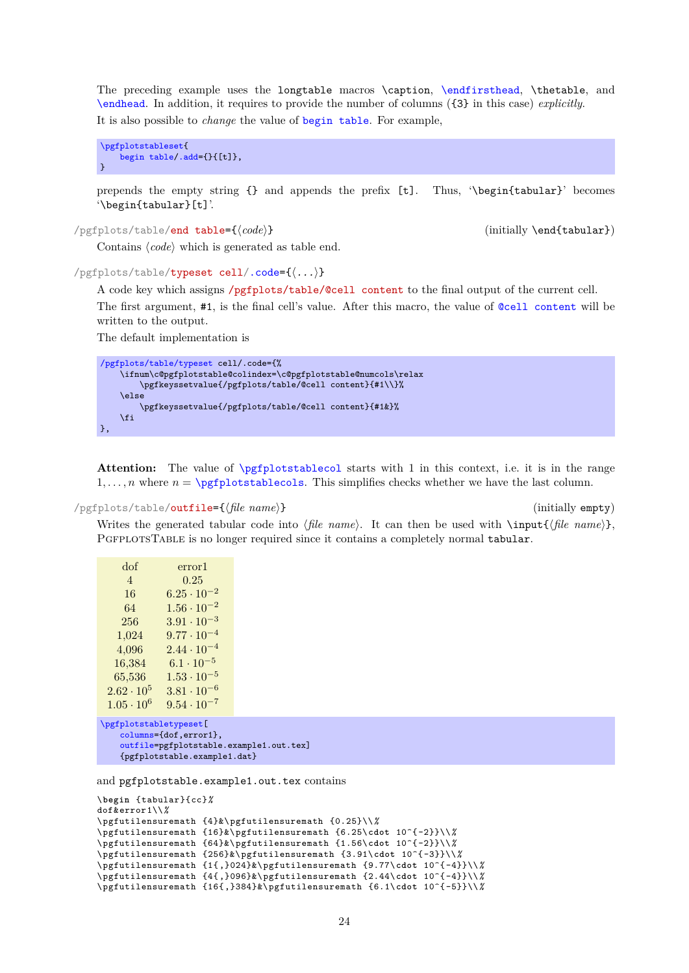The preceding example uses the longtable macros \caption, [\endfirsthead](#page-22-5), \thetable, and [\endhead](#page-22-4). In addition, it requires to provide the number of columns ({3} in this case) *explicitly*. It is also possible to *change* the value of [begin table](#page-22-2). For example,

```
\pgfplotstableset{
    begin table/.add={}{[t]},
}
```
prepends the empty string {} and appends the prefix [t]. Thus, '\begin{tabular}' becomes '\begin{tabular}[t]'.

<span id="page-23-2"></span>/pgfplots/table/end table={ $\{code\}$  (initially \end{tabular})

Contains  $\langle code \rangle$  which is generated as table end.

```
/pgfplots/table/typeset cell/.code={h...i}
```
<span id="page-23-3"></span>A code key which assigns /pgfplots/table/@cell content to the final output of the current cell. The first argument, #1, is the final cell's value. After this macro, the value of [@cell content](#page-44-2) will be written to the output.

The default implementation is

```
/pgfplots/table/typeset cell/.code={%
    \ifnum\c@pgfplotstable@colindex=\c@pgfplotstable@numcols\relax
        \pgfkeyssetvalue{/pgfplots/table/@cell content}{#1\\}%
    \else
        \pgfkeyssetvalue{/pgfplots/table/@cell content}{#1&}%
    \fi
},
```
**Attention:** The value of [\pgfplotstablecol](#page-15-1) starts with 1 in this context, i.e. it is in the range  $1, \ldots, n$  where  $n = \pmb{\infty}$  whete vertexts whether we have the last column.

```
/pgfplots/table/outfile={hfile namei} (initially empty)
```
Writes the generated tabular code into  $\langle$ *file name* $\rangle$ . It can then be used with  $\infty$ ,  $\{$ *file name* $\rangle$ , PGFPLOTSTABLE is no longer required since it contains a completely normal tabular.

| dof                 | error1               |
|---------------------|----------------------|
| $\overline{4}$      | 0.25                 |
| 16                  | $6.25\cdot 10^{-2}$  |
| 64                  | $1.56 \cdot 10^{-2}$ |
| 256                 | $3.91 \cdot 10^{-3}$ |
| 1,024               | $9.77\cdot10^{-4}$   |
| 4,096               | $2.44 \cdot 10^{-4}$ |
| 16,384              | $6.1 \cdot 10^{-5}$  |
| 65,536              | $1.53 \cdot 10^{-5}$ |
| $2.62 \cdot 10^{5}$ | $3.81 \cdot 10^{-6}$ |
| $1.05 \cdot 10^{6}$ | $9.54 \cdot 10^{-7}$ |
|                     |                      |

```
\pgfplotstabletypeset[
    columns={dof,error1},
   outfile=pgfplotstable.example1.out.tex]
   {pgfplotstable.example1.dat}
```
and pgfplotstable.example1.out.tex contains

```
\begin {tabular}{cc}%
dof&error 1\\%
\pgfutilensuremath {4}&\ pgfutilensuremath {0.25}\\%
\pgfutilensuremath {16}&\ pgfutilensuremath {6.25\cdot 10^{ -2}}\\%
\pgfutilensuremath {64}&\ pgfutilensuremath {1.56\cdot 10^{ -2}}\\%
\pgfutilensuremath {256}&\ pgfutilensuremath {3.91\cdot 10^{ -3}}\\%
\pgfutilensuremath {1{ ,}024}&\ pgfutilensuremath {9.77\cdot 10^{ -4}}\\%
\pgfutilensuremath {4{ ,}096}&\ pgfutilensuremath {2.44\cdot 10^{ -4}}\\%
\pgfutilensuremath {16{ ,}384}&\ pgfutilensuremath {6.1\cdot 10^{ -5}}\\%
```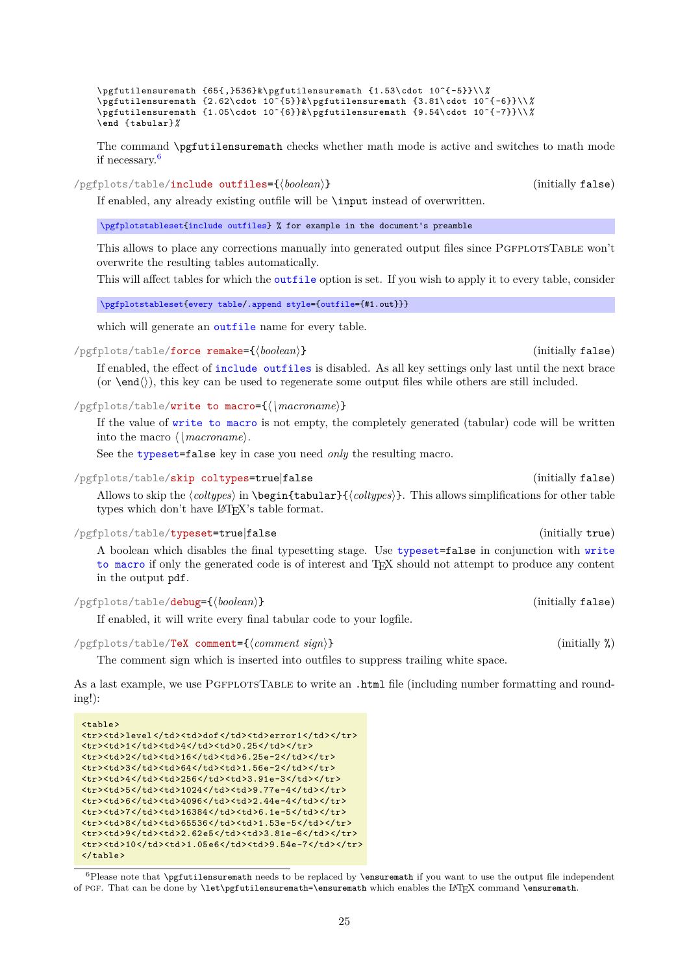\pgfutilensuremath {65{ ,}536}&\ pgfutilensuremath {1.53\**cdot** 10^{ -5}}\\*%* \pgfutilensuremath {2.62\**cdot** 10^{5}}&\ pgfutilensuremath {3.81\**cdot** 10^{ -6}}\\*%* \pgfutilensuremath {1.05\**cdot** 10^{6}}&\ pgfutilensuremath {9.54\**cdot** 10^{ -7}}\\*%* \**end** {tabular}*%*

The command \pgfutilensuremath checks whether math mode is active and switches to math mode if necessary.[6](#page-24-4)

<span id="page-24-0"></span>/pgfplots/table/include outfiles={*\boolean*}} (initially false)

If enabled, any already existing outfile will be \input instead of overwritten.

[\pgfplotstableset{](#page-1-4)[include outfiles}](#page-24-0) % for example in the document's preamble

This allows to place any corrections manually into generated output files since PGFPLOTSTABLE won't overwrite the resulting tables automatically.

This will affect tables for which the [outfile](#page-23-0) option is set. If you wish to apply it to every table, consider

[\pgfplotstableset{](#page-1-4)[every table](#page-22-6)[/.append style=](#page-59-2)[{outfile=](#page-23-0){#1.out}}}

which will generate an **[outfile](#page-23-0)** name for every table.

/pgfplots/table/force remake={h*boolean*i} (initially false)

If enabled, the effect of [include outfiles](#page-24-0) is disabled. As all key settings only last until the next brace (or  $\end{math}$ ), this key can be used to regenerate some output files while others are still included.

<span id="page-24-2"></span>/pgfplots/table/write to macro={ $\langle \rangle$ *macroname*}}

If the value of [write to macro](#page-24-2) is not empty, the completely generated (tabular) code will be written into the macro  $\langle \langle \rangle$ *macroname*).

See the [typeset=](#page-24-3)false key in case you need *only* the resulting macro.

<span id="page-24-5"></span>/pgfplots/table/skip coltypes=true|false (initially false)

Allows to skip the  $\langle \text{coltypes} \rangle$  in  $\begin{cases} \langle \text{coltypes} \rangle \}$ . This allows simplifications for other table types which don't have  $\mathbb{H}\Gamma F X$ 's table format.

# <span id="page-24-3"></span>/pgfplots/table/typeset=true|false (initially true)

A boolean which disables the final typesetting stage. Use [typeset=](#page-24-3)false in conjunction with [write](#page-24-2) [to macro](#page-24-2) if only the generated code is of interest and TEX should not attempt to produce any content in the output pdf.

# <span id="page-24-1"></span>/pgfplots/table/debug={h*boolean*i} (initially false)

 $\langle \text{table}\rangle$ 

 $\langle$ /table>

If enabled, it will write every final tabular code to your logfile.

### <span id="page-24-6"></span>/pgfplots/table/TeX comment={h*comment sign*i} (initially %)

<tr><td>level</td><td>dof</td><td>error1</td></tr>

<tr>><td>1</td><td>4</td><td>></td></tr>  $\langle$ tr><td>2</td><td><td>16</td><td>6.25e-2</td></tr> <tr>><td>3</td><td>64</td><td>1.56e-2</td></tr> <tr>><td>4</td><td>256</td><td>3.91e-3</td></tr> <tr><td>5</td><td>1024</td><td>9.77e-4</td></tr> <tr><td>6</td><td>4096</td><td>2.44e-4</td></tr>  $\langle$ tr><td>7</td><td>16384</td><td>6.1e-5</td></tr> <tr><td>8</td><td>65536</td><td>1.53e-5</td></tr> <tr>><td>9</td><td>2.62e5</td><td>3.81e-6</td></tr>  $\frac{\text{str}{\text{str}}\text{str}{\text{str}}\text{dr}^2\text{dr}^2\text{dr}^2\text{dr}^2\text{dr}^2\text{dr}^2\text{dr}^2\text{dr}^2\text{dr}^2\text{dr}^2\text{dr}^2\text{dr}^2\text{dr}^2\text{dr}^2\text{dr}^2\text{dr}^2\text{dr}^2\text{dr}^2\text{dr}^2\text{dr}^2\text{dr}^2\text{dr}^2\text{dr}^2\text{dr}^2\text{dr}^2\text{dr}^2\text{dr}^2\text{dr}^2\text$ 

The comment sign which is inserted into outfiles to suppress trailing white space.

As a last example, we use PgfplotsTable to write an .html file (including number formatting and rounding!):

<span id="page-24-4"></span><sup>6</sup>Please note that \pgfutilensuremath needs to be replaced by \**ensuremath** if you want to use the output file independent of pgf. That can be done by \**let**\pgfutilensuremath=\**ensuremath** which enables the LATEX command \**ensuremath**.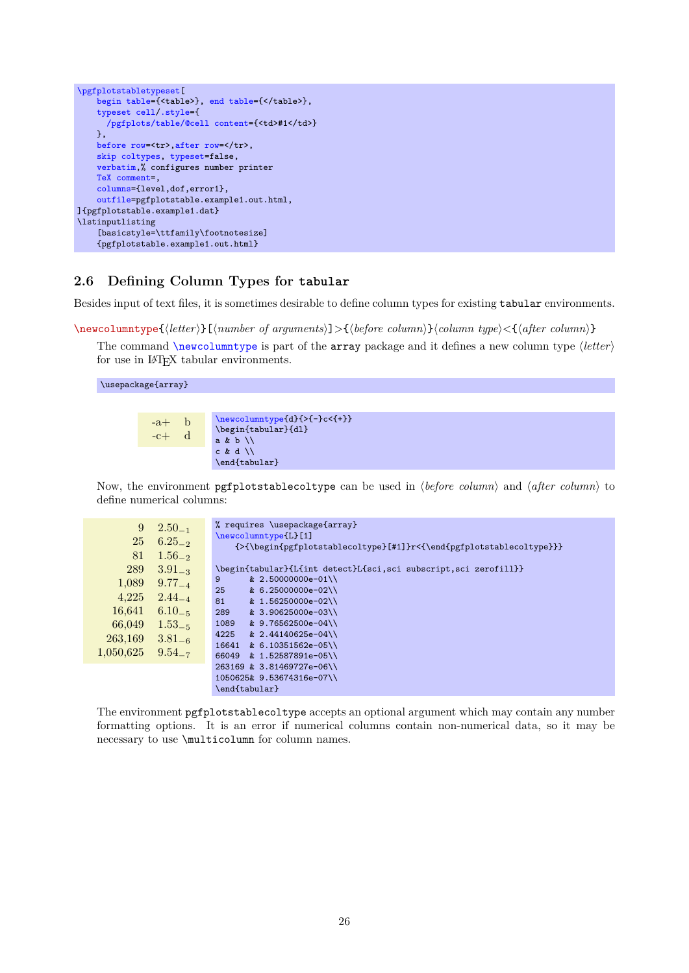```
\pgfplotstabletypeset[
    begin table={<table>}, end table={</table>},
    typeset cell/.style={
      /pgfplots/table/@cell content={<td>#1</td>}
    },
    before row=,after row=</tr>,
    skip coltypes, typeset=false,
    verbatim,% configures number printer
    TeX comment=,
    columns={level,dof,error1},
    outfile=pgfplotstable.example1.out.html,
]{pgfplotstable.example1.dat}
\lstinputlisting
    [basicstyle=\ttfamily\footnotesize]
    {pgfplotstable.example1.out.html}
```
# <span id="page-25-0"></span>**2.6 Defining Column Types for tabular**

Besides input of text files, it is sometimes desirable to define column types for existing tabular environments.

<span id="page-25-1"></span>\newcolumntype{h*letter*i}[h*number of arguments*i]>{h*before column*i}h*column type*i<{h*after column*i}

The command  $\neq$  vertex is part of the array package and it defines a new column type  $\langle$  *letter* $\rangle$ for use in LAT<sub>EX</sub> tabular environments.

\usepackage{array}

| $-b$<br>$-a+$<br>$-c+$ | $\newcolumntype{d}{>-}c{+}$<br>\begin{tabular}{dl}<br>a & b |
|------------------------|-------------------------------------------------------------|
|                        | $c \& d \wedge$                                             |
|                        | \end{tabular}                                               |

Now, the environment pgfplotstablecoltype can be used in  $\langle before\ column\rangle$  and  $\langle after\ column\rangle$  to define numerical columns:

| 9         | $2.50_{-1}$ | % requires \usepackage{array}                                       |
|-----------|-------------|---------------------------------------------------------------------|
| 25        |             | $\neq$ (Lewcolumntype [L] [1]                                       |
|           | $6.25_{-2}$ | {>{\begin{pgfplotstablecoltype}[#1]}r<{\end{pgfplotstablecoltype}}} |
| 81        | $1.56_{-2}$ |                                                                     |
| 289       | $3.91_{-3}$ | \begin{tabular}{L{int detect}L{sci,sci subscript,sci zerofill}}     |
| 1,089     | $9.77_{-4}$ | & 2.50000000e-01\\<br>9                                             |
|           |             | 25<br>& 6.25000000e-02\\                                            |
| 4,225     | $2.44_{-4}$ | 81<br>& 1.56250000e-02\\                                            |
| 16,641    | $6.10_{-5}$ | 289<br>& 3.90625000e-03\\                                           |
| 66,049    | $1.53_{-5}$ | & 9.76562500e-04\\<br>1089                                          |
| 263,169   | $3.81_{-6}$ | & 2.44140625e-04\\<br>4225                                          |
|           |             | & 6.10351562e-05\\<br>16641                                         |
| 1,050,625 | $9.54_{-7}$ | & 1.52587891e-05\\<br>66049                                         |
|           |             | 263169 & 3.81469727e-06\\                                           |
|           |             | 1050625& 9.53674316e-07\\                                           |
|           |             | \end{tabular}                                                       |

The environment pgfplotstablecoltype accepts an optional argument which may contain any number formatting options. It is an error if numerical columns contain non-numerical data, so it may be necessary to use \multicolumn for column names.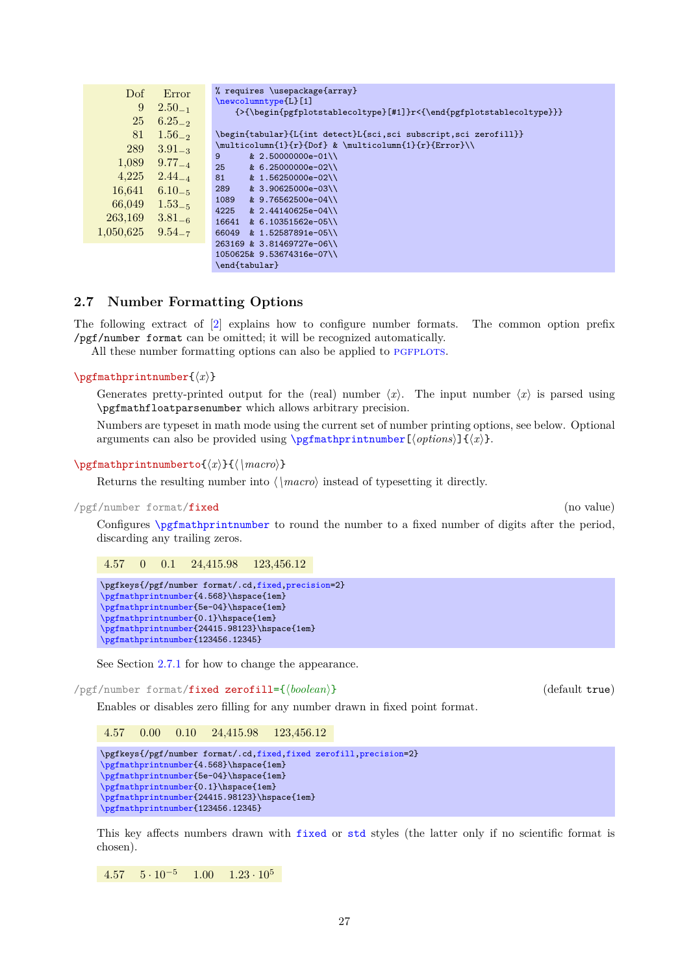| Dof       | Error       | % requires \usepackage{array}                                                 |
|-----------|-------------|-------------------------------------------------------------------------------|
|           |             | \newcolumntype{L}[1]                                                          |
| 9         | $2.50_{-1}$ | $\{\verb \begin{pefplotstablecoltype} f#1]{r<}\end{pefplotstablecoltype}\}\}$ |
| 25        | $6.25_{-2}$ |                                                                               |
| 81        | $1.56_{-2}$ | \begin{tabular}{L{int detect}L{sci,sci subscript,sci zerofill}}               |
| 289       | $3.91_{-3}$ | \multicolumn{1}{r}{Dof} & \multicolumn{1}{r}{Error}\\                         |
|           |             | 9<br>$& 2.50000000e-01$                                                       |
| 1,089     | $9.77_{-4}$ | 25<br>& 6.25000000e-02\\                                                      |
| 4.225     | $2.44_{-4}$ | 81<br>& 1.56250000e-02\\                                                      |
| 16,641    | $6.10 - 5$  | & 3.90625000e-03\\<br>289                                                     |
|           |             | & 9.76562500e-04\\<br>1089                                                    |
| 66,049    | $1.53_{-5}$ | 4225<br>& $2.44140625e-04$                                                    |
| 263,169   | $3.81_{-6}$ | 16641<br>& 6.10351562e-05\\                                                   |
| 1,050,625 | $9.54_{-7}$ | 66049<br>& 1.52587891e-05\\                                                   |
|           |             |                                                                               |
|           |             | 263169 & 3.81469727e-06\\                                                     |
|           |             | 1050625& 9.53674316e-07\\                                                     |
|           |             | \end{tabular}                                                                 |

# <span id="page-26-0"></span>**2.7 Number Formatting Options**

The following extract of [\[2\]](#page-71-0) explains how to configure number formats. The common option prefix /pgf/number format can be omitted; it will be recognized automatically.

All these number formatting options can also be applied to PGFPLOTS.

# <span id="page-26-3"></span>\pgfmathprintnumber{ $\langle x \rangle$ }

Generates pretty-printed output for the (real) number  $\langle x \rangle$ . The input number  $\langle x \rangle$  is parsed using \pgfmathfloatparsenumber which allows arbitrary precision.

Numbers are typeset in math mode using the current set of number printing options, see below. Optional arguments can also be provided using  $\sqrt{p\pi\theta}$  interprintnumber  $[\langle options \rangle]\{\langle x \rangle\}$ .

## $\text{logfr+anthprintrumberto}\{\langle x\rangle\}\{\langle \rangle\}$

Returns the resulting number into  $\langle \rangle$ *macro* $\rangle$  instead of typesetting it directly.

<span id="page-26-2"></span>/pgf/number format/fixed (no value)

Configures [\pgfmathprintnumber](#page-26-3) to round the number to a fixed number of digits after the period, discarding any trailing zeros.

4.57 0 0.1 24,415.98 123,456.12

\pgfkeys{/pgf/number format/.cd[,fixed,](#page-26-2)[precision=](#page-31-1)2} [\pgfmathprintnumber{](#page-26-3)4.568}\hspace{1em} [\pgfmathprintnumber{](#page-26-3)5e-04}\hspace{1em} [\pgfmathprintnumber{](#page-26-3)0.1}\hspace{1em} [\pgfmathprintnumber{](#page-26-3)24415.98123}\hspace{1em} [\pgfmathprintnumber{](#page-26-3)123456.12345}

See Section [2.7.1](#page-31-0) for how to change the appearance.

<span id="page-26-1"></span>/pgf/number format/fixed zerofill={h*boolean*i} (default true)

Enables or disables zero filling for any number drawn in fixed point format.

4.57 0.00 0.10 24,415.98 123,456.12

\pgfkeys{/pgf/number format/.cd[,fixed,](#page-26-2)[fixed zerofill,](#page-26-1)[precision=](#page-31-1)2} [\pgfmathprintnumber{](#page-26-3)4.568}\hspace{1em} [\pgfmathprintnumber{](#page-26-3)5e-04}\hspace{1em} [\pgfmathprintnumber{](#page-26-3)0.1}\hspace{1em} [\pgfmathprintnumber{](#page-26-3)24415.98123}\hspace{1em} [\pgfmathprintnumber{](#page-26-3)123456.12345}

This key affects numbers drawn with [fixed](#page-26-2) or [std](#page-27-2) styles (the latter only if no scientific format is chosen).

 $4.57 \t 5 \cdot 10^{-5} \t 1.00 \t 1.23 \cdot 10^{5}$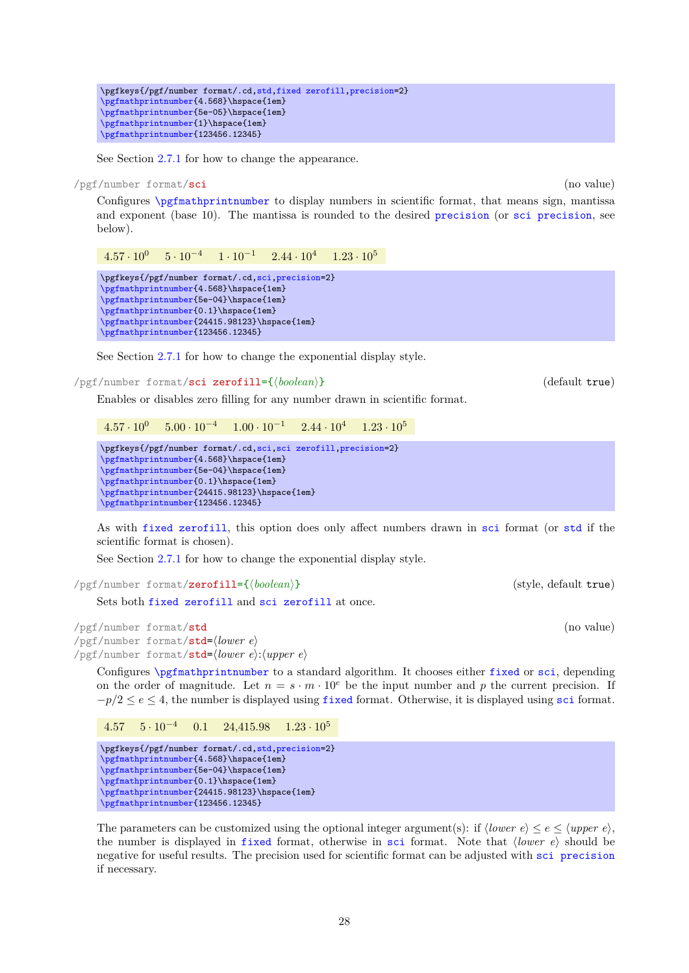\pgfkeys{/pgf/number format/.cd[,std,](#page-27-2)[fixed zerofill,](#page-26-1)[precision=](#page-31-1)2} [\pgfmathprintnumber{](#page-26-3)4.568}\hspace{1em} [\pgfmathprintnumber{](#page-26-3)5e-05}\hspace{1em} [\pgfmathprintnumber{](#page-26-3)1}\hspace{1em} [\pgfmathprintnumber{](#page-26-3)123456.12345}

See Section [2.7.1](#page-31-0) for how to change the appearance.

<span id="page-27-1"></span>/pgf/number format/sci (no value)

Configures [\pgfmathprintnumber](#page-26-3) to display numbers in scientific format, that means sign, mantissa and exponent (base 10). The mantissa is rounded to the desired [precision](#page-31-1) (or [sci precision](#page-31-2), see below).

 $4.57 \cdot 10^{0}$   $5 \cdot 10^{-4}$   $1 \cdot 10^{-1}$   $2.44 \cdot 10^{4}$   $1.23 \cdot 10^{5}$ 

\pgfkeys{/pgf/number format/.cd[,sci,](#page-27-1)[precision=](#page-31-1)2} [\pgfmathprintnumber{](#page-26-3)4.568}\hspace{1em} [\pgfmathprintnumber{](#page-26-3)5e-04}\hspace{1em} [\pgfmathprintnumber{](#page-26-3)0.1}\hspace{1em} [\pgfmathprintnumber{](#page-26-3)24415.98123}\hspace{1em} [\pgfmathprintnumber{](#page-26-3)123456.12345}

See Section [2.7.1](#page-31-0) for how to change the exponential display style.

<span id="page-27-0"></span>/pgf/number format/sci zerofill={h*boolean*i} (default true)

Enables or disables zero filling for any number drawn in scientific format.

 $4.57 \cdot 10^{0}$   $5.00 \cdot 10^{-4}$   $1.00 \cdot 10^{-1}$   $2.44 \cdot 10^{4}$   $1.23 \cdot 10^{5}$ 

```
\pgfkeys{/pgf/number format/.cd,sci,sci zerofill,precision=2}
\pgfmathprintnumber{4.568}\hspace{1em}
\pgfmathprintnumber{5e-04}\hspace{1em}
\pgfmathprintnumber{0.1}\hspace{1em}
\pgfmathprintnumber{24415.98123}\hspace{1em}
\pgfmathprintnumber{123456.12345}
```
As with [fixed zerofill](#page-26-1), this option does only affect numbers drawn in [sci](#page-27-1) format (or [std](#page-27-2) if the scientific format is chosen).

See Section [2.7.1](#page-31-0) for how to change the exponential display style.

/pgf/number format/**zerofill={** $\{boolean\}$  (style, default true)

Sets both [fixed zerofill](#page-26-1) and [sci zerofill](#page-27-0) at once.

<span id="page-27-2"></span>/pgf/number format/std (no value)  $\sqrt{pgt/number}$  format/std= $\langle lower e\rangle$ /pgf/number format/std= $\langle lower e\rangle$ : $\langle upper e\rangle$ 

Configures [\pgfmathprintnumber](#page-26-3) to a standard algorithm. It chooses either [fixed](#page-26-2) or [sci](#page-27-1), depending on the order of magnitude. Let  $n = s \cdot m \cdot 10^e$  be the input number and p the current precision. If  $-p/2 \leq e \leq 4$ , the number is displayed using [fixed](#page-26-2) format. Otherwise, it is displayed using [sci](#page-27-1) format.

4.57  $5 \cdot 10^{-4}$  0.1  $24,415.98$   $1.23 \cdot 10^{5}$ 

\pgfkeys{/pgf/number format/.cd[,std,](#page-27-2)[precision=](#page-31-1)2} [\pgfmathprintnumber{](#page-26-3)4.568}\hspace{1em} [\pgfmathprintnumber{](#page-26-3)5e-04}\hspace{1em} [\pgfmathprintnumber{](#page-26-3)0.1}\hspace{1em} [\pgfmathprintnumber{](#page-26-3)24415.98123}\hspace{1em} [\pgfmathprintnumber{](#page-26-3)123456.12345}

The parameters can be customized using the optional integer argument(s): if  $\langle lower e \rangle \leq e \leq \langle upper e \rangle$ , the number is displayed in [fixed](#page-26-2) format, otherwise in [sci](#page-27-1) format. Note that  $\langle lower \ e \rangle$  should be negative for useful results. The precision used for scientific format can be adjusted with [sci precision](#page-31-2) if necessary.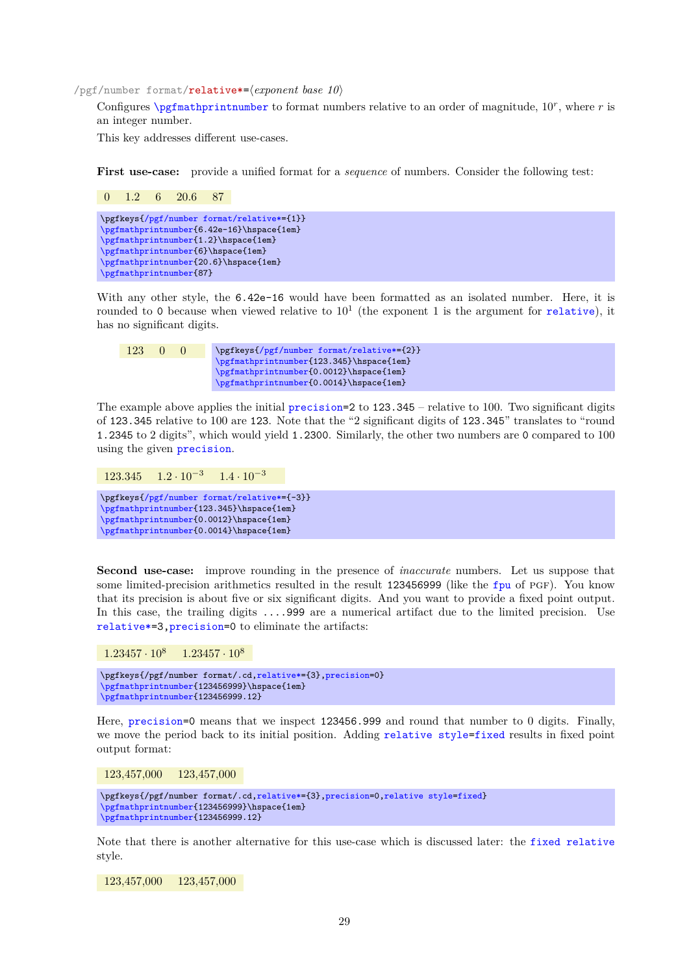<span id="page-28-0"></span>/pgf/number format/**relative\*=** $\langle exponent \ base \ 10 \rangle$ 

Configures  $\epsilon$  \permathprintnumber to format numbers relative to an order of magnitude,  $10^r$ , where r is an integer number.

This key addresses different use-cases.

**First use-case:** provide a unified format for a *sequence* of numbers. Consider the following test:

0 1.2 6 20.6 87 \pgfkeys[{/pgf/number format/relative\\*=](#page-28-0){1}} [\pgfmathprintnumber{](#page-26-3)6.42e-16}\hspace{1em} [\pgfmathprintnumber{](#page-26-3)1.2}\hspace{1em} [\pgfmathprintnumber{](#page-26-3)6}\hspace{1em} [\pgfmathprintnumber{](#page-26-3)20.6}\hspace{1em} [\pgfmathprintnumber{](#page-26-3)87}

With any other style, the  $6.42e-16$  would have been formatted as an isolated number. Here, it is rounded to 0 because when viewed [relative](#page-29-1) to  $10<sup>1</sup>$  (the exponent 1 is the argument for relative), it has no significant digits.

123 0 0 \pgfkeys[{/pgf/number format/relative\\*=](#page-28-0){2}} [\pgfmathprintnumber{](#page-26-3)123.345}\hspace{1em} [\pgfmathprintnumber{](#page-26-3)0.0012}\hspace{1em} [\pgfmathprintnumber{](#page-26-3)0.0014}\hspace{1em}

The example above applies the initial [precision=](#page-31-1)2 to 123.345 – relative to 100. Two significant digits of 123.345 relative to 100 are 123. Note that the "2 significant digits of 123.345" translates to "round 1.2345 to 2 digits", which would yield 1.2300. Similarly, the other two numbers are 0 compared to 100 using the given [precision](#page-31-1).

```
123.345 \quad 1.2 \cdot 10^{-3} \quad 1.4 \cdot 10^{-3}\pgfkeys{/pgf/number format/relative*={-3}}
\pgfmathprintnumber{123.345}\hspace{1em}
\pgfmathprintnumber{0.0012}\hspace{1em}
\pgfmathprintnumber{0.0014}\hspace{1em}
```
**Second use-case:** improve rounding in the presence of *inaccurate* numbers. Let us suppose that some limited-precision arithmetics resulted in the result 123456999 (like the [fpu](#page-51-1) of PGF). You know that its precision is about five or six significant digits. And you want to provide a fixed point output. In this case, the trailing digits ....999 are a numerical artifact due to the limited precision. Use [relative\\*=](#page-28-0)3[,precision=](#page-31-1)0 to eliminate the artifacts:

 $1.23457 \cdot 10^8$   $1.23457 \cdot 10^8$ 

```
,relative*=,precision=0}
\pgfmathprintnumber{123456999}\hspace{1em}
\pgfmathprintnumber{123456999.12}
```
Here, [precision=](#page-31-1)0 means that we inspect 123456.999 and round that number to 0 digits. Finally, we move the period back to its initial position. Adding [relative style](#page-29-2)[=fixed](#page-26-2) results in fixed point output format:

123,457,000 123,457,000

```
,relative*=,precision=,relative style=fixed}
\pgfmathprintnumber{123456999}\hspace{1em}
\pgfmathprintnumber{123456999.12}
```
Note that there is another alternative for this use-case which is discussed later: the [fixed relative](#page-29-3) style.

123,457,000 123,457,000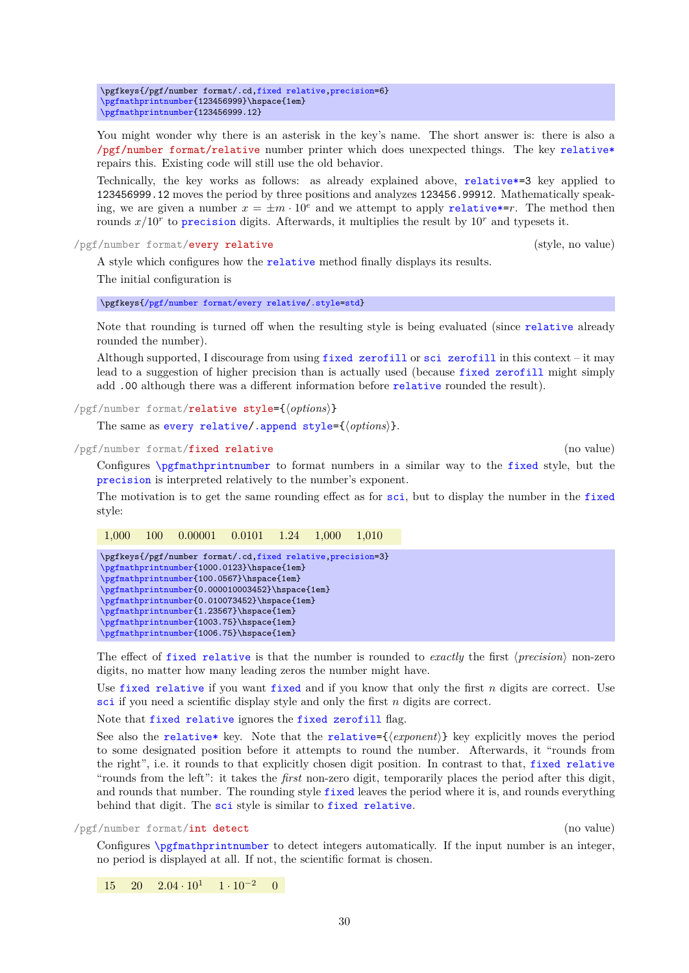\pgfkeys{/pgf/number format/.cd[,fixed relative,](#page-29-3)[precision=](#page-31-1)6} [\pgfmathprintnumber{](#page-26-3)123456999}\hspace{1em} [\pgfmathprintnumber{](#page-26-3)123456999.12}

<span id="page-29-1"></span>You might wonder why there is an asterisk in the key's name. The short answer is: there is also a /pgf/number format/relative number printer which does unexpected things. The key [relative\\*](#page-28-0) repairs this. Existing code will still use the old behavior.

Technically, the key works as follows: as already explained above, [relative\\*=](#page-28-0)3 key applied to 123456999.12 moves the period by three positions and analyzes 123456.99912. Mathematically speaking, we are given a number  $x = \pm m \cdot 10^e$  and we attempt to apply relative  $r = r$ . The method then rounds  $x/10<sup>r</sup>$  to [precision](#page-31-1) digits. Afterwards, it multiplies the result by  $10<sup>r</sup>$  and typesets it.

<span id="page-29-4"></span>/pgf/number format/every relative (style, no value)

A style which configures how the [relative](#page-29-1) method finally displays its results. The initial configuration is

\pgfkeys[{/pgf/number format/every relative](#page-29-4)[/.style](#page-58-2)[=std}](#page-27-2)

Note that rounding is turned off when the resulting style is being evaluated (since [relative](#page-29-1) already rounded the number).

Although supported, I discourage from using [fixed zerofill](#page-26-1) or [sci zerofill](#page-27-0) in this context – it may lead to a suggestion of higher precision than is actually used (because [fixed zerofill](#page-26-1) might simply add .00 although there was a different information before [relative](#page-29-1) rounded the result).

<span id="page-29-2"></span>/pgf/number format/relative style={ $\langle options \rangle$ }

The same as [every relative/](#page-29-4)[.append style=](#page-59-2) $\{\langle options \rangle\}.$ 

<span id="page-29-3"></span>/pgf/number format/fixed relative (no value)

Configures [\pgfmathprintnumber](#page-26-3) to format numbers in a similar way to the [fixed](#page-26-2) style, but the [precision](#page-31-1) is interpreted relatively to the number's exponent.

The motivation is to get the same rounding effect as for [sci](#page-27-1), but to display the number in the [fixed](#page-26-2) style:

1,000 100 0.00001 0.0101 1.24 1,000 1,010

| \pgfkeys{/pgf/number format/.cd,fixed relative, precision=3} |
|--------------------------------------------------------------|
| \pgfmathprintnumber{1000.0123}\hspace{1em}                   |
| \pgfmathprintnumber{100.0567}\hspace{1em}                    |
| \pgfmathprintnumber{0.000010003452}\hspace{1em}              |
| \pgfmathprintnumber{0.010073452}\hspace{1em}                 |
| \pgfmathprintnumber{1.23567}\hspace{1em}                     |
| \pgfmathprintnumber{1003.75}\hspace{1em}                     |
| \pgfmathprintnumber{1006.75}\hspace{1em}                     |
|                                                              |

The effect of [fixed relative](#page-29-3) is that the number is rounded to *exactly* the first (*precision*) non-zero digits, no matter how many leading zeros the number might have.

Use [fixed relative](#page-29-3) if you want [fixed](#page-26-2) and if you know that only the first  $n$  digits are correct. Use [sci](#page-27-1) if you need a scientific display style and only the first n digits are correct.

Note that [fixed relative](#page-29-3) ignores the [fixed zerofill](#page-26-1) flag.

See also the [relative\\*](#page-28-0) key. Note that the [relative=](#page-29-1) $\{\langle exponent \rangle\}$  key explicitly moves the period to some designated position before it attempts to round the number. Afterwards, it "rounds from the right", i.e. it rounds to that explicitly chosen digit position. In contrast to that, [fixed relative](#page-29-3) "rounds from the left": it takes the *first* non-zero digit, temporarily places the period after this digit, and rounds that number. The rounding style [fixed](#page-26-2) leaves the period where it is, and rounds everything behind that digit. The [sci](#page-27-1) style is similar to [fixed relative](#page-29-3).

<span id="page-29-0"></span>/pgf/number format/int detect (no value)

Configures [\pgfmathprintnumber](#page-26-3) to detect integers automatically. If the input number is an integer, no period is displayed at all. If not, the scientific format is chosen.

 $15 \quad 20 \quad 2.04 \cdot 10^{1} \quad 1 \cdot 10^{-2} \quad 0$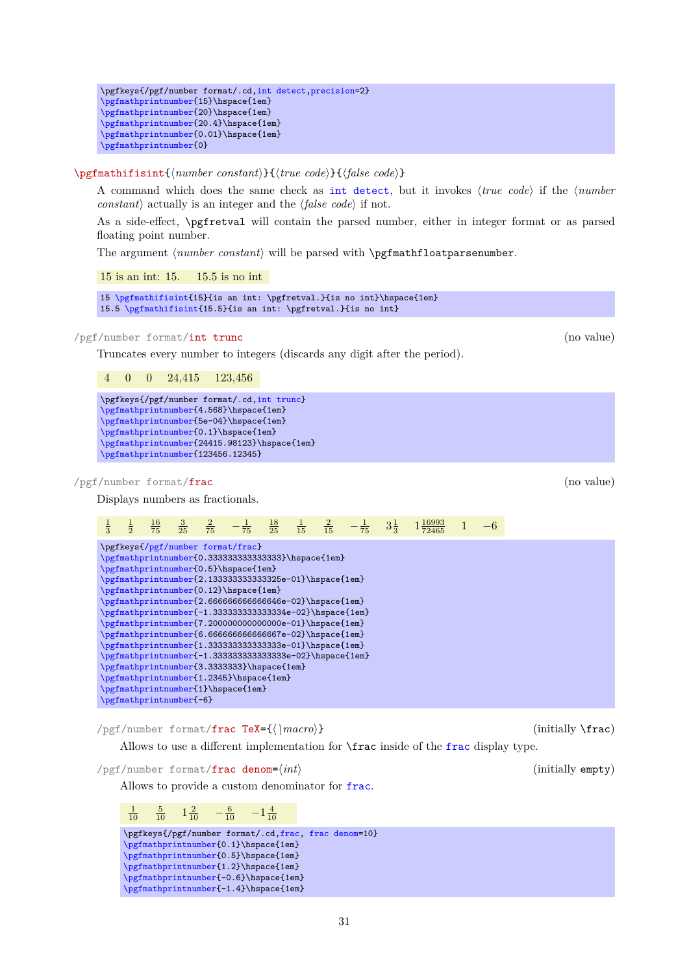```
\pgfkeys{/pgf/number format/.cd,int detect,precision=2}
\pgfmathprintnumber{15}\hspace{1em}
\pgfmathprintnumber{20}\hspace{1em}
\pgfmathprintnumber{20.4}\hspace{1em}
\pgfmathprintnumber{0.01}\hspace{1em}
\pgfmathprintnumber{0}
```
# <span id="page-30-0"></span>\pgfmathifisint{\*number constant*}}{\true code\}{\false code\}

A command which does the same check as [int detect](#page-29-0), but it invokes *{true code}* if the *{number constant*) actually is an integer and the  $\langle false \ code \rangle$  if not.

As a side-effect, \pgfretval will contain the parsed number, either in integer format or as parsed floating point number.

The argument *(number constant)* will be parsed with **\pgfmathfloatparsenumber.** 

15 is an int: 15. 15.5 is no int

15 [\pgfmathifisint{](#page-30-0)15}{is an int: \pgfretval.}{is no int}\hspace{1em} 15.5 [\pgfmathifisint{](#page-30-0)15.5}{is an int: \pgfretval.}{is no int}

<span id="page-30-1"></span>/pgf/number format/int trunc (no value)

Truncates every number to integers (discards any digit after the period).

4 0 0 24,415 123,456

```
\pgfkeys{/pgf/number format/.cd,int trunc}
     \pgfmathprintnumber{4.568}\hspace{1em}
     \pgfmathprintnumber{5e-04}\hspace{1em}
     \pgfmathprintnumber{0.1}\hspace{1em}
     \pgfmathprintnumber{24415.98123}\hspace{1em}
     \pgfmathprintnumber{123456.12345}
/pgf/number format/frac (no value)
    Displays numbers as fractionals.
      \frac{1}{3}\frac{1}{2}16
               75
                     \frac{3}{25}rac{2}{75} –
                                  \frac{1}{75} \frac{18}{25} \frac{1}{15} \frac{2}{15} -\frac{1}{75} 3\frac{1}{3} 1\frac{16993}{72465} 1 -6\pgfkeys{/pgf/number format/frac}
     \pgfmathprintnumber{0.3333333333333333}\hspace{1em}
     \pgfmathprintnumber{0.5}\hspace{1em}
     \pgfmathprintnumber{2.133333333333325e-01}\hspace{1em}
     \pgfmathprintnumber{0.12}\hspace{1em}
     \pgfmathprintnumber{2.6666666666666646e-02}\hspace{1em}
     \pgfmathprintnumber{-1.333333333333334e-02}\hspace{1em}
     \pgfmathprintnumber{7.200000000000000e-01}\hspace{1em}
     \pgfmathprintnumber{6.6666666666666667e-02}\hspace{1em}
     \pgfmathprintnumber{1.3333333333333338e-01}\hspace{1em}
     \pgfmathprintnumber{-1.3333333333333338e-02}\hspace{1em}
     \pgfmathprintnumber{3.3333333}\hspace{1em}
     \pgfmathprintnumber{1.2345}\hspace{1em}
     \pgfmathprintnumber{1}\hspace{1em}
     \pgfmathprintnumber{-6}
    /pgf/number format/frac TeX={\langle \rangle} (initially \frac)
```
Allows to use a different implementation for \frac inside of the [frac](#page-30-2) display type.

<span id="page-30-3"></span>/pgf/number format/**frac denom**= $\langle int \rangle$  (initially empty)

Allows to provide a custom denominator for [frac](#page-30-2).

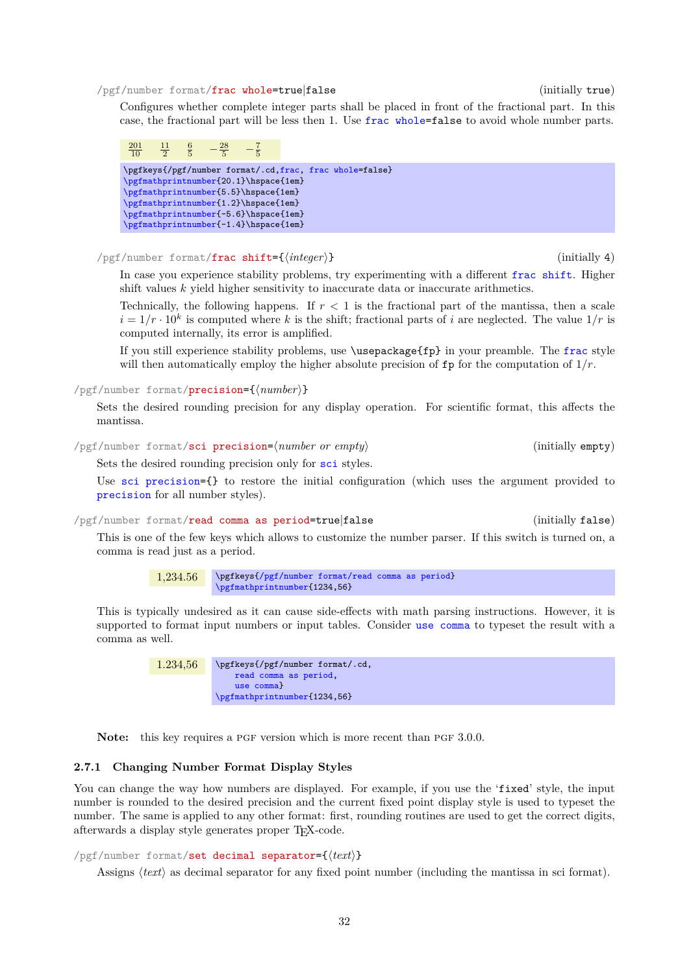#### <span id="page-31-3"></span>/pgf/number format/frac whole=true|false (initially true)

Configures whether complete integer parts shall be placed in front of the fractional part. In this case, the fractional part will be less then 1. Use [frac whole=](#page-31-3)false to avoid whole number parts.



<span id="page-31-4"></span>/pgf/number format/frac shift={h*integer*i} (initially 4)

In case you experience stability problems, try experimenting with a different [frac shift](#page-31-4). Higher shift values  $k$  yield higher sensitivity to inaccurate data or inaccurate arithmetics.

Technically, the following happens. If  $r < 1$  is the fractional part of the mantissa, then a scale  $i = 1/r \cdot 10^k$  is computed where k is the shift; fractional parts of i are neglected. The value  $1/r$  is computed internally, its error is amplified.

If you still experience stability problems, use \usepackage{fp} in your preamble. The [frac](#page-30-2) style will then automatically employ the higher absolute precision of  $\mathbf{fp}$  for the computation of  $1/r$ .

<span id="page-31-1"></span>/pgf/number format/precision={h*number*i}

Sets the desired rounding precision for any display operation. For scientific format, this affects the mantissa.

<span id="page-31-2"></span>/pgf/number format/sci precision= $\langle number\ or\ empty\rangle$  (initially empty)

Sets the desired rounding precision only for [sci](#page-27-1) styles.

Use [sci precision=](#page-31-2){} to restore the initial configuration (which uses the argument provided to [precision](#page-31-1) for all number styles).

### <span id="page-31-5"></span>/pgf/number format/read comma as period=true|false (initially false)

This is one of the few keys which allows to customize the number parser. If this switch is turned on, a comma is read just as a period.

> 1,234.56 \pgfkeys[{/pgf/number format/read comma as period}](#page-31-5) [\pgfmathprintnumber{](#page-26-3)1234,56}

This is typically undesired as it can cause side-effects with math parsing instructions. However, it is supported to format input numbers or input tables. Consider [use comma](#page-33-0) to typeset the result with a comma as well.

> 1.234,56 \pgfkeys{/pgf/number format/.cd, [read comma as period,](#page-31-5) [use comma}](#page-33-0) [\pgfmathprintnumber{](#page-26-3)1234,56}

**Note:** this key requires a PGF version which is more recent than PGF 3.0.0.

# <span id="page-31-0"></span>**2.7.1 Changing Number Format Display Styles**

You can change the way how numbers are displayed. For example, if you use the 'fixed' style, the input number is rounded to the desired precision and the current fixed point display style is used to typeset the number. The same is applied to any other format: first, rounding routines are used to get the correct digits, afterwards a display style generates proper TEX-code.

## <span id="page-31-6"></span> $\sqrt{pgt/number}$  format/set decimal separator= $\{(text)\}$

Assigns *(text)* as decimal separator for any fixed point number (including the mantissa in sci format).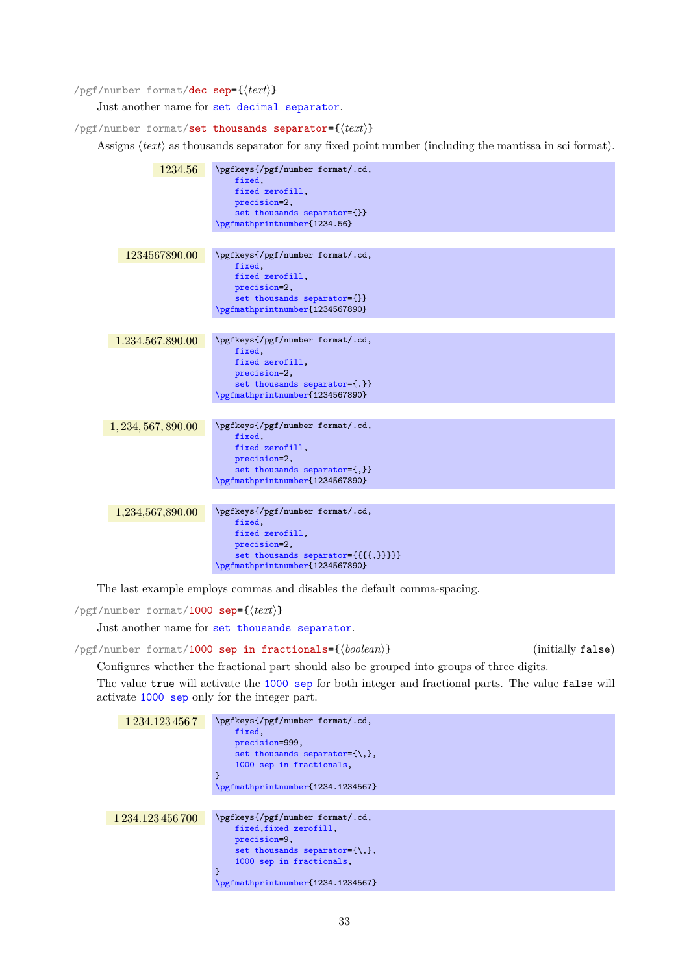# <span id="page-32-3"></span>/pgf/number format/dec sep={ $\langle text \rangle$ }

Just another name for [set decimal separator](#page-31-6).

<span id="page-32-1"></span> $\text{logf/number}$  format/set thousands separator= $\{\text{logf/number}}\}$ 

Assigns  $\langle text \rangle$  as thousands separator for any fixed point number (including the mantissa in sci format).

| 1234.56             | \pgfkeys{/pgf/number format/.cd,<br>fixed,<br>fixed zerofill.<br>precision=2,<br>set thousands separator={}}<br>\pgfmathprintnumber{1234.56}           |
|---------------------|--------------------------------------------------------------------------------------------------------------------------------------------------------|
| 1234567890.00       | \pgfkeys{/pgf/number format/.cd,<br>fixed,<br>fixed zerofill,<br>precision=2,<br>set thousands separator={}}<br>\pgfmathprintnumber{1234567890}        |
| 1.234.567.890.00    | \pgfkeys{/pgf/number format/.cd,<br>fixed,<br>fixed zerofill,<br>precision=2,<br>set thousands separator={.}}<br>\pgfmathprintnumber{1234567890}       |
| 1, 234, 567, 890.00 | \pgfkeys{/pgf/number format/.cd,<br>fixed,<br>fixed zerofill,<br>precision=2,<br>set thousands separator={,}}<br>\pgfmathprintnumber{1234567890}       |
| 1,234,567,890.00    | \pgfkeys{/pgf/number format/.cd,<br>fixed,<br>fixed zerofill,<br>precision=2,<br>set thousands separator={{{{,}}}}}<br>\pgfmathprintnumber{1234567890} |

The last example employs commas and disables the default comma-spacing.

<span id="page-32-0"></span>/pgf/number format/1000 sep={ $\langle text \rangle$ }

Just another name for [set thousands separator](#page-32-1).

```
/pgf/number format/1000 sep in fractionals={hbooleani} (initially false)
```
Configures whether the fractional part should also be grouped into groups of three digits.

The value true will activate the [1000 sep](#page-32-0) for both integer and fractional parts. The value false will activate [1000 sep](#page-32-0) only for the integer part.

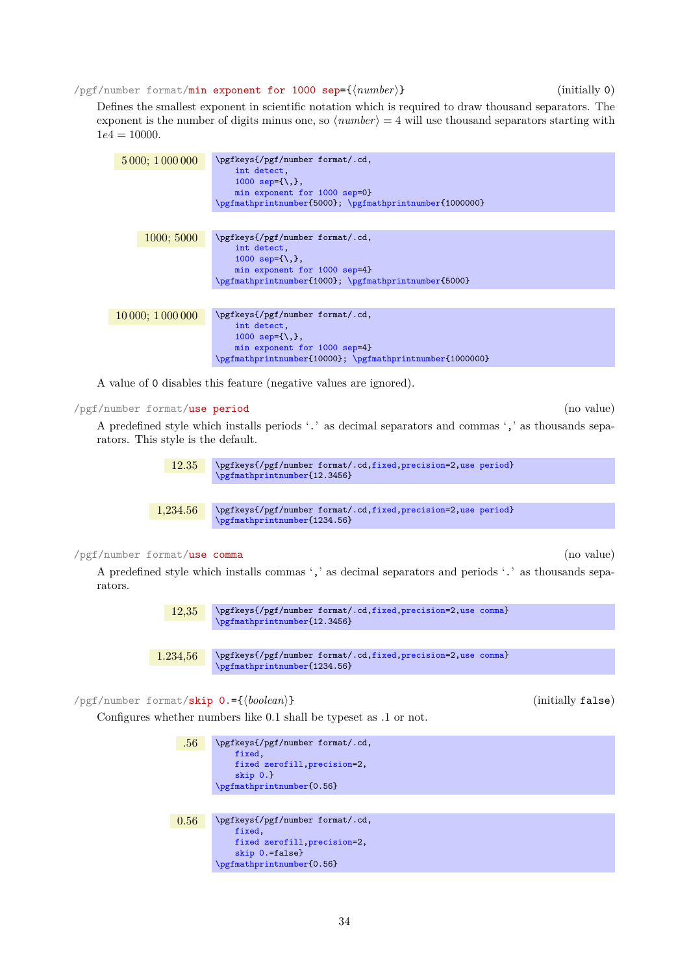<span id="page-33-1"></span>/pgf/number format/min exponent for 1000 sep={h*number*i} (initially 0)

Defines the smallest exponent in scientific notation which is required to draw thousand separators. The exponent is the number of digits minus one, so  $\langle number \rangle = 4$  will use thousand separators starting with  $1e4 = 10000.$ 

| 5 000; 1 000 000 | \pgfkeys{/pgf/number format/.cd,<br>int detect.<br>1000 sep= $\{\},\}$ ,<br>min exponent for 1000 sep=0}<br>\pgfmathprintnumber{5000}; \pgfmathprintnumber{1000000}  |
|------------------|----------------------------------------------------------------------------------------------------------------------------------------------------------------------|
| 1000; 5000       | \pgfkeys{/pgf/number format/.cd,<br>int detect,<br>1000 sep= $\{\},\}$ ,<br>min exponent for 1000 sep=4}<br>\pgfmathprintnumber{1000}; \pgfmathprintnumber{5000}     |
| 10000; 1000000   | \pgfkeys{/pgf/number format/.cd,<br>int detect.<br>1000 sep= $\{\},\}$ ,<br>min exponent for 1000 sep=4}<br>\pgfmathprintnumber{10000}; \pgfmathprintnumber{1000000} |

A value of 0 disables this feature (negative values are ignored).

<span id="page-33-2"></span>/pgf/number format/use period (no value)

A predefined style which installs periods '.' as decimal separators and commas ',' as thousands separators. This style is the default.



1,234.56 \pgfkeys{/pgf/number format/.cd[,fixed,](#page-26-2)[precision=](#page-31-1)2[,use period}](#page-33-2) [\pgfmathprintnumber{](#page-26-3)1234.56}

# <span id="page-33-0"></span>/pgf/number format/use comma (no value)

A predefined style which installs commas ',' as decimal separators and periods '.' as thousands separators.



1.234,56 \pgfkeys{/pgf/number format/.cd[,fixed,](#page-26-2)[precision=](#page-31-1)2[,use comma}](#page-33-0) [\pgfmathprintnumber{](#page-26-3)1234.56}

<span id="page-33-3"></span>/pgf/number format/**skip 0.={** $\{boolean\}$ } (initially false)

Configures whether numbers like 0.1 shall be typeset as .1 or not.

| .56  | \pgfkeys{/pgf/number format/.cd,<br>fixed.<br>fixed zerofill, precision=2,<br>$skip 0.1cm 0.$ }<br>\pgfmathprintnumber{0.56} |
|------|------------------------------------------------------------------------------------------------------------------------------|
|      |                                                                                                                              |
| 0.56 | \pgfkeys{/pgf/number format/.cd,<br>fixed.<br>fixed zerofill, precision=2,<br>skip 0.=false}<br>\pgfmathprintnumber{0.56}    |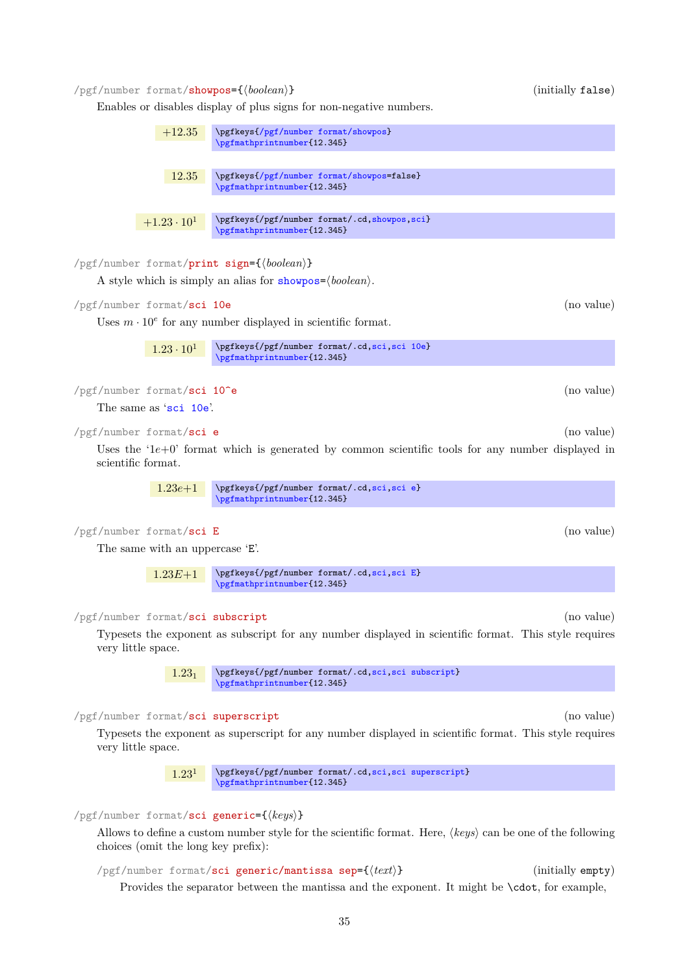<span id="page-34-2"></span>/pgf/number format/showpos={\boolean\}} (initially false)

Enables or disables display of plus signs for non-negative numbers.

<span id="page-34-7"></span><span id="page-34-4"></span><span id="page-34-1"></span>

|                                          | $+12.35$             | \pgfkeys{/pgf/number format/showpos}<br>\pgfmathprintnumber{12.345}                                                                                                                             |            |
|------------------------------------------|----------------------|-------------------------------------------------------------------------------------------------------------------------------------------------------------------------------------------------|------------|
|                                          | 12.35                | \pgfkeys{/pgf/number format/showpos=false}<br>\pgfmathprintnumber{12.345}                                                                                                                       |            |
|                                          | $+1.23 \cdot 10^{1}$ | \pgfkeys{/pgf/number format/.cd, showpos, sci}<br>\pgfmathprintnumber{12.345}                                                                                                                   |            |
|                                          |                      | /pgf/number format/print sign={\boolean}}                                                                                                                                                       |            |
|                                          |                      | A style which is simply an alias for showpos= $\langle boolean \rangle$ .                                                                                                                       |            |
| /pgf/number format/sci 10e               |                      |                                                                                                                                                                                                 | (no value) |
|                                          |                      | Uses $m \cdot 10^e$ for any number displayed in scientific format.                                                                                                                              |            |
|                                          | $1.23 \cdot 10^{1}$  | \pgfkeys{/pgf/number format/.cd,sci,sci 10e}<br>\pgfmathprintnumber{12.345}                                                                                                                     |            |
|                                          |                      |                                                                                                                                                                                                 |            |
| /pgf/number format/sci 10 <sup>o</sup> e |                      |                                                                                                                                                                                                 | (no value) |
| The same as 'sci 10e'.                   |                      |                                                                                                                                                                                                 |            |
| /pgf/number format/sci e                 |                      |                                                                                                                                                                                                 | (no value) |
| scientific format.                       |                      | Uses the ' $1e+0$ ' format which is generated by common scientific tools for any number displayed in                                                                                            |            |
|                                          | $1.23e+1$            | \pgfkeys{/pgf/number format/.cd,sci,sci e}<br>\pgfmathprintnumber{12.345}                                                                                                                       |            |
| /pgf/number format/sci E                 |                      |                                                                                                                                                                                                 | (no value) |
| The same with an uppercase 'E'.          |                      |                                                                                                                                                                                                 |            |
|                                          |                      |                                                                                                                                                                                                 |            |
|                                          | $1.23E+1$            | \pgfkeys{/pgf/number format/.cd,sci,sci E}<br>\pgfmathprintnumber{12.345}                                                                                                                       |            |
|                                          |                      |                                                                                                                                                                                                 |            |
| /pgf/number format/sci subscript         |                      |                                                                                                                                                                                                 | (no value) |
| very little space.                       |                      | Typesets the exponent as subscript for any number displayed in scientific format. This style requires                                                                                           |            |
|                                          | $1.23_1$             | \pgfkeys{/pgf/number format/.cd,sci,sci subscript}<br>\pgfmathprintnumber{12.345}                                                                                                               |            |
| /pgf/number format/sci superscript       |                      |                                                                                                                                                                                                 | (no value) |
| very little space.                       |                      | Typesets the exponent as superscript for any number displayed in scientific format. This style requires                                                                                         |            |
|                                          | 1.23 <sup>1</sup>    | \pgfkeys{/pgf/number format/.cd,sci,sci superscript}<br>\pgfmathprintnumber{12.345}                                                                                                             |            |
|                                          |                      |                                                                                                                                                                                                 |            |
|                                          |                      | $\gamma$ pgf/number format/sci generic={ $\langle keys \rangle$ }<br>Allows to define a custom number style for the scientific format. Here, $\langle keys \rangle$ can be one of the following |            |
| choices (omit the long key prefix):      |                      |                                                                                                                                                                                                 |            |

<span id="page-34-6"></span><span id="page-34-5"></span><span id="page-34-3"></span><span id="page-34-0"></span>/pgf/number format/sci generic/mantissa sep={ $\{ \text{text}\}$ } (initially empty) Provides the separator between the mantissa and the exponent. It might be  $\cdot$ cdot, for example,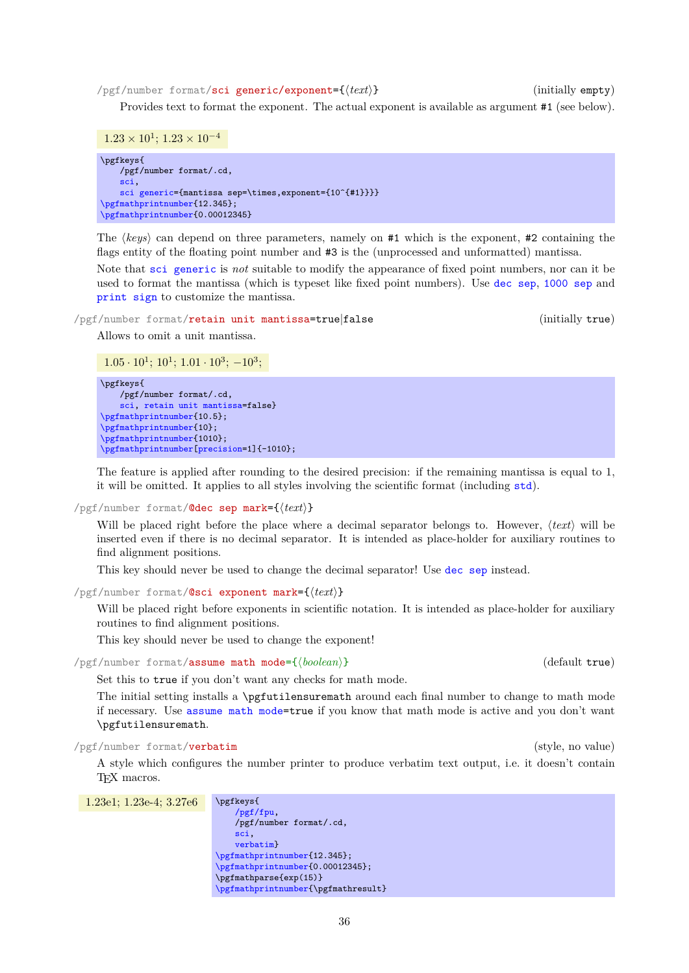/pgf/number format/sci generic/exponent={h*text*i} (initially empty)

Provides text to format the exponent. The actual exponent is available as argument #1 (see below).

```
1.23 \times 10^1; 1.23 \times 10^{-4}
```
\pgfkeys{ /pgf/number format/.cd, [sci,](#page-27-1) [sci generic=](#page-34-6){mantissa sep=\times,exponent={10^{#1}}}} [\pgfmathprintnumber{](#page-26-3)12.345}; [\pgfmathprintnumber{](#page-26-3)0.00012345}

The *(keys)* can depend on three parameters, namely on #1 which is the exponent, #2 containing the flags entity of the floating point number and #3 is the (unprocessed and unformatted) mantissa.

Note that [sci generic](#page-34-6) is *not* suitable to modify the appearance of fixed point numbers, nor can it be used to format the mantissa (which is typeset like fixed point numbers). Use [dec sep](#page-32-3), [1000 sep](#page-32-0) and [print sign](#page-34-7) to customize the mantissa.

<span id="page-35-1"></span>/pgf/number format/retain unit mantissa=true|false (initially true)

Allows to omit a unit mantissa.

 $1.05 \cdot 10^{1}$ ;  $10^{1}$ ;  $1.01 \cdot 10^{3}$ ;  $-10^{3}$ ;

```
\pgfkeys{
    /pgf/number format/.cd,
    sci, retain unit mantissa=false}
\pgfmathprintnumber{10.5};
\pgfmathprintnumber{10};
\pgfmathprintnumber{1010};
\pgfmathprintnumber[precision=1]{-1010};
```
The feature is applied after rounding to the desired precision: if the remaining mantissa is equal to 1, it will be omitted. It applies to all styles involving the scientific format (including [std](#page-27-2)).

 $\text{logf/number}$  format/**@dec sep mark={** $\text{deg}$ }

Will be placed right before the place where a decimal separator belongs to. However,  $\langle text \rangle$  will be inserted even if there is no decimal separator. It is intended as place-holder for auxiliary routines to find alignment positions.

This key should never be used to change the decimal separator! Use [dec sep](#page-32-3) instead.

/pgf/number format/@sci exponent mark={h*text*i}

Will be placed right before exponents in scientific notation. It is intended as place-holder for auxiliary routines to find alignment positions.

This key should never be used to change the exponent!

<span id="page-35-2"></span>/pgf/number format/assume math mode={h*boolean*i} (default true)

Set this to true if you don't want any checks for math mode.

The initial setting installs a \pgfutilensuremath around each final number to change to math mode if necessary. Use [assume math mode=](#page-35-2)true if you know that math mode is active and you don't want \pgfutilensuremath.

<span id="page-35-0"></span>/pgf/number format/verbatim (style, no value)

A style which configures the number printer to produce verbatim text output, i.e. it doesn't contain TEX macros.

| $1.23e1; 1.23e-4; 3.27e6$ | \pgfkeys{                           |
|---------------------------|-------------------------------------|
|                           | /pgf/fpu,                           |
|                           | /pgf/number format/.cd,             |
|                           | sci,                                |
|                           | verbatim}                           |
|                           | \pgfmathprintnumber{12.345};        |
|                           | \pgfmathprintnumber{0.00012345};    |
|                           | \pgfmathparse{exp(15)}              |
|                           | \pgfmathprintnumber{\pgfmathresult} |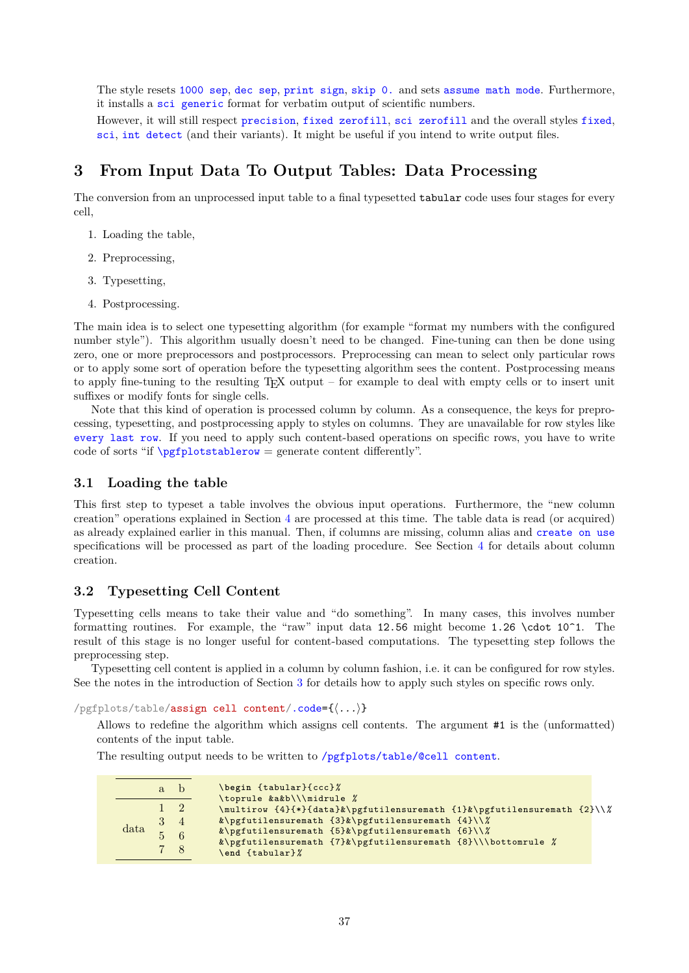<span id="page-36-2"></span>The style resets [1000 sep](#page-32-0), [dec sep](#page-32-1), [print sign](#page-34-0), [skip 0.](#page-33-0) and sets [assume math mode](#page-35-0). Furthermore, it installs a [sci generic](#page-34-1) format for verbatim output of scientific numbers.

However, it will still respect [precision](#page-31-0), [fixed zerofill](#page-26-0), [sci zerofill](#page-27-0) and the overall styles [fixed](#page-26-1), [sci](#page-27-1), [int detect](#page-29-0) (and their variants). It might be useful if you intend to write output files.

# <span id="page-36-0"></span>**3 From Input Data To Output Tables: Data Processing**

The conversion from an unprocessed input table to a final typesetted tabular code uses four stages for every cell,

- 1. Loading the table,
- 2. Preprocessing,
- 3. Typesetting,
- 4. Postprocessing.

The main idea is to select one typesetting algorithm (for example "format my numbers with the configured number style"). This algorithm usually doesn't need to be changed. Fine-tuning can then be done using zero, one or more preprocessors and postprocessors. Preprocessing can mean to select only particular rows or to apply some sort of operation before the typesetting algorithm sees the content. Postprocessing means to apply fine-tuning to the resulting TEX output – for example to deal with empty cells or to insert unit suffixes or modify fonts for single cells.

Note that this kind of operation is processed column by column. As a consequence, the keys for preprocessing, typesetting, and postprocessing apply to styles on columns. They are unavailable for row styles like [every last row](#page-20-0). If you need to apply such content-based operations on specific rows, you have to write code of sorts "if  $\pgfplotstablerow = generate content differently"$  $\pgfplotstablerow = generate content differently"$ .

# **3.1 Loading the table**

This first step to typeset a table involves the obvious input operations. Furthermore, the "new column creation" operations explained in Section [4](#page-46-0) are processed at this time. The table data is read (or acquired) as already explained earlier in this manual. Then, if columns are missing, column alias and [create on use](#page-49-0) specifications will be processed as part of the loading procedure. See Section [4](#page-46-0) for details about column creation.

# **3.2 Typesetting Cell Content**

Typesetting cells means to take their value and "do something". In many cases, this involves number formatting routines. For example, the "raw" input data 12.56 might become 1.26 \cdot 10^1. The result of this stage is no longer useful for content-based computations. The typesetting step follows the preprocessing step.

Typesetting cell content is applied in a column by column fashion, i.e. it can be configured for row styles. See the notes in the introduction of Section [3](#page-36-0) for details how to apply such styles on specific rows only.

<span id="page-36-1"></span>/pgfplots/table/assign cell content[/.code=](#page-59-0){h*...*i}

Allows to redefine the algorithm which assigns cell contents. The argument #1 is the (unformatted) contents of the input table.

The resulting output needs to be written to [/pgfplots/table/@cell content](#page-23-0).

|                | $a_{\cdot}$ | h        | \begin {tabular}{ccc}%                                                                               |  |  |  |  |
|----------------|-------------|----------|------------------------------------------------------------------------------------------------------|--|--|--|--|
|                |             |          | \toprule &a&b\\\midrule %<br>\multirow {4}{*}{data}&\pgfutilensuremath {1}&\pgfutilensuremath {2}\\% |  |  |  |  |
|                |             | $\sim$ 4 | &\pgfutilensuremath $\{3\}\&\pmb{\text{split}$ iensuremath $\{4\}\&\pmb{\text{split}}$               |  |  |  |  |
| $data$ $5$ $6$ |             |          | &\pgfutilensuremath $\{5\}\&\pmb{\text{positive}}$                                                   |  |  |  |  |
|                |             |          | &\pgfutilensuremath {7}&\pgfutilensuremath {8}\\\bottomrule %                                        |  |  |  |  |
|                |             |          | end ftabular}%                                                                                       |  |  |  |  |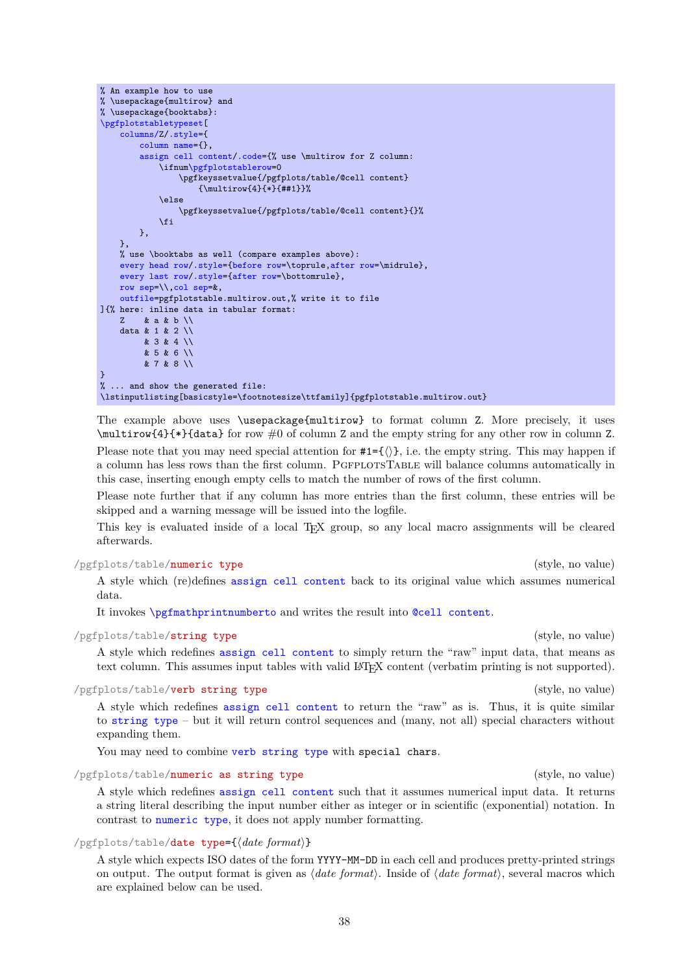```
% \usepackage{multirow} and
% \usepackage{booktabs}:
\pgfplotstabletypeset[
    columns/Z/.style={
        column name={},
        assign cell content/.code={% use \multirow for Z column:
            m\pgfplotstablerow=0
                 \pgfkeyssetvalue{/pgfplots/table/@cell content}
                     {\multirow{4}{*}{##1}}%
            \left\{ \right\}\pgfkeyssetvalue{/pgfplots/table/@cell content}{}%
            \sqrt{fi}},
    },
    % use \booktabs as well (compare examples above):
    every head row/.style={before row=\toprule,after row=\midrule},
    every last row/.style={after row=\bottomrule},
    row sep=\\,col sep=&,
    outfile=pgfplotstable.multirow.out,% write it to file
]{% here: inline data in tabular format:
    Z & a & b \\
    data & 1 & 2 \\
         & 3 & 4 \ \text{)}& 5 & 6 \\
         & 7 & 8 \\
}
% ... and show the generated file:
\lstinputlisting[basicstyle=\footnotesize\ttfamily]{pgfplotstable.multirow.out}
```
The example above uses \usepackage{multirow} to format column Z. More precisely, it uses \multirow{4}{\*}{data} for row #0 of column Z and the empty string for any other row in column Z.

Please note that you may need special attention for  $#1=\{\langle\rangle\}$ , i.e. the empty string. This may happen if a column has less rows than the first column. PGFPLOTSTABLE will balance columns automatically in this case, inserting enough empty cells to match the number of rows of the first column.

Please note further that if any column has more entries than the first column, these entries will be skipped and a warning message will be issued into the logfile.

This key is evaluated inside of a local TEX group, so any local macro assignments will be cleared afterwards.

# <span id="page-37-2"></span>/pgfplots/table/numeric type (style, no value)

<span id="page-37-5"></span>% An example how to use

A style which (re)defines [assign cell content](#page-36-1) back to its original value which assumes numerical data.

It invokes [\pgfmathprintnumberto](#page-26-2) and writes the result into [@cell content](#page-44-0).

# <span id="page-37-0"></span>/pgfplots/table/string type (style, no value)

A style which redefines [assign cell content](#page-36-1) to simply return the "raw" input data, that means as text column. This assumes input tables with valid LATEX content (verbatim printing is not supported).

# <span id="page-37-1"></span>/pgfplots/table/verb string type (style, no value)

A style which redefines [assign cell content](#page-36-1) to return the "raw" as is. Thus, it is quite similar to [string type](#page-37-0) – but it will return control sequences and (many, not all) special characters without expanding them.

You may need to combine [verb string type](#page-37-1) with special chars.

# <span id="page-37-4"></span>/pgfplots/table/numeric as string type (style, no value)

A style which redefines [assign cell content](#page-36-1) such that it assumes numerical input data. It returns a string literal describing the input number either as integer or in scientific (exponential) notation. In contrast to [numeric type](#page-37-2), it does not apply number formatting.

# <span id="page-37-3"></span> $\text{logfplots/table/date type}=\{\text{data form} \}$

A style which expects ISO dates of the form YYYY-MM-DD in each cell and produces pretty-printed strings on output. The output format is given as  $\langle date\ format \rangle$ . Inside of  $\langle date\ format \rangle$ , several macros which are explained below can be used.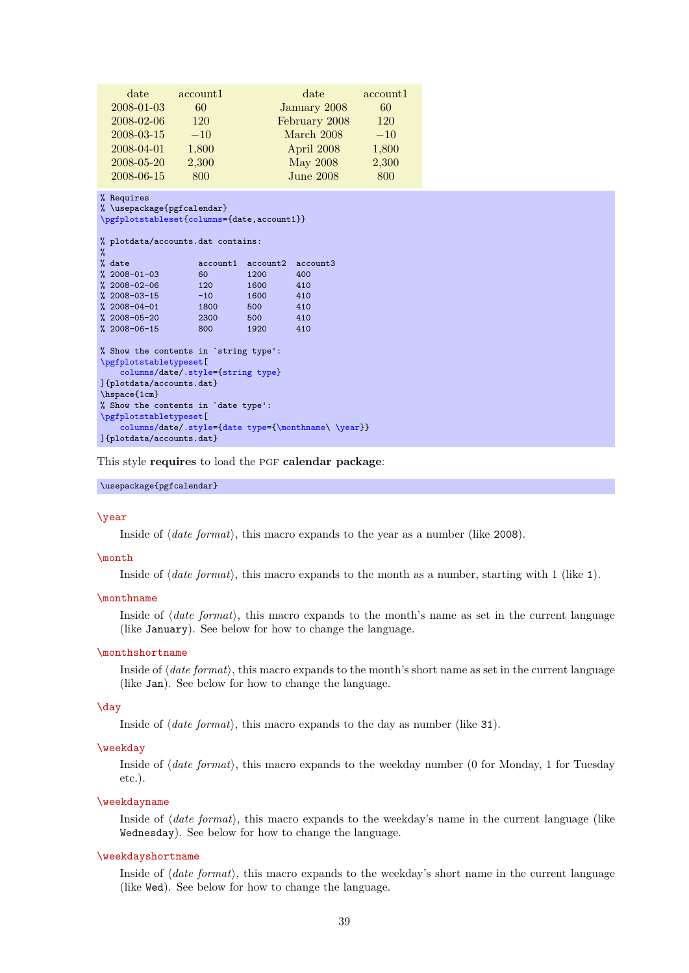<span id="page-38-2"></span>

| date                                                                                   | account1 | date             | account1 |  |  |  |
|----------------------------------------------------------------------------------------|----------|------------------|----------|--|--|--|
| 2008-01-03                                                                             | 60       | January 2008     | 60       |  |  |  |
| 2008-02-06                                                                             | 120      | February 2008    | 120      |  |  |  |
| 2008-03-15                                                                             | $-10$    | March 2008       | $-10$    |  |  |  |
| 2008-04-01                                                                             | 1,800    | April 2008       | 1,800    |  |  |  |
| $2008 - 05 - 20$                                                                       | 2,300    | May 2008         | 2,300    |  |  |  |
| 2008-06-15                                                                             | 800      | <b>June 2008</b> | 800      |  |  |  |
| % Requires<br>% \usepackage{pgfcalendar}<br>\pgfplotstableset{columns={date,account1}} |          |                  |          |  |  |  |

```
% plotdata/accounts.dat contains:
% date
                     \text{account1 account2 account2} \text{account3}<br>\text{60} \text{1200} \text{400}% 2008-01-03 60 1200 400<br>% 2008-02-06 120 1600 410
% 2008-02-06 120 1600 410<br>% 2008-03-15 -10 1600 410
% 2008 - 03 - 15% 2008-04-01 1800 500 410
% 2008 - 05 - 20% 2008-06-15 800 1920 410
% Show the contents in `string type':
\pgfplotstabletypeset[
    columns/date/.style={string type}
]{plotdata/accounts.dat}
\hspace{1cm}
% Show the contents in `date type':
\pgfplotstabletypeset[
     columns/d/.style={date type={\monthname\\year}}
]{plotdata/accounts.dat}
```
This style **requires** to load the pgf **calendar package**:

#### \usepackage{pgfcalendar}

#### <span id="page-38-1"></span>\year

Inside of *date format*), this macro expands to the year as a number (like 2008).

#### \month

Inside of  $\langle date\ format \rangle$ , this macro expands to the month as a number, starting with 1 (like 1).

#### <span id="page-38-0"></span>\monthname

Inside of  $\langle date\ format \rangle$ , this macro expands to the month's name as set in the current language (like January). See below for how to change the language.

#### \monthshortname

Inside of  $\langle date\ format \rangle$ , this macro expands to the month's short name as set in the current language (like Jan). See below for how to change the language.

# \day

Inside of  $\langle date\ format \rangle$ , this macro expands to the day as number (like 31).

#### \weekday

Inside of *(date format)*, this macro expands to the weekday number (0 for Monday, 1 for Tuesday etc.).

#### \weekdayname

Inside of  $\langle date\ format \rangle$ , this macro expands to the weekday's name in the current language (like Wednesday). See below for how to change the language.

#### \weekdayshortname

Inside of *(date format)*, this macro expands to the weekday's short name in the current language (like Wed). See below for how to change the language.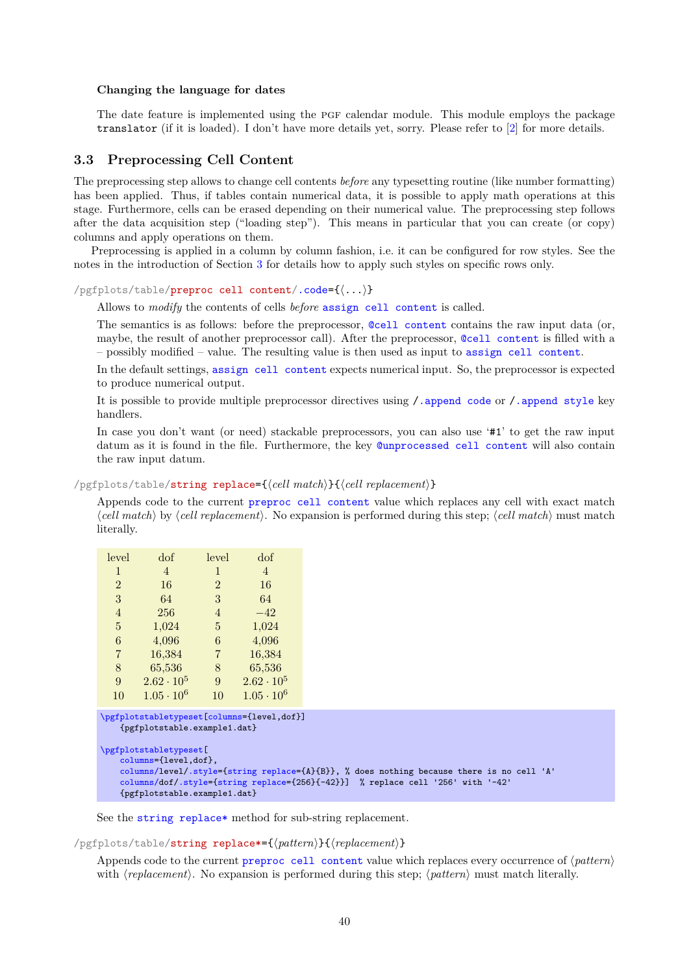#### <span id="page-39-3"></span>**Changing the language for dates**

The date feature is implemented using the PGF calendar module. This module employs the package translator (if it is loaded). I don't have more details yet, sorry. Please refer to [\[2\]](#page-71-0) for more details.

# **3.3 Preprocessing Cell Content**

The preprocessing step allows to change cell contents *before* any typesetting routine (like number formatting) has been applied. Thus, if tables contain numerical data, it is possible to apply math operations at this stage. Furthermore, cells can be erased depending on their numerical value. The preprocessing step follows after the data acquisition step ("loading step"). This means in particular that you can create (or copy) columns and apply operations on them.

Preprocessing is applied in a column by column fashion, i.e. it can be configured for row styles. See the notes in the introduction of Section [3](#page-36-0) for details how to apply such styles on specific rows only.

<span id="page-39-0"></span>/pgfplots/table/preproc cell content[/.code=](#page-59-0){h*...*i}

Allows to *modify* the contents of cells *before* [assign cell content](#page-36-1) is called.

The semantics is as follows: before the preprocessor, [@cell content](#page-44-0) contains the raw input data (or, maybe, the result of another preprocessor call). After the preprocessor, [@cell content](#page-44-0) is filled with a – possibly modified – value. The resulting value is then used as input to [assign cell content](#page-36-1).

In the default settings, [assign cell content](#page-36-1) expects numerical input. So, the preprocessor is expected to produce numerical output.

It is possible to provide multiple preprocessor directives using [/.append code](#page-59-1) or [/.append style](#page-59-2) key handlers.

In case you don't want (or need) stackable preprocessors, you can also use '#1' to get the raw input datum as it is found in the file. Furthermore, the key [@unprocessed cell content](#page-44-1) will also contain the raw input datum.

<span id="page-39-1"></span>/pgfplots/table/string replace={\*cell match*}}{\*cell replacement*}}

Appends code to the current [preproc cell content](#page-39-0) value which replaces any cell with exact match  $\ell$ *cell match*) by  $\ell$ *cell replacement*). No expansion is performed during this step;  $\ell$ *cell match*) must match literally.

| level          | dof                 | level          | dof                 |
|----------------|---------------------|----------------|---------------------|
| 1              | 4                   | $\mathbf{1}$   | 4                   |
| $\overline{2}$ | 16                  | $\mathfrak{D}$ | 16                  |
| 3              | 64                  | 3              | 64                  |
| 4              | 256                 | $\overline{4}$ | $-42$               |
| 5              | 1,024               | 5              | 1,024               |
| 6              | 4,096               | 6              | 4,096               |
| 7              | 16,384              | 7              | 16,384              |
| 8              | 65,536              | 8              | 65,536              |
| 9              | $2.62 \cdot 10^5$   | 9              | $2.62 \cdot 10^{5}$ |
| 10             | $1.05 \cdot 10^{6}$ | 10             | $1.05 \cdot 10^{6}$ |

```
\pgfplotstabletypeset[columns={level,dof}]
    {pgfplotstable.example1.dat}
\pgfplotstabletypeset[
   columns={level,dof},
   columns/level/.style={string replace={A}{B}}, % does nothing because there is no cell 'A'
   columns/dof/.style={string replace={256}{-42}}] % replace cell '256' with '-42'
   {pgfplotstable.example1.dat}
```
See the [string replace\\*](#page-39-2) method for sub-string replacement.

<span id="page-39-2"></span>/pgfplots/table/string replace\*={\pattern}}{\replacement}}

Appends code to the current [preproc cell content](#page-39-0) value which replaces every occurrence of  $\langle pattern \rangle$ with  $\langle replacement \rangle$ . No expansion is performed during this step;  $\langle pattern \rangle$  must match literally.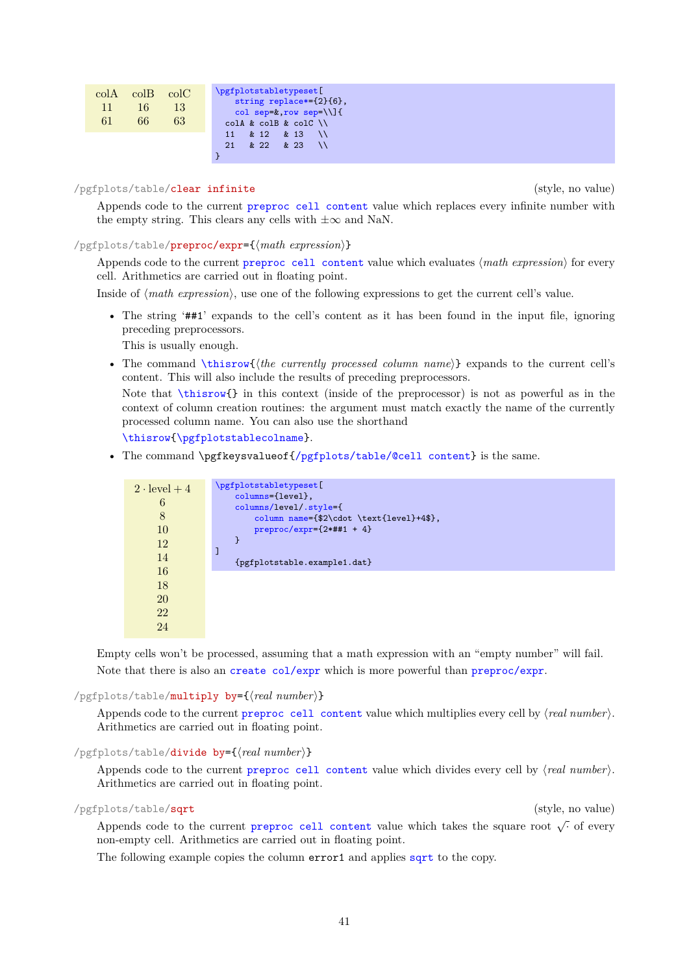<span id="page-40-3"></span>

| $\text{colB}$ $\text{colC}$<br>$\mathrm{colA}$<br>13<br>16<br>11<br>61<br>63<br>66 | \pgfplotstabletypeset[<br>string replace*= ${2}$ {6},<br>col sep= $k, row sep=\1]$<br>$coll$ & colB & colC $\setminus$ |
|------------------------------------------------------------------------------------|------------------------------------------------------------------------------------------------------------------------|
|                                                                                    | & 12 & 13<br>11<br>& 22<br>$\&$ 23<br>21                                                                               |

#### /pgfplots/table/clear infinite (style, no value)

Appends code to the current [preproc cell content](#page-39-0) value which replaces every infinite number with the empty string. This clears any cells with  $\pm\infty$  and NaN.

<span id="page-40-0"></span>/pgfplots/table/preproc/expr={ $\{matherth\ expression\}$ }

Appends code to the current [preproc cell content](#page-39-0) value which evaluates (*math expression*) for every cell. Arithmetics are carried out in floating point.

Inside of  $\langle \text{math expression} \rangle$ , use one of the following expressions to get the current cell's value.

• The string '##1' expands to the cell's content as it has been found in the input file, ignoring preceding preprocessors.

This is usually enough.

• The command  $\theta$  (*thisrow{(the currently processed column name*)} expands to the current cell's content. This will also include the results of preceding preprocessors.

Note that  $\theta$  in this context (inside of the preprocessor) is not as powerful as in the context of column creation routines: the argument must match exactly the name of the currently processed column name. You can also use the shorthand

[\thisrow](#page-48-0)[{\pgfplotstablecolname}](#page-15-1).

• The command \pgfkeysvalueof[{/pgfplots/table/@cell content}](#page-23-0) is the same.

| \pgfplotstabletypeset[                   |
|------------------------------------------|
| columns={level},                         |
| columns/level/.style={                   |
| column name={\$2\cdot \text{level}+4\$}, |
| $preproc/expr={2*##1 + 4}$               |
| ŀ                                        |
| 1                                        |
| {pgfplotstable.example1.dat}             |
|                                          |
|                                          |
|                                          |
|                                          |
|                                          |
|                                          |

Empty cells won't be processed, assuming that a math expression with an "empty number" will fail. Note that there is also an [create col/expr](#page-51-0) which is more powerful than [preproc/expr](#page-40-0).

#### <span id="page-40-2"></span>/pgfplots/table/multiply by={\real number}}

Appends code to the current [preproc cell content](#page-39-0) value which multiplies every cell by  $\langle real\ number \rangle$ . Arithmetics are carried out in floating point.

# /pgfplots/table/divide by={ $\{real\ number\}$ }

Appends code to the current [preproc cell content](#page-39-0) value which divides every cell by  $\langle real\ number \rangle$ . Arithmetics are carried out in floating point.

# <span id="page-40-1"></span>/pgfplots/table/sqrt (style, no value)

Appends code to the current [preproc cell content](#page-39-0) value which takes the square root  $\sqrt{\cdot}$  of every non-empty cell. Arithmetics are carried out in floating point.

The following example copies the column error1 and applies [sqrt](#page-40-1) to the copy.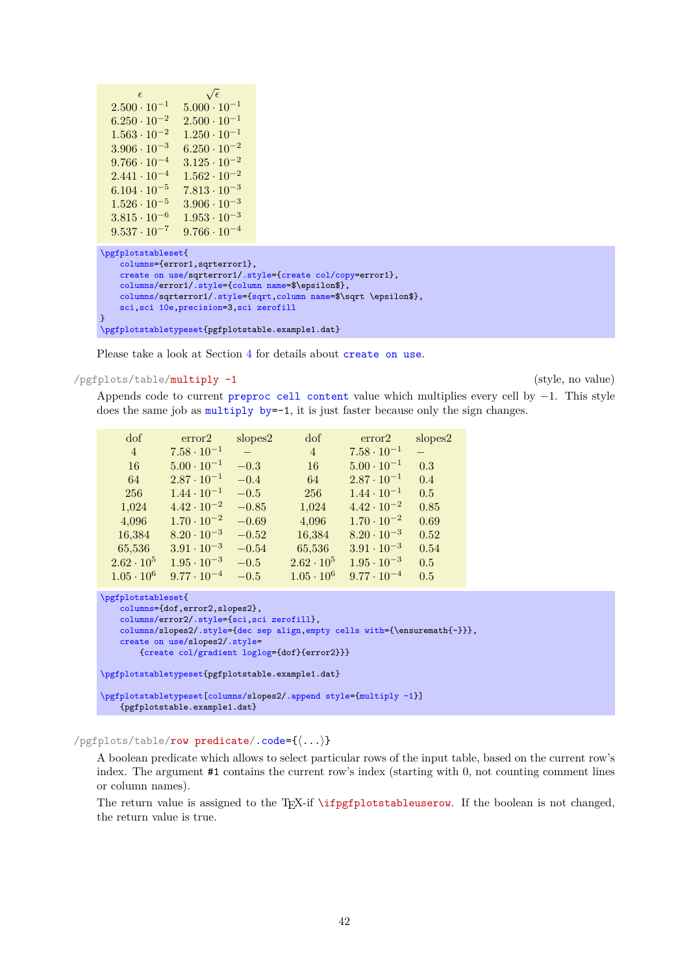```
\epsilon\sqrt{\epsilon}2.500 \cdot 10^{-1} 5.000 \cdot 10^{-1}<br>6.250 \cdot 10^{-2} 2.500 \cdot 10^{-1}6.250 \cdot 10^{-2} 2.500 \cdot 10^{-1}<br>1.563 \cdot 10^{-2} 1.250 \cdot 10^{-1}\frac{1.563 \cdot 10^{-2}}{3.906 \cdot 10^{-3}}6.250 \cdot 10^{-2}\begin{array}{r} 9.766 \cdot 10^{-4} \quad \, 3.125 \cdot 10^{-2} \\ 2.441 \cdot 10^{-4} \quad \, 1.562 \cdot 10^{-2} \end{array}2.441 \cdot 10^{-4}6.104 \cdot 10^{-5} 7.813 \cdot 10^{-3}1.526 \cdot 10^{-5} 3.906 \cdot 10^{-3}3.815 \cdot 10^{-6} 1.953 \cdot 10^{-3}9.537 \cdot 10^{-7} 9.766 \cdot 10^{-4}\pgfplotstableset{
      columns={error1,sqrterror1},
      create on use/sqrterror1/.style={create col/copy=error1},
      columns/error1/.style={column name=$\epsilon$},
      columns/sqrterror1/.style={sqrt,column name=$\sqrt \epsilon$},
      sci,sci 10e,precision=3,sci zerofill
}
\pgfplotstabletypeset{pgfplotstable.example1.dat}
```
Please take a look at Section [4](#page-46-0) for details about [create on use](#page-49-0).

#### <span id="page-41-0"></span>/pgfplots/table/multiply -1 (style, no value)

Appends code to current [preproc cell content](#page-39-0) value which multiplies every cell by −1. This style does the same job as multiply by--1, it is just faster because only the sign changes.

| dof               | error2               | slopes2 | dof               | error2               | slopes2 |
|-------------------|----------------------|---------|-------------------|----------------------|---------|
| $\overline{4}$    | $7.58 \cdot 10^{-1}$ |         | $\overline{4}$    | $7.58 \cdot 10^{-1}$ |         |
| 16                | $5.00 \cdot 10^{-1}$ | $-0.3$  | 16                | $5.00 \cdot 10^{-1}$ | 0.3     |
| 64                | $2.87 \cdot 10^{-1}$ | $-0.4$  | 64                | $2.87 \cdot 10^{-1}$ | 0.4     |
| 256               | $1.44 \cdot 10^{-1}$ | $-0.5$  | 256               | $1.44 \cdot 10^{-1}$ | 0.5     |
| 1,024             | $4.42 \cdot 10^{-2}$ | $-0.85$ | 1,024             | $4.42 \cdot 10^{-2}$ | 0.85    |
| 4,096             | $1.70 \cdot 10^{-2}$ | $-0.69$ | 4,096             | $1.70 \cdot 10^{-2}$ | 0.69    |
| 16,384            | $8.20 \cdot 10^{-3}$ | $-0.52$ | 16,384            | $8.20 \cdot 10^{-3}$ | 0.52    |
| 65,536            | $3.91 \cdot 10^{-3}$ | $-0.54$ | 65,536            | $3.91 \cdot 10^{-3}$ | 0.54    |
| $2.62 \cdot 10^5$ | $1.95 \cdot 10^{-3}$ | $-0.5$  | $2.62 \cdot 10^5$ | $1.95 \cdot 10^{-3}$ | 0.5     |
| $1.05 \cdot 10^6$ | $9.77 \cdot 10^{-4}$ | $-0.5$  | $1.05 \cdot 10^6$ | $9.77 \cdot 10^{-4}$ | 0.5     |

```
\pgfplotstableset{
   columns={dof,error2,slopes2},
   columns/error2/.style={sci,sci zerofill},
   columns/slopes2/.style={dec sep align,empty cells with={\ensuremath{-}}},
   create on use/slopes2/.style=
       {create col/gradient loglog={dof}{error2}}}
\pgfplotstabletypeset{pgfplotstable.example1.dat}
```

```
\pgfplotstabletypeset[columns/slopes2/.append style={multiply -1}]
   {pgfplotstable.example1.dat}
```
<span id="page-41-1"></span>/pgfplots/table/row predicate[/.code=](#page-59-0){h*...*i}

A boolean predicate which allows to select particular rows of the input table, based on the current row's index. The argument #1 contains the current row's index (starting with 0, not counting comment lines or column names).

The return value is assigned to the T<sub>EX</sub>-if  $\iff$  The return value is not changed, the return value is true.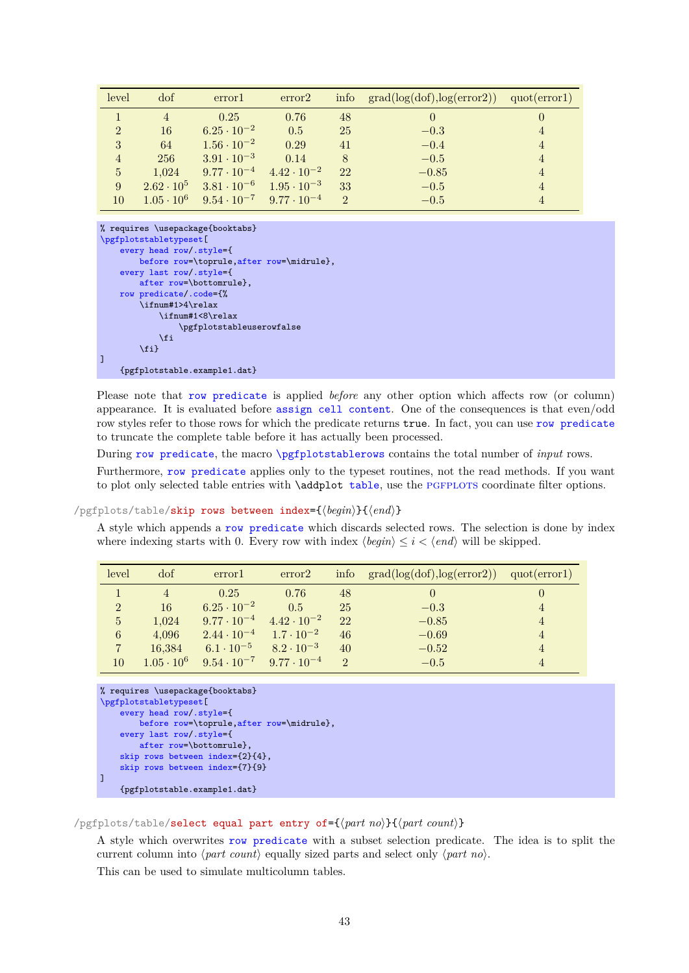<span id="page-42-2"></span>

| level          | dof               | error                                                       | error2                                    |          | info $grad(log(dot), log(error2))$ | quot(error1)   |
|----------------|-------------------|-------------------------------------------------------------|-------------------------------------------|----------|------------------------------------|----------------|
|                | 4                 | 0.25                                                        | 0.76                                      | 48       | $\left( \right)$                   |                |
| $\overline{2}$ | 16                | $6.25 \cdot 10^{-2}$                                        | 0.5                                       | 25       | $-0.3$                             | $\overline{4}$ |
| 3              | 64                | $1.56 \cdot 10^{-2}$                                        | 0.29                                      | 41       | $-0.4$                             | $\overline{4}$ |
| $\overline{4}$ | 256               | $3.91 \cdot 10^{-3}$                                        | 0.14                                      | 8        | $-0.5$                             | $\overline{4}$ |
| $\overline{5}$ | 1.024             |                                                             | $9.77 \cdot 10^{-4}$ $4.42 \cdot 10^{-2}$ | 22       | $-0.85$                            | $\overline{4}$ |
| 9              | $2.62 \cdot 10^5$ | $3.81 \cdot 10^{-6}$                                        | $1.95 \cdot 10^{-3}$                      | 33       | $-0.5$                             | $\overline{4}$ |
| 10             |                   | $1.05 \cdot 10^6$ $9.54 \cdot 10^{-7}$ $9.77 \cdot 10^{-4}$ |                                           | $\Omega$ | $-0.5$                             |                |

```
% requires \usepackage{booktabs}
\pgfplotstabletypeset[
    every head row/.style={
        before row=\toprule,after row=\midrule},
    every last row/.style={
        after row=\bottomrule},
    row predicate/.code={%
         \ifnum#1>4\relax
             \ifnum#1<8\relax
                  \pgfplotstableuserowfalse
             \chi_{fi}\overline{\text{til}}]
    {pgfplotstable.example1.dat}
```
Please note that [row predicate](#page-41-1) is applied *before* any other option which affects row (or column) appearance. It is evaluated before [assign cell content](#page-36-1). One of the consequences is that even/odd row styles refer to those rows for which the predicate returns true. In fact, you can use [row predicate](#page-41-1) to truncate the complete table before it has actually been processed.

During [row predicate](#page-41-1), the macro [\pgfplotstablerows](#page-16-1) contains the total number of *input* rows.

Furthermore, [row predicate](#page-41-1) applies only to the typeset routines, not the read methods. If you want to plot only selected [table](#page-56-0) entries with  $\addplot$  table, use the PGFPLOTS coordinate filter options.

#### <span id="page-42-0"></span>/pgfplots/table/skip rows between index={ $\{begin{matrix} h\end{matrix}$ }{ $\{end\}$ }

A style which appends a [row predicate](#page-41-1) which discards selected rows. The selection is done by index where indexing starts with 0. Every row with index  $\langle begin \rangle \leq i < \langle end \rangle$  will be skipped.

| level          | dof               | error                                     | error <sub>2</sub>   |               | info $grad(log(dd), log(error2))$ $quot(error1)$ |  |
|----------------|-------------------|-------------------------------------------|----------------------|---------------|--------------------------------------------------|--|
|                |                   | 0.25                                      | 0.76                 | 48            | $\theta$                                         |  |
| $\overline{2}$ | 16                | $6.25 \cdot 10^{-2}$                      | 0.5                  | 25            | $-0.3$                                           |  |
| $\overline{5}$ | 1.024             | $9.77 \cdot 10^{-4}$                      | $4.42 \cdot 10^{-2}$ | 22            | $-0.85$                                          |  |
| 6              | 4.096             | $2.44 \cdot 10^{-4}$                      | $1.7 \cdot 10^{-2}$  | 46            | $-0.69$                                          |  |
| $\overline{7}$ | 16.384            | $6.1 \cdot 10^{-5}$                       | $8.2 \cdot 10^{-3}$  | 40            | $-0.52$                                          |  |
| 10             | $1.05 \cdot 10^6$ | $9.54 \cdot 10^{-7}$ $9.77 \cdot 10^{-4}$ |                      | $\mathcal{D}$ | $-0.5$                                           |  |

```
% requires \usepackage{booktabs}
\pgfplotstabletypeset[
    every head row/.style={
        before row=\toprule,after row=\midrule},
    every last row/.style={
        after row=\bottomrule},
    skip rows between index={2}{4},
    skip rows between index={7}{9}
]
    {pgfplotstable.example1.dat}
```
#### <span id="page-42-1"></span> $\pi$  /pgfplots/table/select equal part entry of= $\{\sqrt{part}\ no\}$ } $\{\sqrt{part}\ count\}$

A style which overwrites [row predicate](#page-41-1) with a subset selection predicate. The idea is to split the current column into  $\langle part\ count \rangle$  equally sized parts and select only  $\langle part\ no \rangle$ .

This can be used to simulate multicolumn tables.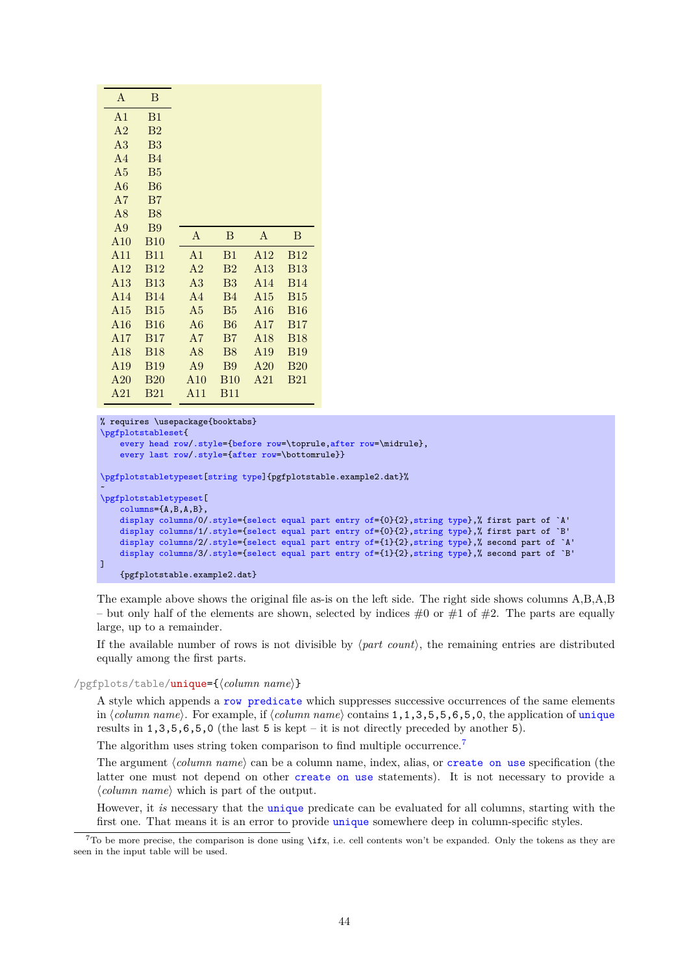<span id="page-43-2"></span>

| A              | B               |                |                |                 |             |
|----------------|-----------------|----------------|----------------|-----------------|-------------|
| A <sub>1</sub> | B1              |                |                |                 |             |
| A <sub>2</sub> | B <sub>2</sub>  |                |                |                 |             |
| A <sub>3</sub> | B <sub>3</sub>  |                |                |                 |             |
| A <sub>4</sub> | B <sub>4</sub>  |                |                |                 |             |
| A <sub>5</sub> | B <sub>5</sub>  |                |                |                 |             |
| A6             | <b>B6</b>       |                |                |                 |             |
| A7             | B7              |                |                |                 |             |
| A8             | <b>B8</b>       |                |                |                 |             |
| A <sub>9</sub> | <b>B</b> 9      | A              | B              | $\mathbf{A}$    | B           |
| A10            | <b>B10</b>      |                |                |                 |             |
| A11            | <b>B11</b>      | A <sub>1</sub> | B1             | A <sub>12</sub> | <b>B</b> 12 |
| A12            | <b>B</b> 12     | A <sub>2</sub> | $_{\rm B2}$    | A13             | <b>B13</b>  |
| A13            | <b>B13</b>      | A <sub>3</sub> | B <sub>3</sub> | A <sub>14</sub> | <b>B14</b>  |
| A14            | <b>B14</b>      | A <sub>4</sub> | <b>B4</b>      | A15             | <b>B15</b>  |
| A15            | <b>B15</b>      | A5             | B <sub>5</sub> | A16             | <b>B16</b>  |
| A16            | <b>B16</b>      | A6             | B6             | A17             | <b>B17</b>  |
| A17            | <b>B17</b>      | A7             | B7             | A18             | <b>B18</b>  |
| A18            | <b>B18</b>      | A8             | <b>B8</b>      | A19             | <b>B</b> 19 |
| A19            | <b>B19</b>      | A <sub>9</sub> | <b>B</b> 9     | A20             | <b>B20</b>  |
| A20            | B <sub>20</sub> | A10            | <b>B</b> 10    | A21             | <b>B21</b>  |
| A21            | <b>B21</b>      | A11            | <b>B11</b>     |                 |             |

```
% requires \usepackage{booktabs}
\pgfplotstableset{
    every head row/.style={before row=,after row=\midrule},
    every last row/.style={after row=\bottomrule}}
\pgfplotstabletypeset[string type]{pgfplotstable.example2.dat}%
~
\pgfplotstabletypeset[
    columns={A,B,A,B},
    display columns/0/.style={select equal part entry of={0}{2},string type},% first part of `A'
    display columns/1/.style={select equal part entry of={0}{2}, string type},% first part of `B'
    display columns/2/.style={select equal part entry of={1}{2}, string type},% second part of `A'
    display columns/3/.style={select equal part entry of={1}{2},string type},% second part of `B'
\overline{1}{pgfplotstable.example2.dat}
```
The example above shows the original file as-is on the left side. The right side shows columns A,B,A,B – but only half of the elements are shown, selected by indices  $\#0$  or  $\#1$  of  $\#2$ . The parts are equally large, up to a remainder.

If the available number of rows is not divisible by  $\langle$ *part count* $\rangle$ , the remaining entries are distributed equally among the first parts.

#### <span id="page-43-0"></span>/pgfplots/table/unique={ $\{ \text{column } name \}$ }

A style which appends a [row predicate](#page-41-1) which suppresses successive occurrences of the same elements in *(column name)*. For example, if *(column name)* contains 1,1,3,5,5,6,5,0, the application of [unique](#page-43-0) results in  $1,3,5,6,5,0$  (the last 5 is kept – it is not directly preceded by another 5).

The algorithm uses string token comparison to find multiple occurrence.<sup>[7](#page-43-1)</sup>

The argument  $\langle column \ name \rangle$  can be a column name, index, alias, or [create on use](#page-49-0) specification (the latter one must not depend on other [create on use](#page-49-0) statements). It is not necessary to provide a  $\langle column \ name \rangle$  which is part of the output.

However, it *is* necessary that the [unique](#page-43-0) predicate can be evaluated for all columns, starting with the first one. That means it is an error to provide [unique](#page-43-0) somewhere deep in column-specific styles.

<span id="page-43-1"></span> $7$ To be more precise, the comparison is done using \ifx, i.e. cell contents won't be expanded. Only the tokens as they are seen in the input table will be used.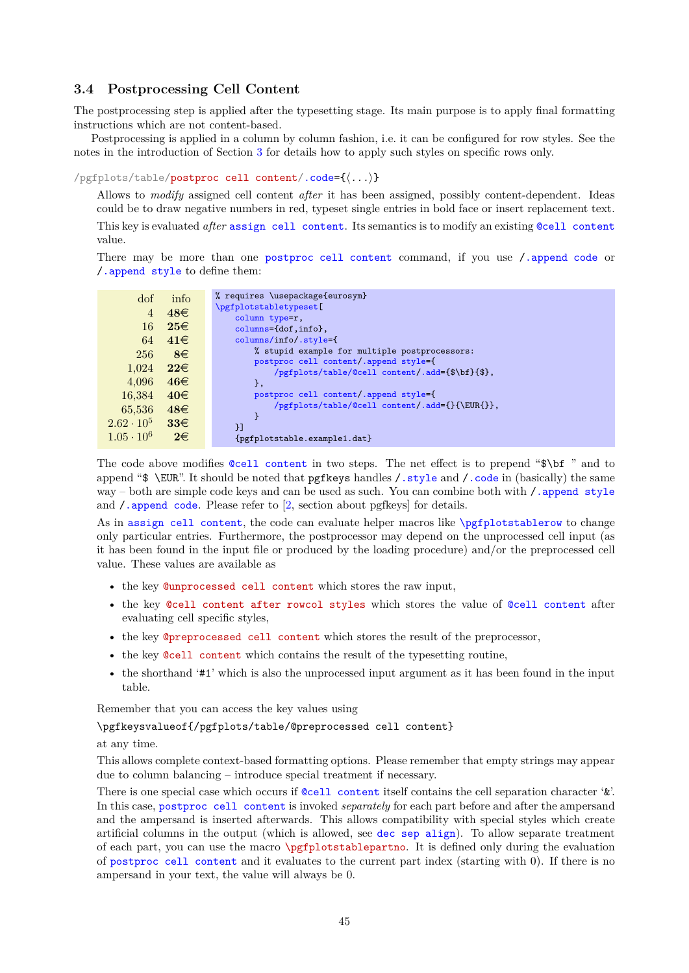# <span id="page-44-3"></span>**3.4 Postprocessing Cell Content**

The postprocessing step is applied after the typesetting stage. Its main purpose is to apply final formatting instructions which are not content-based.

Postprocessing is applied in a column by column fashion, i.e. it can be configured for row styles. See the notes in the introduction of Section [3](#page-36-0) for details how to apply such styles on specific rows only.

<span id="page-44-2"></span>/pgfplots/table/postproc cell content[/.code=](#page-59-0){h*...*i}

Allows to *modify* assigned cell content *after* it has been assigned, possibly content-dependent. Ideas could be to draw negative numbers in red, typeset single entries in bold face or insert replacement text. This key is evaluated *after* [assign cell content](#page-36-1). Its semantics is to modify an existing [@cell content](#page-44-0) value.

There may be more than one [postproc cell content](#page-44-2) command, if you use [/.append code](#page-59-1) or [/.append style](#page-59-2) to define them:

| dof                                           |
|-----------------------------------------------|
| $\overline{4}$                                |
|                                               |
| 16                                            |
| 64                                            |
| 256                                           |
|                                               |
|                                               |
|                                               |
| 16,384                                        |
|                                               |
|                                               |
|                                               |
| $1.05 \cdot 10^6$                             |
| 1,024<br>4,096<br>65,536<br>$2.62 \cdot 10^5$ |

The code above modifies [@cell content](#page-44-0) in two steps. The net effect is to prepend "\$\bf " and to append "\$ \EUR". It should be noted that pgfkeys handles / style and / code in (basically) the same way – both are simple code keys and can be used as such. You can combine both with  $/$  append style and  $\ell$ . append code. Please refer to  $[2,$  section about pgfkeys for details.

As in [assign cell content](#page-36-1), the code can evaluate helper macros like [\pgfplotstablerow](#page-15-0) to change only particular entries. Furthermore, the postprocessor may depend on the unprocessed cell input (as it has been found in the input file or produced by the loading procedure) and/or the preprocessed cell value. These values are available as

- <span id="page-44-1"></span>• the key @unprocessed cell content which stores the raw input,
- the key @cell content after rowcol styles which stores the value of [@cell content](#page-44-0) after evaluating cell specific styles,
- the key @preprocessed cell content which stores the result of the preprocessor,
- <span id="page-44-0"></span>• the key @cell content which contains the result of the typesetting routine,
- the shorthand '#1' which is also the unprocessed input argument as it has been found in the input table.

Remember that you can access the key values using

\pgfkeysvalueof{/pgfplots/table/@preprocessed cell content}

#### at any time.

This allows complete context-based formatting options. Please remember that empty strings may appear due to column balancing – introduce special treatment if necessary.

There is one special case which occurs if [@cell content](#page-44-0) itself contains the cell separation character '&'. In this case, [postproc cell content](#page-44-2) is invoked *separately* for each part before and after the ampersand and the ampersand is inserted afterwards. This allows compatibility with special styles which create artificial columns in the output (which is allowed, see [dec sep align](#page-12-0)). To allow separate treatment of each part, you can use the macro \pgfplotstablepartno. It is defined only during the evaluation of [postproc cell content](#page-44-2) and it evaluates to the current part index (starting with 0). If there is no ampersand in your text, the value will always be 0.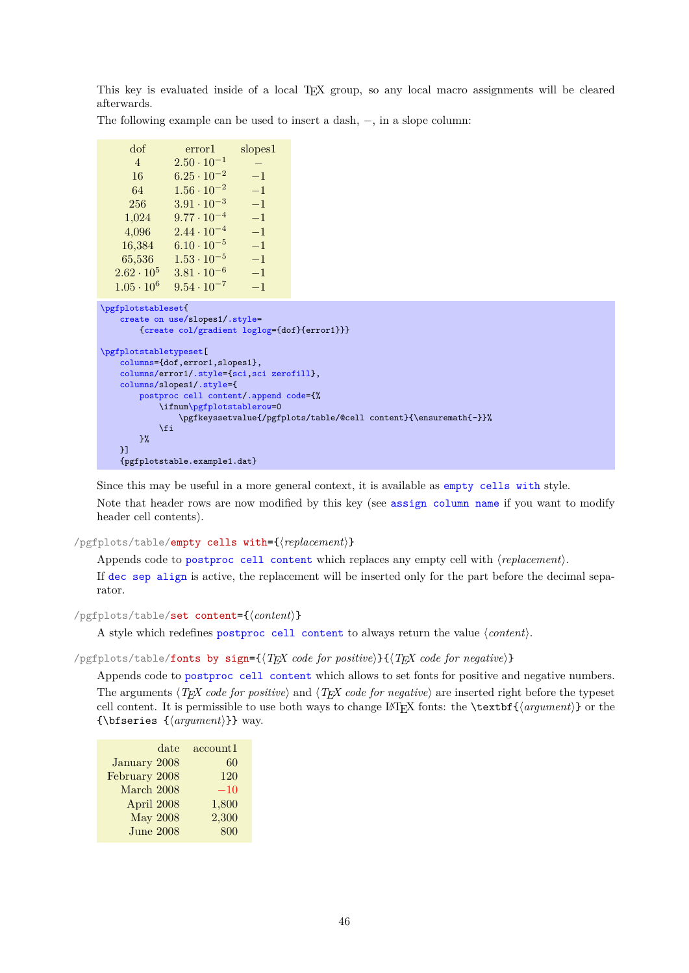<span id="page-45-2"></span>This key is evaluated inside of a local TEX group, so any local macro assignments will be cleared afterwards.

The following example can be used to insert a dash, −, in a slope column:

| dof                 | error1               | $\text{slopes1}$ |
|---------------------|----------------------|------------------|
| $\overline{4}$      | $2.50 \cdot 10^{-1}$ |                  |
| 16                  | $6.25 \cdot 10^{-2}$ | $-1$             |
| 64                  | $1.56 \cdot 10^{-2}$ | $-1$             |
| 256                 | $3.91 \cdot 10^{-3}$ | $-1$             |
| 1,024               | $9.77 \cdot 10^{-4}$ | $-1$             |
| 4,096               | $2.44 \cdot 10^{-4}$ | $-1$             |
| 16,384              | $6.10 \cdot 10^{-5}$ | $-1$             |
| 65,536              | $1.53 \cdot 10^{-5}$ | $-1$             |
| $2.62 \cdot 10^{5}$ | $3.81 \cdot 10^{-6}$ | $-1$             |
| $1.05 \cdot 10^{6}$ | $9.54 \cdot 10^{-7}$ | $-1$             |
|                     |                      |                  |

```
\pgfplotstableset{
   create on use/slopes1/.style=
        {create col/gradient loglog={dof}{error1}}}
\pgfplotstabletypeset[
   columns={dof,error1,slopes1},
   columns/error1/.style={sci,sci zerofill},
   columns/slopes1/.style={
       postproc cell content/.append code={%
            m\pgfplotstablerow=0
                \pgfkeyssetvalue{/pgfplots/table/@cell content}{\ensuremath{-}}%
            \sqrt{fi}\gamma%
   }]
   {pgfplotstable.example1.dat}
```
Since this may be useful in a more general context, it is available as [empty cells with](#page-45-0) style. Note that header rows are now modified by this key (see [assign column name](#page-11-1) if you want to modify header cell contents).

# <span id="page-45-0"></span>/pgfplots/table/empty cells with={ $\langle replacement\rangle$ }

Appends code to [postproc cell content](#page-44-2) which replaces any empty cell with  $\langle replacement\rangle$ .

If [dec sep align](#page-12-0) is active, the replacement will be inserted only for the part before the decimal separator.

```
/pgfplots/table/set content={hcontenti}
```
A style which redefines [postproc cell content](#page-44-2) to always return the value  $\langle content \rangle$ .

<span id="page-45-1"></span>/pgfplots/table/fonts by sign={ $\{TEX \ code \ for \ positive\}$ }{ $\{TEX \ code \ for \ negative\}$ }

Appends code to [postproc cell content](#page-44-2) which allows to set fonts for positive and negative numbers. The arguments  $\langle T_F X \rangle$  *code for positive*) and  $\langle T_F X \rangle$  *code for negative*) are inserted right before the typeset cell content. It is permissible to use both ways to change LATEX fonts: the  $\text{textbf}{\text{argument}}$  or the {\bfseries  ${\langle argument \rangle}$ } way.

| date             | account1 |
|------------------|----------|
| January 2008     | 60       |
| February 2008    | 120      |
| March 2008       | $-10$    |
| April 2008       | 1,800    |
| <b>May 2008</b>  | 2,300    |
| <b>June 2008</b> | 800      |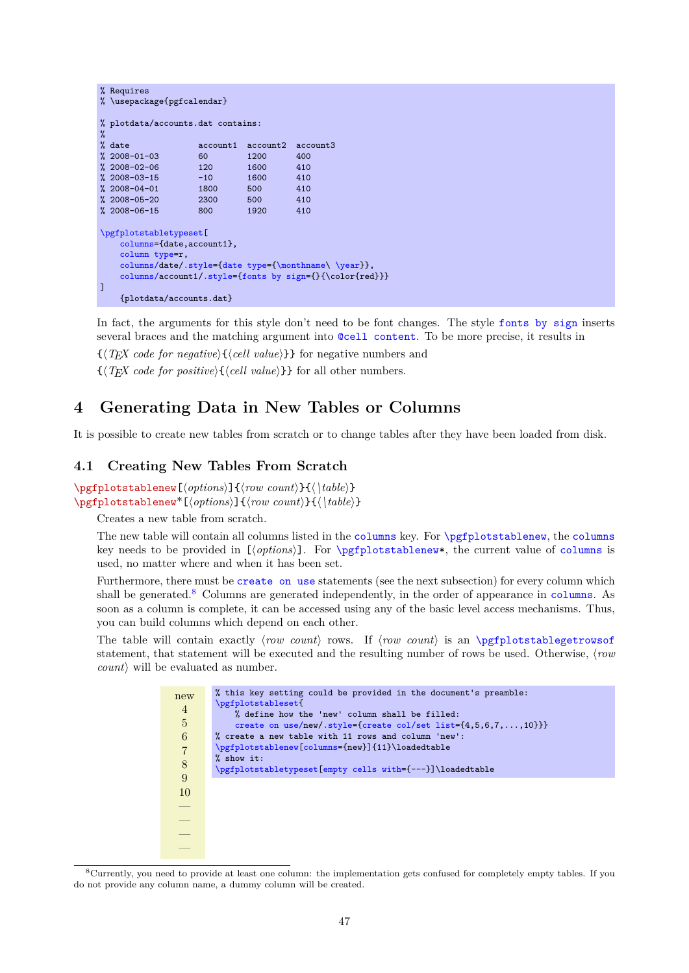```
% Requires
% \usepackage{pgfcalendar}
% plotdata/accounts.dat contains:
\gamma% date <br> \alpha account1 account2 account3
% 2008-01-03 60 1200 400
% 2008-02-06 120 1600 410
\begin{array}{cccc} \text{\%} & 2008-03-15 & -10 & 1600 & 410 \\ \text{\%} & 2008-04-01 & 1800 & 500 & 410 \end{array}% 2008 - 04 - 01% 2008-05-20 2300 500 410
% 2008-06-15 800 1920 410
\pgfplotstabletypeset[
    columns={date,account1},
    column type=r,
    columns/date/.style={date type={\monthname\ \year}},
    columns/a/.style={fonts by sign={}{\color{red}}}
\overline{1}{plotdata/accounts.dat}
```
In fact, the arguments for this style don't need to be font changes. The style [fonts by sign](#page-45-1) inserts several braces and the matching argument into [@cell content](#page-44-0). To be more precise, it results in

 $\{\langle T_F X \text{ code for negative}\rangle\}\$  for negative numbers and

 $\{\langle T \rangle \}$  *f (TEX code for positive*) $\{\langle cell \ value \rangle\}$  for all other numbers.

# <span id="page-46-0"></span>**4 Generating Data in New Tables or Columns**

It is possible to create new tables from scratch or to change tables after they have been loaded from disk.

#### <span id="page-46-3"></span>**4.1 Creating New Tables From Scratch**

<span id="page-46-1"></span>\pgfplotstablenew[ $\{options\}$ ]{ $\{row count\}$ }{ $\{ \{table\}$ } \pgfplotstablenew<sup>\*</sup>[\/options\]{\/row count\}{\\table\}

Creates a new table from scratch.

The new table will contain all [columns](#page-9-0) listed in the columns key. For [\pgfplotstablenew](#page-46-1), the columns key needs to be provided in [*(options*)]. For [\pgfplotstablenew\\*](#page-46-1), the current value of [columns](#page-9-0) is used, no matter where and when it has been set.

Furthermore, there must be [create on use](#page-49-0) statements (see the next subsection) for every column which shall be generated.<sup>[8](#page-46-2)</sup> Columns are generated independently, in the order of appearance in [columns](#page-9-0). As soon as a column is complete, it can be accessed using any of the basic level access mechanisms. Thus, you can build columns which depend on each other.

The table will contain exactly  $\langle row \ count \rangle$  rows. If  $\langle row \ count \rangle$  is an  $\text{ppfplotstable}$ statement, that statement will be executed and the resulting number of rows be used. Otherwise,  $\langle row$  $count$  will be evaluated as number.

| new                                        | % this key setting could be provided in the document's preamble:           |
|--------------------------------------------|----------------------------------------------------------------------------|
|                                            | \pgfplotstableset{                                                         |
| $\overline{4}$                             | % define how the 'new' column shall be filled:                             |
| $\overline{5}$                             | create on use/new/.style={create col/set list= $\{4,5,6,7,\ldots,10\}\}$ } |
| $\,6$                                      | % create a new table with 11 rows and column 'new':                        |
| $\begin{array}{c} 7 \\ 8 \\ 9 \end{array}$ | \pgfplotstablenew[columns={new}]{11}\loadedtable                           |
|                                            | % show it:                                                                 |
|                                            | \pgfplotstabletypeset [empty cells with={---}]\loadedtable                 |
|                                            |                                                                            |
| 10                                         |                                                                            |
|                                            |                                                                            |
|                                            |                                                                            |
|                                            |                                                                            |
| $\frac{1}{2}$                              |                                                                            |
|                                            |                                                                            |
|                                            |                                                                            |

<span id="page-46-2"></span><sup>8</sup>Currently, you need to provide at least one column: the implementation gets confused for completely empty tables. If you do not provide any column name, a dummy column will be created.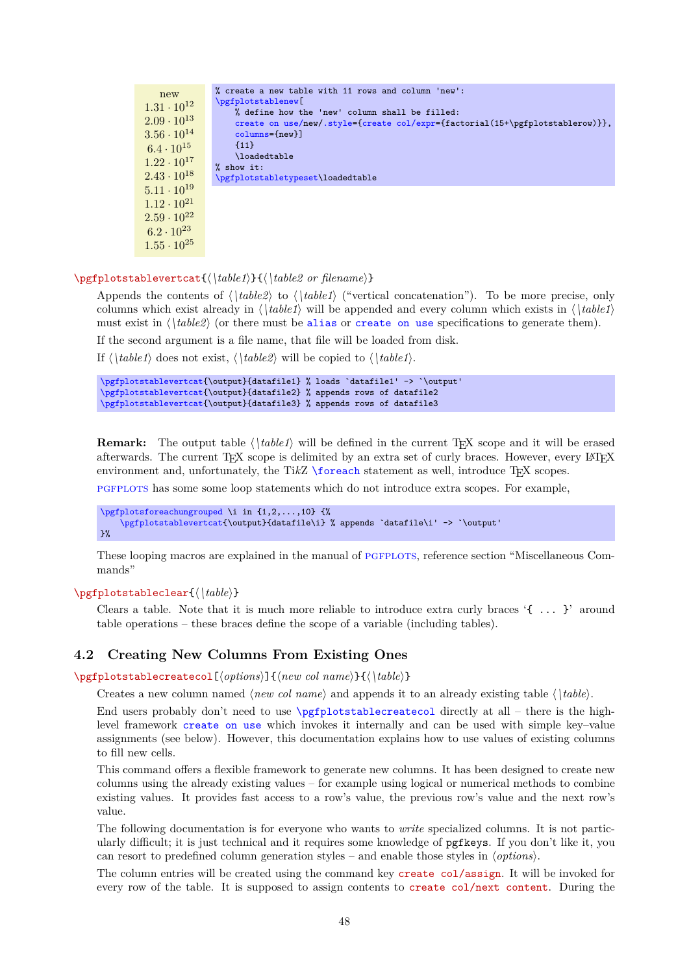<span id="page-47-4"></span>new  $1.31 \cdot 10^{12}$  $2.09 \cdot 10^{13}$  $3.56 \cdot 10^{14}$  $6.4 \cdot 10^{15}$  $1.22 \cdot 10^{17}$  $2.43 \cdot 10^{18}$  $5.11 \cdot 10^{19}$  $1.12 \cdot 10^{21}$  $2.59 \cdot 10^{22}$  $6.2 \cdot 10^{23}$  $1.55 \cdot 10^{25}$ % create a new table with 11 rows and column 'new': [\pgfplotstablenew\[](#page-46-1) % define how the 'new' column shall be filled: [create on use/n](#page-49-0)ew[/.style=](#page-58-0)[{create col/expr=](#page-51-0){factorial(15+\pgfplotstablerow)}}, [columns=](#page-9-0){new}] {11} \loadedtable % show it: [\pgfplotstabletypeset\](#page-2-0)loadedtable

#### <span id="page-47-0"></span>\pgfplotstablevertcat{h*\table1*i}{h*\table2 or filename*i}

Appends the contents of  $\langle \hat{h}_k \rangle$  to  $\langle \hat{h}_k \rangle$  ("vertical concatenation"). To be more precise, only columns which exist already in  $\langle \hat{z} | \hat{z} \rangle$  will be appended and every column which exists in  $\langle \hat{z} | \hat{z} \rangle$ must exist in  $\langle \hat{h} \rangle$  (or there must be [alias](#page-9-1) or [create on use](#page-49-0) specifications to generate them).

If the second argument is a file name, that file will be loaded from disk.

If  $\langle \hat{\phi} | \hat{\phi} |$  does not exist,  $\langle \hat{\phi} | \hat{\phi} |$  will be copied to  $\langle \hat{\phi} | \hat{\phi} |$ .

```
\pgfplotstablevertcat{\output}{datafile1} % loads `datafile1' -> `\output'
\pgfplotstablevertcat{\output}{datafile2} % appends rows of datafile2
\pgfplotstablevertcat{\output}{datafile3} % appends rows of datafile3
```
**Remark:** The output table  $\langle \hat{\theta} | \hat{\theta} | \hat{\theta} | \hat{\theta} | \hat{\theta} | \hat{\theta} | \hat{\theta} | \hat{\theta} | \hat{\theta} | \hat{\theta} | \hat{\theta} | \hat{\theta} | \hat{\theta} | \hat{\theta} | \hat{\theta} | \hat{\theta} | \hat{\theta} | \hat{\theta} | \hat{\theta} | \hat{\theta} | \hat{\theta} | \hat{\theta} | \hat{\theta} | \hat{\theta} | \hat{\theta} | \hat{\theta} | \hat{\theta} | \hat{\theta} | \hat{\theta} | \hat{\theta} | \hat{\theta} | \hat{\theta}$ afterwards. The current T<sub>EX</sub> scope is delimited by an extra set of curly braces. However, every LAT<sub>EX</sub> environment and, unfortunately, the TikZ [\foreach](#page-65-0) statement as well, introduce T<sub>E</sub>X scopes.

[pgfplots](#page-0-0) has some some loop statements which do not introduce extra scopes. For example,

```
\pgfplotsforeachungrouped \i in {1,2,...,10} {%
    \pgfplotstablevertcat{\output}{datafile\i} % appends `datafile\i' -> `\output'
}%
```
These looping macros are explained in the manual of PGFPLOTS, reference section "Miscellaneous Commands"

#### \pgfplotstableclear{ $\langle \hat{h}\rangle$ }

Clears a table. Note that it is much more reliable to introduce extra curly braces  $\{ \ldots \}$  around table operations – these braces define the scope of a variable (including tables).

## **4.2 Creating New Columns From Existing Ones**

<span id="page-47-1"></span>\pgfplotstablecreatecol[ $\{options\}$ ]{ $\{new\ col\ name\}$ }{ $\{\hat{table}\}$ }

Creates a new column named  $\langle new\ col\ name\rangle$  and appends it to an already existing table  $\langle \delta \rangle$  (*table*).

End users probably don't need to use [\pgfplotstablecreatecol](#page-47-1) directly at all – there is the highlevel framework [create on use](#page-49-0) which invokes it internally and can be used with simple key–value assignments (see below). However, this documentation explains how to use values of existing columns to fill new cells.

This command offers a flexible framework to generate new columns. It has been designed to create new columns using the already existing values – for example using logical or numerical methods to combine existing values. It provides fast access to a row's value, the previous row's value and the next row's value.

The following documentation is for everyone who wants to *write* specialized columns. It is not particularly difficult; it is just technical and it requires some knowledge of pgfkeys. If you don't like it, you can resort to predefined column generation styles – and enable those styles in  $\langle options \rangle$ .

<span id="page-47-3"></span><span id="page-47-2"></span>The column entries will be created using the command key create col/assign. It will be invoked for every row of the table. It is supposed to assign contents to create col/next content. During the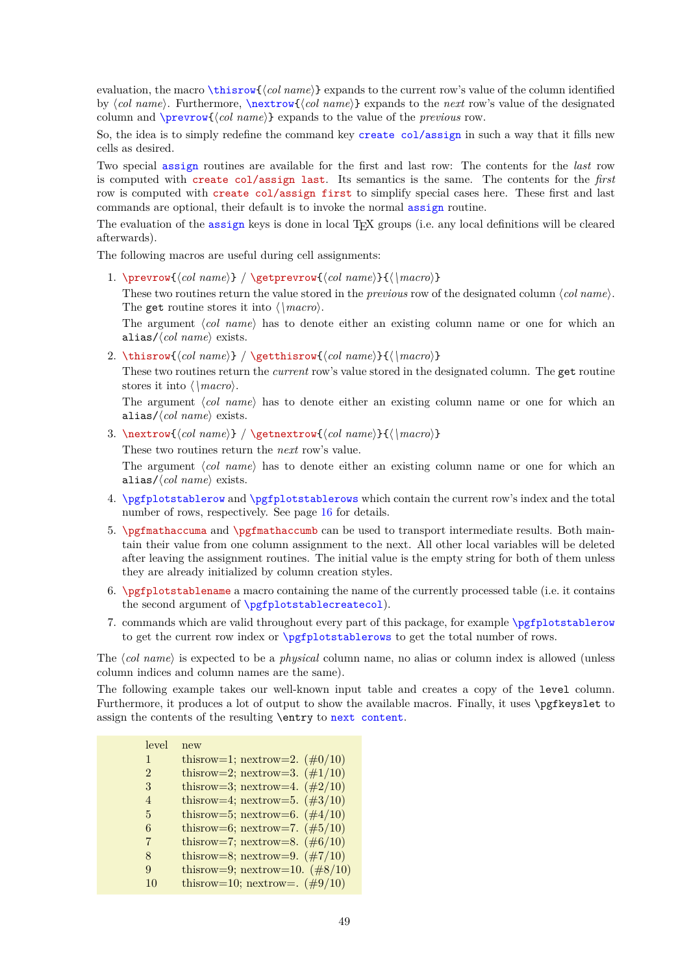evaluation, the macro [\thisrow{](#page-48-0)\*col name*}} expands to the current row's value of the column identified by (col name). Furthermore,  $\nextrow{\colone{col name}}$  $\nextrow{\colone{col name}}$  expands to the *next* row's value of the designated column and  $\preceq$ *(col name)* expands to the value of the *previous* row.

So, the idea is to simply redefine the command key [create col/assign](#page-47-2) in such a way that it fills new cells as desired.

<span id="page-48-6"></span><span id="page-48-5"></span>Two special [assign](#page-47-2) routines are available for the first and last row: The contents for the *last* row is computed with create col/assign last. Its semantics is the same. The contents for the *first* row is computed with create col/assign first to simplify special cases here. These first and last commands are optional, their default is to invoke the normal [assign](#page-47-2) routine.

The evaluation of the [assign](#page-47-2) keys is done in local TEX groups (i.e. any local definitions will be cleared afterwards).

<span id="page-48-2"></span>The following macros are useful during cell assignments:

1. \prevrow{ $\langle col \ name \rangle$ } / \getprevrow{ $\langle col \ name \rangle$ }{ $\langle \ ]$  macro

These two routines return the value stored in the *previous* row of the designated column  $\langle col \ name \rangle$ . The get routine stores it into  $\langle \n\langle \rangle$ 

The argument  $\langle col \ name \rangle$  has to denote either an existing column name or one for which an alias/ $\langle \textit{col name} \rangle$  exists.

<span id="page-48-0"></span>2. \thisrow{\col name}} / \getthisrow{\col name}}{\\macro\}

<span id="page-48-3"></span>These two routines return the *current* row's value stored in the designated column. The get routine stores it into  $\langle \, \langle \, \text{macro} \rangle$ .

The argument *(col name)* has to denote either an existing column name or one for which an alias/ $\langle \textit{col name} \rangle$  exists.

<span id="page-48-1"></span>3. \nextrow{h*col name*i} / \getnextrow{h*col name*i}{h*\macro*i}

<span id="page-48-4"></span>These two routines return the *next* row's value.

The argument  $\langle col \ name \rangle$  has to denote either an existing column name or one for which an alias/ $\langle \textit{col name} \rangle$  exists.

- 4. [\pgfplotstablerow](#page-15-0) and [\pgfplotstablerows](#page-16-1) which contain the current row's index and the total number of rows, respectively. See page [16](#page-9-2) for details.
- <span id="page-48-7"></span>5. \pgfmathaccuma and \pgfmathaccumb can be used to transport intermediate results. Both maintain their value from one column assignment to the next. All other local variables will be deleted after leaving the assignment routines. The initial value is the empty string for both of them unless they are already initialized by column creation styles.
- 6. \pgfplotstablename a macro containing the name of the currently processed table (i.e. it contains the second argument of [\pgfplotstablecreatecol](#page-47-1)).
- 7. commands which are valid throughout every part of this package, for example [\pgfplotstablerow](#page-15-0) to get the current row index or [\pgfplotstablerows](#page-16-1) to get the total number of rows.

The h*col name*i is expected to be a *physical* column name, no alias or column index is allowed (unless column indices and column names are the same).

The following example takes our well-known input table and creates a copy of the level column. Furthermore, it produces a lot of output to show the available macros. Finally, it uses **\pgfkeyslet** to assign the contents of the resulting \entry to [next content](#page-47-3).

| level          | new                               |
|----------------|-----------------------------------|
| 1              | thisrow=1; nextrow=2. $(\#0/10)$  |
| $\overline{2}$ | thisrow=2; nextrow=3. $(\#1/10)$  |
| 3              | thisrow=3; nextrow=4. $(\#2/10)$  |
| 4              | thisrow=4; nextrow=5. $(\#3/10)$  |
| 5              | thisrow=5; nextrow=6. $(\#4/10)$  |
| 6              | thisrow=6; nextrow=7. $(\#5/10)$  |
| 7              | thisrow=7; nextrow=8. $(\#6/10)$  |
| 8              | thisrow=8; nextrow=9. $(\#7/10)$  |
| 9              | thisrow=9; nextrow=10. $(\#8/10)$ |
| 10             | thisrow=10; nextrow=. $(\#9/10)$  |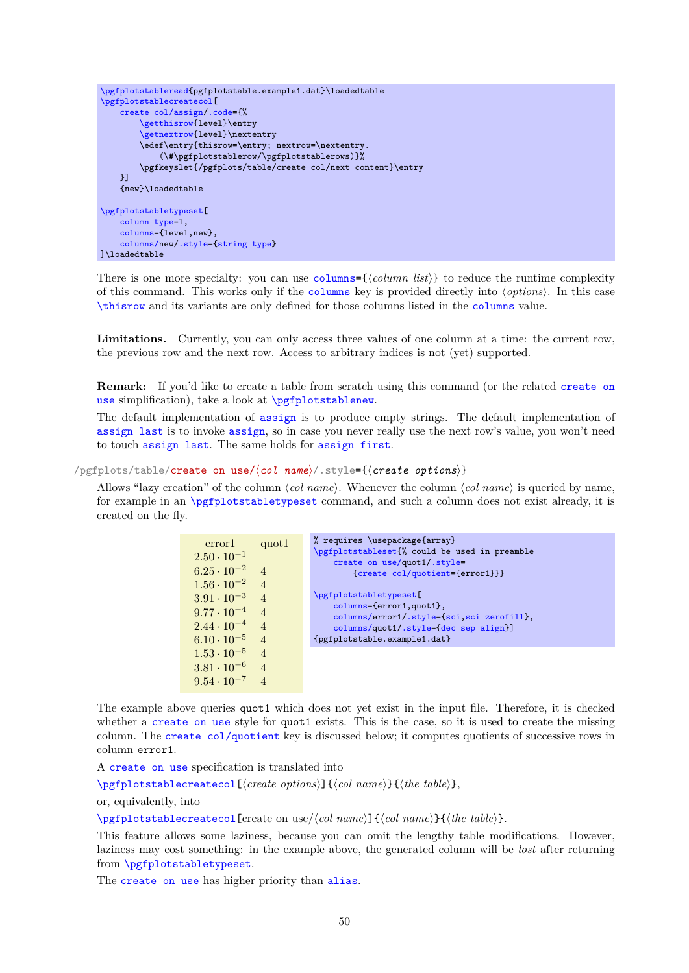```
\pgfplotstableread{pgfplotstable.example1.dat}\loadedtable
\pgfplotstablecreatecol[
    create col/assign/.code={%
        \getthisrow{level}\entry
        \getnextrow{level}\nextentry
        \edef\entry{thisrow=\entry; nextrow=\nextentry.
            (\#\pgfplotstablerow/\pgfplotstablerows)}%
        \pgfkeyslet{/pgfplots/table/create col/next content}\entry
    \overline{1}{new}\loadedtable
\pgfplotstabletypeset[
    column type=l,
    columns={level,new},
    columns/new/.style={string type}
]\loadedtable
```
There is one more specialty: you can use [columns=](#page-9-0){ $\{column list \}$ } to reduce the runtime complexity of this command. This works only if the [columns](#page-9-0) key is provided directly into h*options*i. In this case [\thisrow](#page-48-0) and its variants are only defined for those columns listed in the [columns](#page-9-0) value.

Limitations. Currently, you can only access three values of one column at a time: the current row, the previous row and the next row. Access to arbitrary indices is not (yet) supported.

**Remark:** If you'd like to create a table from scratch using this command (or the related [create on](#page-49-0) [use](#page-49-0) simplification), take a look at [\pgfplotstablenew](#page-46-1).

The default implementation of [assign](#page-47-2) is to produce empty strings. The default implementation of [assign last](#page-48-5) is to invoke [assign](#page-47-2), so in case you never really use the next row's value, you won't need to touch [assign last](#page-48-5). The same holds for [assign first](#page-48-6).

```
/pgfplots/table/create on use/\col name\/.style={\create options\}
```
Allows "lazy creation" of the column  $\langle col \ name \rangle$ . Whenever the column  $\langle col \ name \rangle$  is queried by name, for example in an [\pgfplotstabletypeset](#page-2-0) command, and such a column does not exist already, it is created on the fly.

| error1<br>$2.50 \cdot 10^{-1}$ | quot1          | % requires \usepackage{array}<br>\pgfplotstableset{% could be used in preamble<br>create on use/quot1/.style= |
|--------------------------------|----------------|---------------------------------------------------------------------------------------------------------------|
| $6.25 \cdot 10^{-2}$           | $\overline{4}$ | {create col/quotient={error1}}}                                                                               |
| $1.56 \cdot 10^{-2}$ 4         |                |                                                                                                               |
| $3.91 \cdot 10^{-3}$ 4         |                | \pgfplotstabletypeset [                                                                                       |
| $9.77 \cdot 10^{-4}$ 4         |                | columns={error1,quot1},<br>columns/error1/.style={sci,sci zerofill},                                          |
| $2.44 \cdot 10^{-4}$ 4         |                | columns/quot1/.style={dec sep align}]                                                                         |
| $6.10 \cdot 10^{-5}$ 4         |                | {pgfplotstable.example1.dat}                                                                                  |
| $1.53 \cdot 10^{-5}$ 4         |                |                                                                                                               |
| $3.81 \cdot 10^{-6}$ 4         |                |                                                                                                               |
| $9.54 \cdot 10^{-7}$ 4         |                |                                                                                                               |

The example above queries quot1 which does not yet exist in the input file. Therefore, it is checked whether a [create on use](#page-49-0) style for quot1 exists. This is the case, so it is used to create the missing column. The [create col/quotient](#page-53-0) key is discussed below; it computes quotients of successive rows in column error1.

A [create on use](#page-49-0) specification is translated into

[\pgfplotstablecreatecol\[](#page-47-1) $\langle create\; options \rangle$ ]{ $\langle col\; name \rangle$ }{ $\langle the\; table \rangle$ },

or, equivalently, into

[\pgfplotstablecreatecol\[](#page-47-1)create on use/ $\langle col \ name \rangle$ ]{ $\langle col \ name \rangle$ }{ $\langle the \ table \rangle$ }.

This feature allows some laziness, because you can omit the lengthy table modifications. However, laziness may cost something: in the example above, the generated column will be *lost* after returning from [\pgfplotstabletypeset](#page-2-0).

The [create on use](#page-49-0) has higher priority than [alias](#page-9-1).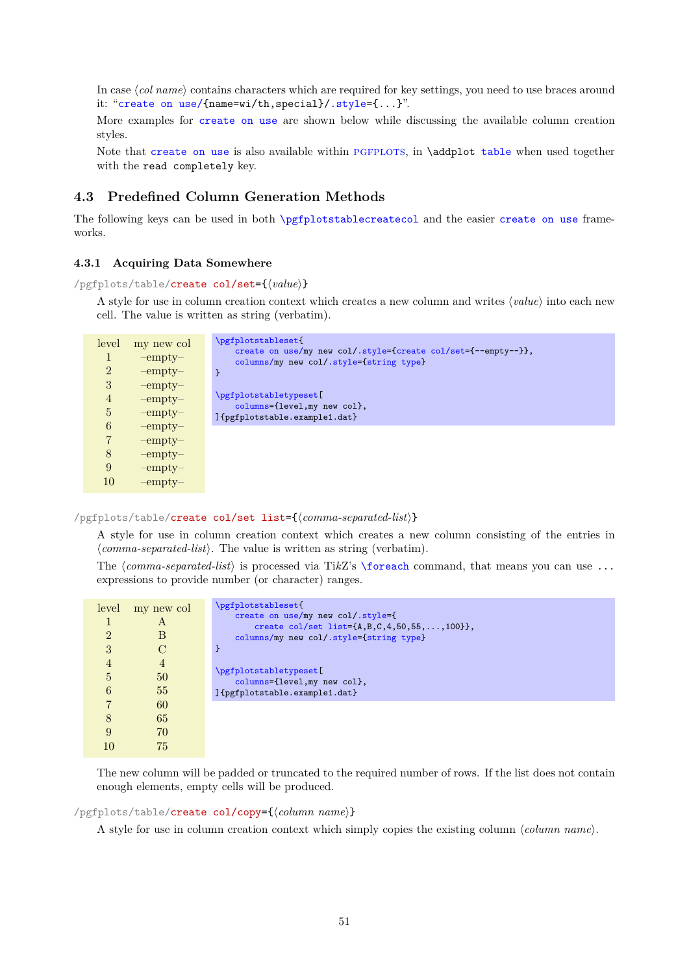<span id="page-50-3"></span>In case (col name) contains characters which are required for key settings, you need to use braces around it: "[create on use/{](#page-49-0)name=wi/th,special}[/.style=](#page-58-0){...}".

More examples for [create on use](#page-49-0) are shown below while discussing the available column creation styles.

Note that [create on use](#page-49-0) is also available within PGFPLOTS, in \addplot [table](#page-56-0) when used together with the read completely key.

# **4.3 Predefined Column Generation Methods**

The following keys can be used in both [\pgfplotstablecreatecol](#page-47-1) and the easier [create on use](#page-49-0) frameworks.

# **4.3.1 Acquiring Data Somewhere**

<span id="page-50-2"></span>/pgfplots/table/create col/set={ $\langle value \rangle$ }

A style for use in column creation context which creates a new column and writes  $\langle value \rangle$  into each new cell. The value is written as string (verbatim).

| level          | my new col    | \pgfplotstableset{                                                                                       |
|----------------|---------------|----------------------------------------------------------------------------------------------------------|
|                | $-$ empty $-$ | create on use/my new col/.style={create col/set={--empty--}},<br>columns/my new col/.style={string type} |
| $\overline{2}$ | $-$ empty $-$ |                                                                                                          |
| 3              | $-$ empty $-$ |                                                                                                          |
| $\overline{4}$ | $-$ empty $-$ | \pgfplotstabletypeset[<br>columns={level, my new col},                                                   |
| $\overline{5}$ | $-$ empty $-$ | ]{pgfplotstable.example1.dat}                                                                            |
| 6              | $-$ empty $-$ |                                                                                                          |
| 7              | $-$ empty $-$ |                                                                                                          |
| 8              | $-$ empty $-$ |                                                                                                          |
| 9              | $-$ empty $-$ |                                                                                                          |
| 10             | $-$ empty $-$ |                                                                                                          |

<span id="page-50-1"></span>/pgfplots/table/create col/set list={h*comma-separated-list*i}

A style for use in column creation context which creates a new column consisting of the entries in  $\langle commas separated-list \rangle$ . The value is written as string (verbatim).

The  $\text{command}, \text{that}$  is processed via TikZ's [\foreach](#page-65-0) command, that means you can use ... expressions to provide number (or character) ranges.

| level          | my new col     | \pgfplotstableset{                                                                                |
|----------------|----------------|---------------------------------------------------------------------------------------------------|
|                | A              | create on use/my new col/.style={                                                                 |
| $\overline{2}$ | В              | create col/set list= $\{A, B, C, 4, 50, 55, , 100\}$ ,<br>columns/my new col/.style={string type} |
| 3              |                |                                                                                                   |
|                |                |                                                                                                   |
| $\overline{4}$ | $\overline{4}$ | \pgfplotstabletypeset[                                                                            |
| 5              | 50             | columns={level, my new col},                                                                      |
| 6              | 55             | ]{pgfplotstable.example1.dat}                                                                     |
| 7              | 60             |                                                                                                   |
| 8              | 65             |                                                                                                   |
| 9              | 70             |                                                                                                   |
|                | 75             |                                                                                                   |

The new column will be padded or truncated to the required number of rows. If the list does not contain enough elements, empty cells will be produced.

<span id="page-50-0"></span>/pgfplots/table/create col/copy={\*column name*}}

A style for use in column creation context which simply copies the existing column  $\langle column \ name \rangle$ .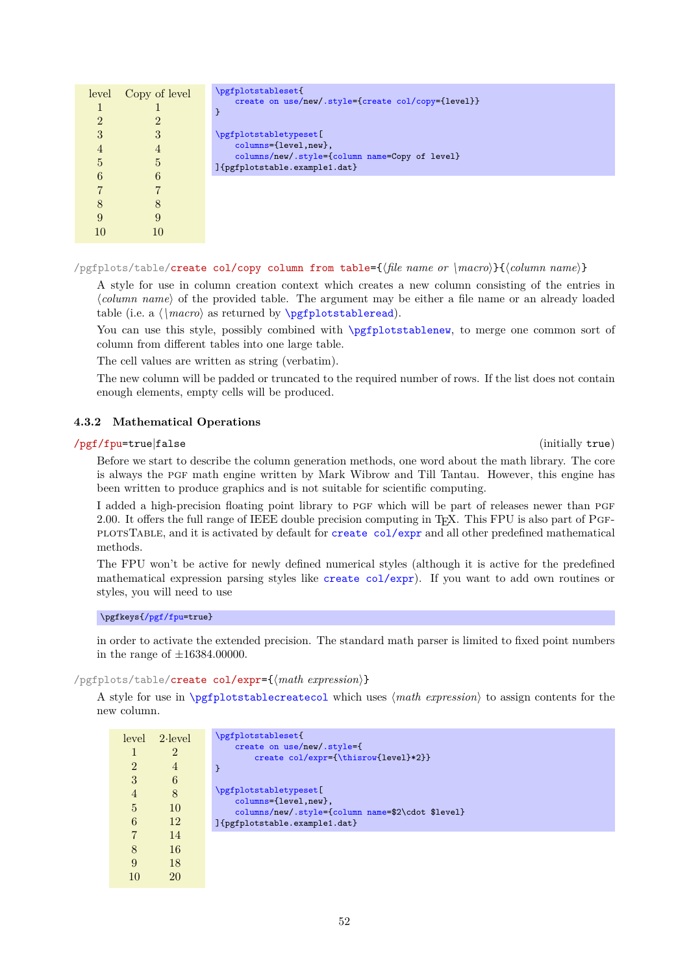<span id="page-51-2"></span>

|   | level Copy of level | \pgfplotstableset{<br>create on use/new/.style={create col/copy={level}}        |
|---|---------------------|---------------------------------------------------------------------------------|
|   |                     |                                                                                 |
| 3 |                     | \pgfplotstabletypeset[                                                          |
|   | 4                   | columns={level, new},                                                           |
| 5 | 5                   | columns/new/.style={column name=Copy of level}<br>]{pgfplotstable.example1.dat} |
| 6 |                     |                                                                                 |
|   |                     |                                                                                 |
|   |                     |                                                                                 |
|   |                     |                                                                                 |
|   |                     |                                                                                 |

/pgfplots/table/create col/copy column from table={h*file name or \macro*i}{h*column name*i}

A style for use in column creation context which creates a new column consisting of the entries in h*column name*i of the provided table. The argument may be either a file name or an already loaded table (i.e. a  $\langle \rangle$  as returned by  $\text{ppfplots}$ tableread).

You can use this style, possibly combined with [\pgfplotstablenew](#page-46-1), to merge one common sort of column from different tables into one large table.

The cell values are written as string (verbatim).

The new column will be padded or truncated to the required number of rows. If the list does not contain enough elements, empty cells will be produced.

# **4.3.2 Mathematical Operations**

## <span id="page-51-1"></span>/pgf/fpu=true|false (initially true)

Before we start to describe the column generation methods, one word about the math library. The core is always the PGF math engine written by Mark Wibrow and Till Tantau. However, this engine has been written to produce graphics and is not suitable for scientific computing.

I added a high-precision floating point library to PGF which will be part of releases newer than PGF 2.00. It offers the full range of IEEE double precision computing in T<sub>E</sub>X. This FPU is also part of PGFplotsTable, and it is activated by default for [create col/expr](#page-51-0) and all other predefined mathematical methods.

The FPU won't be active for newly defined numerical styles (although it is active for the predefined mathematical expression parsing styles like [create col/expr](#page-51-0)). If you want to add own routines or styles, you will need to use

\pgfkeys[{/pgf/fpu=](#page-51-1)true}

in order to activate the extended precision. The standard math parser is limited to fixed point numbers in the range of  $\pm 16384.00000$ .

#### <span id="page-51-0"></span>/pgfplots/table/create col/expr={ $\{math>math expression\}$ }

A style for use in [\pgfplotstablecreatecol](#page-47-1) which uses  $\langle math\; expression \rangle$  to assign contents for the new column.

|                | $level \quad 2$ -level | \pgfplotstableset{                                                        |
|----------------|------------------------|---------------------------------------------------------------------------|
|                | 2                      | create on use/new/.style={                                                |
| $\mathfrak{D}$ | 4                      | create col/expr={\thisrow{level}*2}}<br>ł                                 |
| 3              | 6                      |                                                                           |
| 4              | 8                      | \pgfplotstabletypeset[                                                    |
| 5              | 10                     | columns={level,new},<br>columns/new/.style={column name=\$2\cdot \$level} |
| 6              | 12                     | ]{pgfplotstable.example1.dat}                                             |
|                | 14                     |                                                                           |
| 8              | 16                     |                                                                           |
| 9              | 18                     |                                                                           |
|                | 20                     |                                                                           |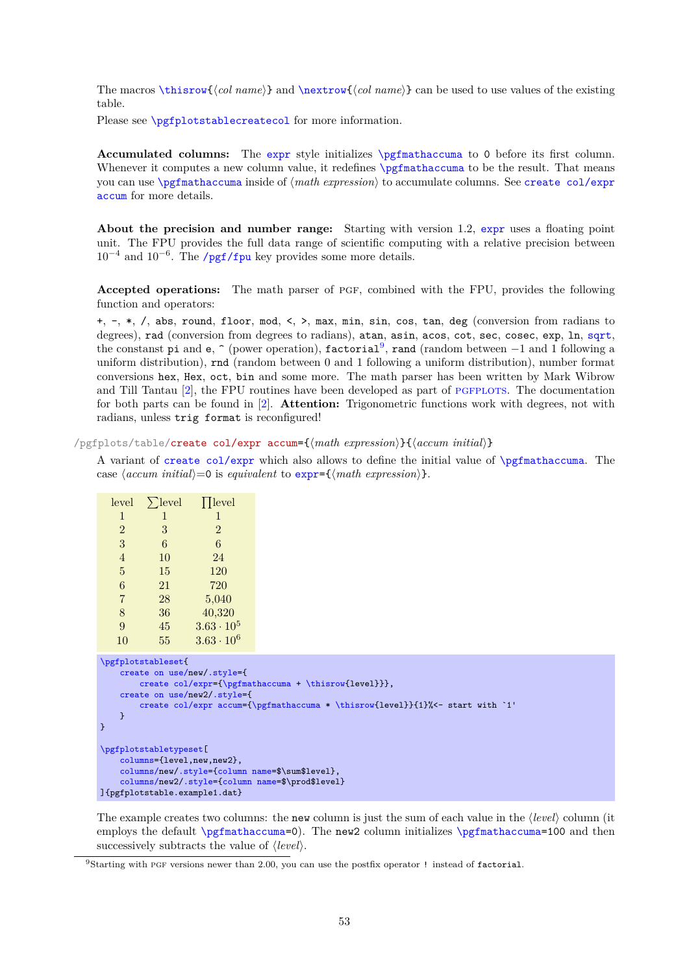<span id="page-52-2"></span>The macros [\thisrow{](#page-48-0) $\langle col \ name \rangle$ } and [\nextrow{](#page-48-1) $\langle col \ name \rangle$ } can be used to use values of the existing table.

Please see **[\pgfplotstablecreatecol](#page-47-1)** for more information.

**Accumulated columns:** The [expr](#page-51-0) style initializes [\pgfmathaccuma](#page-48-7) to 0 before its first column. Whenever it computes a new column value, it redefines  $\pgf$  mathemator be the result. That means you can use [\pgfmathaccuma](#page-48-7) inside of  $\langle \text{math } \rangle$  to accumulate columns. See [create col/expr](#page-52-0) [accum](#page-52-0) for more details.

**About the precision and number range:** Starting with version 1.2, [expr](#page-51-0) uses a floating point unit. The FPU provides the full data range of scientific computing with a relative precision between  $10^{-4}$  and  $10^{-6}$ . The [/pgf/fpu](#page-51-1) key provides some more details.

**Accepted operations:** The math parser of pgf, combined with the FPU, provides the following function and operators:

+, -, \*, /, abs, round, floor, mod, <, >, max, min, sin, cos, tan, deg (conversion from radians to degrees), rad (conversion from degrees to radians), atan, asin, acos, cot, sec, cosec, exp, ln, [sqrt](#page-40-1), the constanst pi and e,  $\hat{\ }$  (power operation), factorial<sup>[9](#page-52-1)</sup>, rand (random between  $-1$  and 1 following a uniform distribution), rnd (random between 0 and 1 following a uniform distribution), number format conversions hex, Hex, oct, bin and some more. The math parser has been written by Mark Wibrow and Till Tantau [\[2\]](#page-71-0), the FPU routines have been developed as part of PGFPLOTS. The documentation for both parts can be found in [\[2\]](#page-71-0). **Attention:** Trigonometric functions work with degrees, not with radians, unless trig format is reconfigured!

<span id="page-52-0"></span>/pgfplots/table/create col/expr accum={h*math expression*i}{h*accum initial*i}

A variant of [create col/expr](#page-51-0) which also allows to define the initial value of [\pgfmathaccuma](#page-48-7). The case  $\langle accum\ initial \rangle=0$  is *equivalent* to  $\exp\left(\frac{math\ current}{}$  expression.).

| level              | $\sum$ level | $\prod$ level                                              |  |
|--------------------|--------------|------------------------------------------------------------|--|
| 1                  | 1            | 1                                                          |  |
| $\overline{2}$     | 3            | $\overline{2}$                                             |  |
| 3                  | 6            | 6                                                          |  |
| $\overline{4}$     | 10           | 24                                                         |  |
| $\overline{5}$     | 15           | 120                                                        |  |
| $\boldsymbol{6}$   | 21           | 720                                                        |  |
| $\overline{7}$     | 28           | 5,040                                                      |  |
| 8                  | 36           | 40,320                                                     |  |
| 9                  | 45           | $3.63 \cdot 10^{5}$                                        |  |
| 10                 | 55           | $3.63 \cdot 10^{6}$                                        |  |
| \pgfplotstableset{ |              |                                                            |  |
|                    |              | create on use/new/.style={<br>$crasha$ col/evor={\portmati |  |

```
\text{accuracy}\thisrow{level}}},
    create on use/new2/.style={
        create col/expr accum={\pgfmathaccuma * \thisrow{level}}{1}%<- start with `1'
    }
}
\pgfplotstabletypeset[
    columns={level,new,new2},
    columns/new/.style={column name=$\sum$level},
    columns/new2/.style={column name=$\prod$level}
]{pgfplotstable.example1.dat}
```
The example creates two columns: the new column is just the sum of each value in the  $\langle level \rangle$  column (it employs the default [\pgfmathaccuma=](#page-48-7)0). The new2 column initializes \pgfmathaccuma=100 and then successively subtracts the value of  $\langle level \rangle$ .

<span id="page-52-1"></span><sup>&</sup>lt;sup>9</sup>Starting with PGF versions newer than 2.00, you can use the postfix operator ! instead of factorial.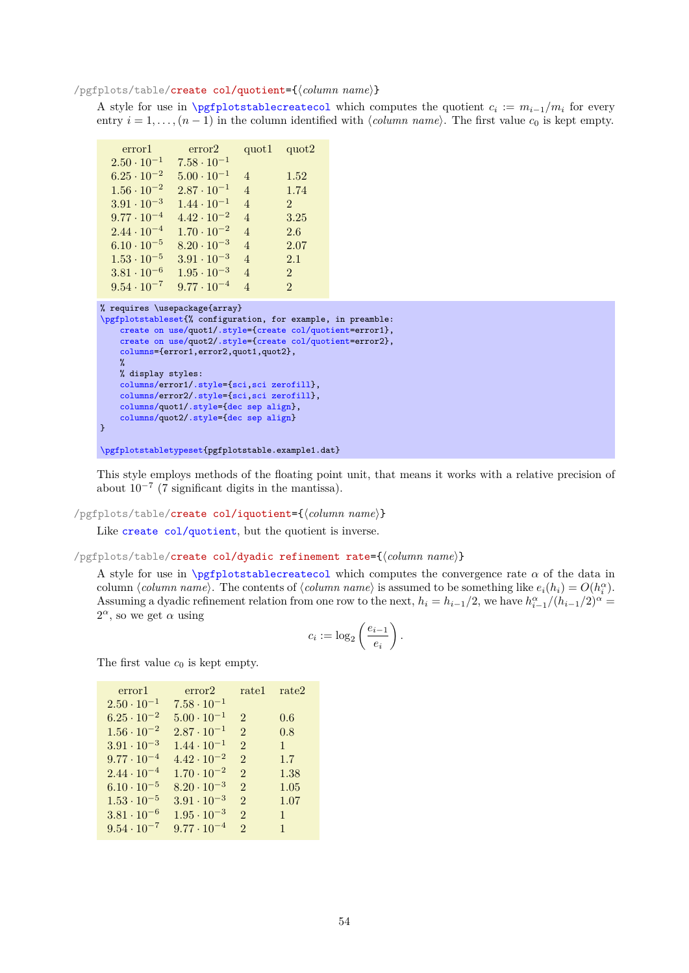## <span id="page-53-2"></span><span id="page-53-0"></span>/pgfplots/table/create col/quotient={\*column name*}}

A style for use in [\pgfplotstablecreatecol](#page-47-1) which computes the quotient  $c_i := m_{i-1}/m_i$  for every entry  $i = 1, \ldots, (n-1)$  in the column identified with  $\langle column \text{ name} \rangle$ . The first value  $c_0$  is kept empty.

| error2               | quot1 -                  | quot <sub>2</sub> |
|----------------------|--------------------------|-------------------|
| $7.58 \cdot 10^{-1}$ |                          |                   |
| $5.00 \cdot 10^{-1}$ | 4                        | 1.52              |
| $2.87 \cdot 10^{-1}$ | $\overline{4}$           | 1.74              |
| $1.44 \cdot 10^{-1}$ | $\overline{4}$           | $\mathfrak{D}$    |
| $4.42 \cdot 10^{-2}$ | $\overline{4}$           | 3.25              |
| $1.70 \cdot 10^{-2}$ | $\overline{4}$           | 2.6               |
| $8.20 \cdot 10^{-3}$ | $\overline{4}$           | 2.07              |
| $3.91 \cdot 10^{-3}$ | $\overline{4}$           | 2.1               |
| $1.95 \cdot 10^{-3}$ | $\overline{\mathcal{A}}$ | $\mathfrak{D}$    |
| $9.77 \cdot 10^{-4}$ | 4                        | $\mathfrak{D}$    |
|                      |                          |                   |

```
% requires \usepackage{array}
\pgfplotstableset{% configuration, for example, in preamble:
    create on use/quot1/.style={create col/quotient=error1},
    create on use/quot2/.style={create col/quotient=error2},
    columns={error1,error2,quot1,quot2},
    \gamma% display styles:
    columns/error1/.style={sci,sci zerofill},
    columns/error2/.style={sci,sci zerofill},
    columns/quot1/.style={dec sep align},
    columns/quot2/.style={dec sep align}
}
```
[\pgfplotstabletypeset{](#page-2-0)pgfplotstable.example1.dat}

This style employs methods of the floating point unit, that means it works with a relative precision of about  $10^{-7}$  (7 significant digits in the mantissa).

#### /pgfplots/table/create col/iquotient={\*column name*}}

Like [create col/quotient](#page-53-0), but the quotient is inverse.

#### <span id="page-53-1"></span>/pgfplots/table/create col/dyadic refinement rate={\*column name*}}

A style for use in  $\pgfplotstablecreatecol$  which computes the convergence rate  $\alpha$  of the data in column  $\langle column \ name \rangle$ . The contents of  $\langle column \ name \rangle$  is assumed to be something like  $e_i(h_i) = O(h_i^{\alpha}).$ Assuming a dyadic refinement relation from one row to the next,  $h_i = h_{i-1}/2$ , we have  $h_{i-1}^{\alpha}/(h_{i-1}/2)^{\alpha} =$  $2^{\alpha}$ , so we get  $\alpha$  using

$$
c_i := \log_2\left(\frac{e_{i-1}}{e_i}\right).
$$

The first value  $c_0$  is kept empty.

| error1               | error2               | rate1                       | rate2        |
|----------------------|----------------------|-----------------------------|--------------|
| $2.50 \cdot 10^{-1}$ | $7.58 \cdot 10^{-1}$ |                             |              |
| $6.25 \cdot 10^{-2}$ | $5.00 \cdot 10^{-1}$ | $\mathfrak{D}$              | 0.6          |
| $1.56 \cdot 10^{-2}$ | $2.87 \cdot 10^{-1}$ | $\mathfrak{D}$              | 0.8          |
| $3.91 \cdot 10^{-3}$ | $1.44 \cdot 10^{-1}$ | $\mathcal{D}_{\cdot}$       | $\mathbf{1}$ |
| $9.77 \cdot 10^{-4}$ | $4.42 \cdot 10^{-2}$ | $\mathcal{D}_{\mathcal{L}}$ | 1.7          |
| $2.44 \cdot 10^{-4}$ | $1.70 \cdot 10^{-2}$ | $\mathfrak{D}$              | 1.38         |
| $6.10 \cdot 10^{-5}$ | $8.20 \cdot 10^{-3}$ | $\mathcal{D}_{\cdot}$       | 1.05         |
| $1.53 \cdot 10^{-5}$ | $3.91 \cdot 10^{-3}$ | $\mathfrak{D}$              | 1.07         |
| $3.81 \cdot 10^{-6}$ | $1.95 \cdot 10^{-3}$ | $\mathcal{D}_{\mathcal{L}}$ | $\mathbf{1}$ |
| $9.54 \cdot 10^{-7}$ | $9.77 \cdot 10^{-4}$ | $\mathfrak{D}$              | $\mathbf{1}$ |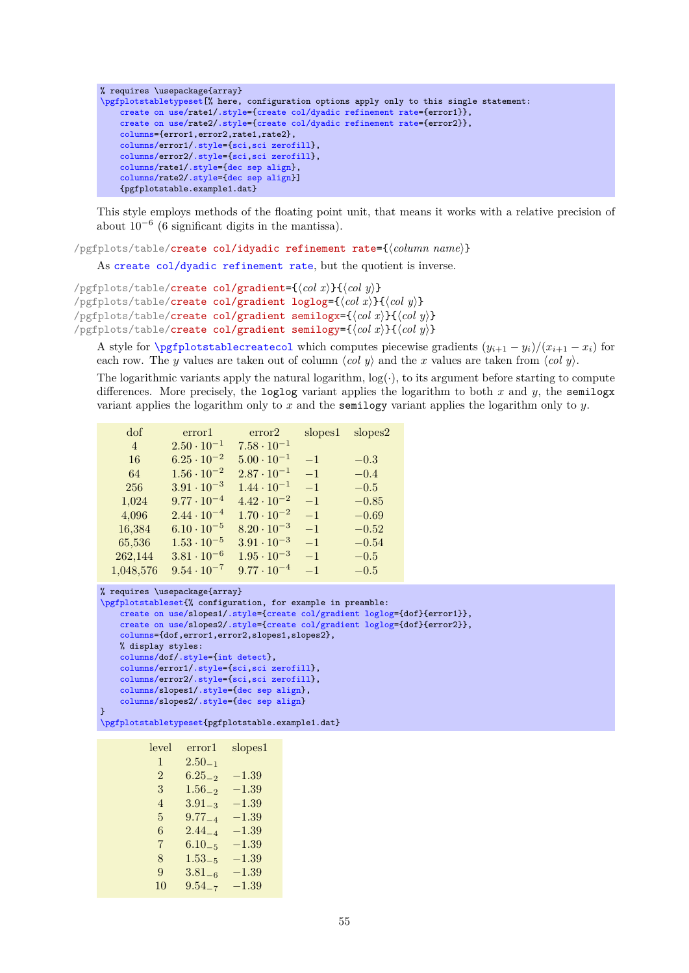```
% requires \usepackage{array}
\pgfplotstabletypeset[% here, configuration options apply only to this single statement:
    create on use/rate1/.style={create col/dyadic refinement rate={error1}},
    create on use/rate2/.style={create col/dyadic refinement rate={error2}},
    columns={error1,error2,rate1,rate2},
    columns/error1/.style={sci,sci zerofill},
    columns/error2/.style={sci,sci zerofill},
    columns/rate1/.style={dec sep align},
    columns/rate2/.style={dec sep align}]
    {pgfplotstable.example1.dat}
```
This style employs methods of the floating point unit, that means it works with a relative precision of about 10<sup>−</sup><sup>6</sup> (6 significant digits in the mantissa).

/pgfplots/table/create col/idyadic refinement rate={\*column name*}}

As [create col/dyadic refinement rate](#page-53-1), but the quotient is inverse.

```
/pgfplots/table/create col/gradient=\{\langle col \; x \rangle\}\{\langle col \; y \rangle\}/pgfplots/table/create col/gradient loglog=\{\langle col\ x\rangle\}\{\langle col\ y\rangle\}/pgfplots/table/create col/gradient semilogx={hcol xi}{hcol yi}
/pgfplots/table/create col/gradient semilogy={hcol xi}{hcol yi}
```
<span id="page-54-1"></span>A style for  $\text{pgfplots}$ tablecreatecol which computes piecewise gradients  $(y_{i+1} - y_i)/(x_{i+1} - x_i)$  for each row. The y values are taken out of column  $\langle col \ y \rangle$  and the x values are taken from  $\langle col \ y \rangle$ .

The logarithmic variants apply the natural logarithm,  $log(.)$ , to its argument before starting to compute differences. More precisely, the loglog variant applies the logarithm to both x and y, the semilogx variant applies the logarithm only to x and the semilogy variant applies the logarithm only to y.

| dof            | error1               | error2               | slopes1 | slopes2 |
|----------------|----------------------|----------------------|---------|---------|
| $\overline{4}$ | $2.50 \cdot 10^{-1}$ | $7.58 \cdot 10^{-1}$ |         |         |
| 16             | $6.25 \cdot 10^{-2}$ | $5.00 \cdot 10^{-1}$ | $-1$    | $-0.3$  |
| 64             | $1.56 \cdot 10^{-2}$ | $2.87 \cdot 10^{-1}$ | $-1$    | $-0.4$  |
| 256            | $3.91 \cdot 10^{-3}$ | $1.44 \cdot 10^{-1}$ | $-1$    | $-0.5$  |
| 1,024          | $9.77 \cdot 10^{-4}$ | $4.42 \cdot 10^{-2}$ | $-1$    | $-0.85$ |
| 4,096          | $2.44 \cdot 10^{-4}$ | $1.70 \cdot 10^{-2}$ | $-1$    | $-0.69$ |
| 16,384         | $6.10 \cdot 10^{-5}$ | $8.20 \cdot 10^{-3}$ | $-1$    | $-0.52$ |
| 65,536         | $1.53 \cdot 10^{-5}$ | $3.91 \cdot 10^{-3}$ | $-1$    | $-0.54$ |
| 262,144        | $3.81 \cdot 10^{-6}$ | $1.95 \cdot 10^{-3}$ | $-1$    | $-0.5$  |
| 1,048,576      | $9.54 \cdot 10^{-7}$ | $9.77 \cdot 10^{-4}$ | $-1$    | $-0.5$  |

```
% requires \usepackage{array}
\pgfplotstableset{% configuration, for example in preamble:
    create on use/slopes1/.style={create col/gradient loglog={dof}{error1}},
    create on use/slopes2/.style={create col/gradient loglog={dof}{error2}},
    columns={dof,error1,error2,slopes1,slopes2},
    % display styles:
    columns/dof/.style={int detect},
    columns/error1/.style={sci,sci zerofill},
    columns/error2/.style={sci,sci zerofill},
    columns/slopes1/.style={dec sep align},
    columns/slopes2/.style={dec sep align}
}
\pgfplotstabletypeset{pgfplotstable.example1.dat}
```

| level          | error1      | slopes1   |
|----------------|-------------|-----------|
| $\mathbf{1}$   | $2.50_{-1}$ |           |
| $\mathfrak{D}$ | $6.25_{-2}$ | $-1.39\,$ |
| 3              | $1.56_{-2}$ | $-1.39$   |
| $\overline{4}$ | $3.91_{-3}$ | $-1.39$   |
| 5              | $9.77_{-4}$ | $-1.39$   |
| 6              | $2.44_{-4}$ | $-1.39$   |
| 7              | $6.10_{-5}$ | $-1.39$   |
| 8              | $1.53_{-5}$ | $-1.39\,$ |
| 9              | $3.81_{-6}$ | $-1.39$   |
| 10             | $9.54_{-7}$ | $-1.39$   |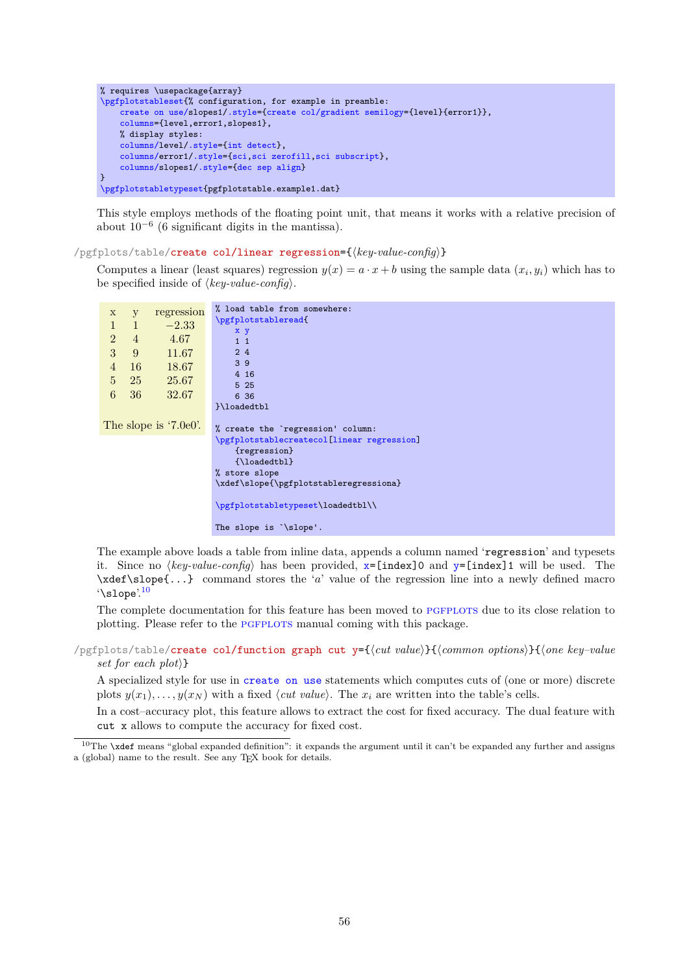```
% requires \usepackage{array}
\pgfplotstableset{% configuration, for example in preamble:
    create on use/slopes1/.style={create col/gradient semilogy={level}{error1}},
    columns={level,error1,slopes1},
    % display styles:
    columns/level/.style={int detect},
    columns/error1/.style={sci,sci zerofill,sci subscript},
    columns/slopes1/.style={dec sep align}
}
\pgfplotstabletypeset{pgfplotstable.example1.dat}
```
This style employs methods of the floating point unit, that means it works with a relative precision of about  $10^{-6}$  (6 significant digits in the mantissa).

#### <span id="page-55-0"></span> $\langle$  pgfplots/table/**create col/linear regression={** $\langle key-value\text{-}config \rangle$ }

Computes a linear (least squares) regression  $y(x) = a \cdot x + b$  using the sample data  $(x_i, y_i)$  which has to be specified inside of  $\langle key-value\text{-}config \rangle$ .

```
x y regression
 1 \quad 1 \quad -2.332 4 4.67
 3 9 11.67
 4 16 18.67
 5 25 25.67
 6 36 32.67
The slope is '7.0e0'.
                     % load table from somewhere:
                     \pgfplotstableread{
                         x y
                         1 1
                         243 9
                         4 16
                         5 25
                         6 36
                     }\loadedtbl
                     % create the `regression' column:
                     \pgfplotstablecreatecol[linear regression]
                         {regression}
                         {\loadedtbl}
                     % store slope
                     \xdef\slope{\pgfplotstableregressiona}
                     \pgfplotstabletypeset\loadedtbl\\
                     The slope is `\slope'.
```
The example above loads a table from inline data, appends a column named 'regression' and typesets it. Since no  $\langle key-value\text{-}confq\rangle$  has been provided,  $x=[index]0$  $x=[index]0$  and  $y=[index]1$  $y=[index]1$  will be used. The  $\xleftarrow{\text{red}}\simeq\ldots\right\}$  command stores the 'a' value of the regression line into a newly defined macro  $\lq$ slope'.<sup>[10](#page-55-1)</sup>

The complete documentation for this feature has been moved to PGFPLOTS due to its close relation to plotting. Please refer to the PGFPLOTS manual coming with this package.

/pgfplots/table/create col/function graph cut y={h*cut value*i}{h*common options*i}{h*one key–value set for each plot* $\rangle$ }

<span id="page-55-2"></span>A specialized style for use in [create on use](#page-49-0) statements which computes cuts of (one or more) discrete plots  $y(x_1), \ldots, y(x_N)$  with a fixed *(cut value)*. The  $x_i$  are written into the table's cells.

In a cost–accuracy plot, this feature allows to extract the cost for fixed accuracy. The dual feature with cut x allows to compute the accuracy for fixed cost.

<span id="page-55-1"></span><sup>10</sup>The **\xdef** means "global expanded definition": it expands the argument until it can't be expanded any further and assigns a (global) name to the result. See any TEX book for details.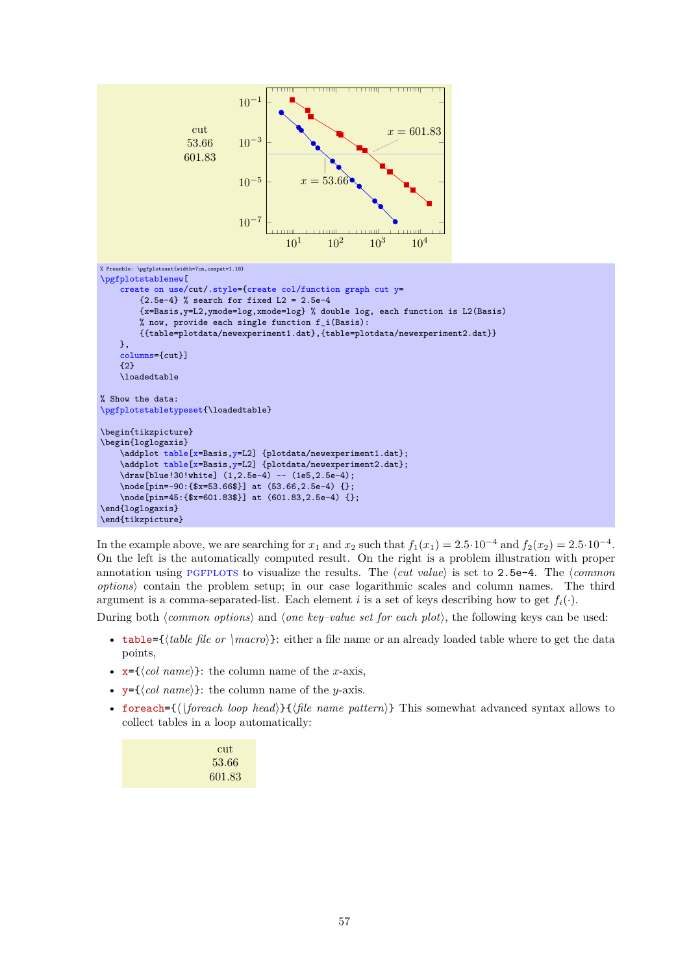

In the example above, we are searching for  $x_1$  and  $x_2$  such that  $f_1(x_1) = 2.5 \cdot 10^{-4}$  and  $f_2(x_2) = 2.5 \cdot 10^{-4}$ . On the left is the automatically computed result. On the right is a problem illustration with proper annotation using PGFPLOTS to visualize the results. The  $\langle cut \ value \rangle$  is set to 2.5e-4. The  $\langle common \rangle$ *options*i contain the problem setup; in our case logarithmic scales and column names. The third argument is a comma-separated-list. Each element i is a set of keys describing how to get  $f_i(\cdot)$ .

<span id="page-56-0"></span>During both *(common options)* and *(one key–value set for each plot)*, the following keys can be used:

- table= $\{\langle table\ file\ or\ \langle macro\rangle\}:\ either\ a\ file\ name\ or\ an\ already\ loaded\ table\ where\ to\ get\ the\ data$ points,
- <span id="page-56-1"></span>•  $x = \{\langle col \ name \rangle\}$ : the column name of the x-axis,
- <span id="page-56-2"></span>•  $y = \{\langle col \ name \rangle\}$ : the column name of the *y*-axis.
- <span id="page-56-3"></span>• foreach= $\{\{\text{for each loop head}\}\}\{\text{file name pattern}\}\$  This somewhat advanced syntax allows to collect tables in a loop automatically:

| cut    |
|--------|
| 53.66  |
| 601.83 |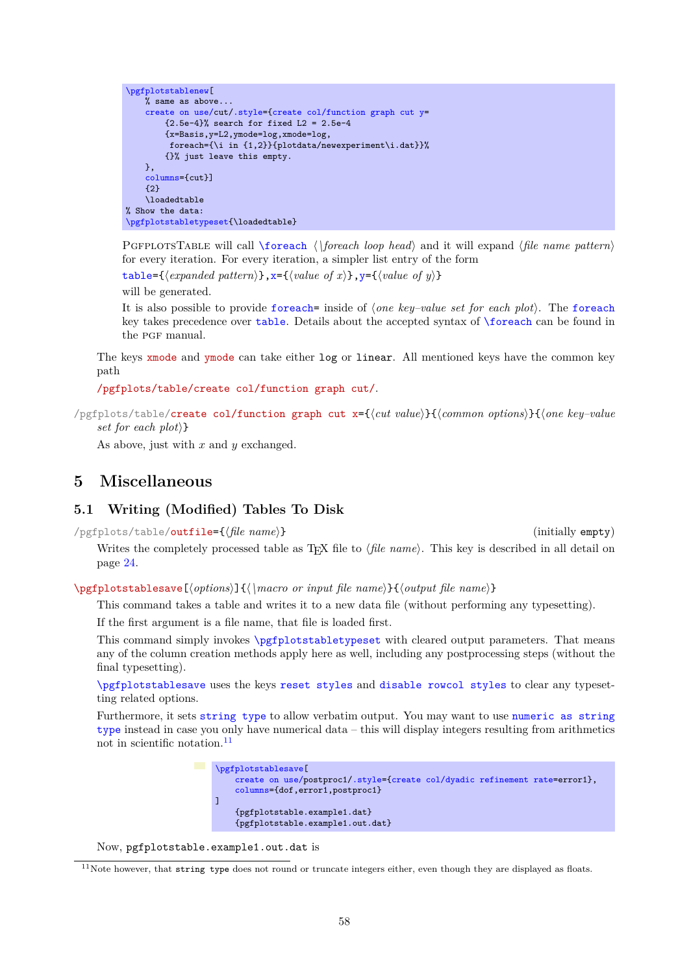```
\pgfplotstablenew[
    % same as above...
    create on use/cut/.style={create col/function graph cut y=
        {2.5e-4}% search for fixed L2 = 2.5e-4
        {x=Basis,y=L2,ymode=log,xmode=log,
         foreach={\i in {1,2}}{plotdata/newexperiment\i.dat}}%
        {}% just leave this empty.
    },
    columns={cut}]
    {2}
    \loadedtable
% Show the data:
\pgfplotstabletypeset{\loadedtable}
```
PGFPLOTSTABLE will call **[\foreach](#page-65-0)**  $\langle$  \*foreach loop head*} and it will expand  $\langle$ *file name pattern*} for every iteration. For every iteration, a simpler list entry of the form

 $\text{table} = \{\langle expanded\ pattern \rangle\}, \textbf{x} = \{\langle value\ of\ x \rangle\}, \textbf{y} = \{\langle value\ of\ y \rangle\}$ 

will be generated.

It is also possible to provide [foreach=](#page-56-3) inside of *{one key–value set for each plot*}. The [foreach](#page-56-3) key takes precedence over [table](#page-56-0). Details about the accepted syntax of [\foreach](#page-65-0) can be found in the PGF manual.

The keys xmode and ymode can take either log or linear. All mentioned keys have the common key path

/pgfplots/table/create col/function graph cut/.

/pgfplots/table/create col/function graph cut x={h*cut value*i}{h*common options*i}{h*one key–value set for each plot* $\}$ 

As above, just with  $x$  and  $y$  exchanged.

# **5 Miscellaneous**

# **5.1 Writing (Modified) Tables To Disk**

/pgfplots/table/outfile={h*file name*i} (initially empty)

Writes the completely processed table as T<sub>E</sub>X file to  $\langle$ *file name*). This key is described in all detail on page [24.](#page-23-2)

<span id="page-57-0"></span>\pgfplotstablesave[ $\{options\}$ ]{ $\{\$ acro or input file name}}{ $\{output$  file name}}

This command takes a table and writes it to a new data file (without performing any typesetting).

If the first argument is a file name, that file is loaded first.

This command simply invokes [\pgfplotstabletypeset](#page-2-0) with cleared output parameters. That means any of the column creation methods apply here as well, including any postprocessing steps (without the final typesetting).

[\pgfplotstablesave](#page-57-0) uses the keys [reset styles](#page-58-1) and [disable rowcol styles](#page-58-2) to clear any typesetting related options.

Furthermore, it sets [string type](#page-37-0) to allow verbatim output. You may want to use [numeric as string](#page-37-4) [type](#page-37-4) instead in case you only have numerical data – this will display integers resulting from arithmetics not in scientific notation. $\frac{11}{1}$  $\frac{11}{1}$  $\frac{11}{1}$ 

```
\pgfplotstablesave[
    create on use/postproc1/.style={create col/dyadic refinement rate=error1},
    columns={dof,error1,postproc1}
\overline{1}{pgfplotstable.example1.dat}
    {pgfplotstable.example1.out.dat}
```
Now, pgfplotstable.example1.out.dat is

<span id="page-57-1"></span> $11$ Note however, that string type does not round or truncate integers either, even though they are displayed as floats.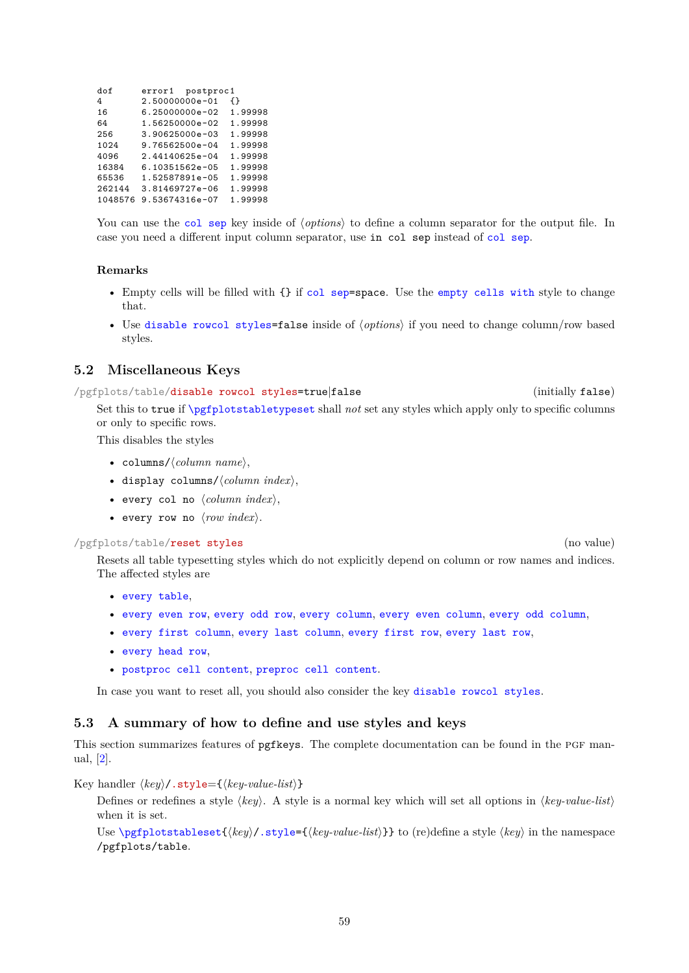<span id="page-58-3"></span>

| dof     |                    | error1 postproc1 |         |
|---------|--------------------|------------------|---------|
| 4       | 2.50000000e-01     |                  | ብ የ     |
| 16      | $6.25000000e - 02$ |                  | 1.99998 |
| 64      | 1.56250000e-02     |                  | 1.99998 |
| 256     | $3.90625000e-03$   |                  | 1.99998 |
| 1024    | 9.76562500e-04     |                  | 1.99998 |
| 4096    | $2.44140625e-04$   |                  | 1.99998 |
| 16384   | 6.10351562e-05     |                  | 1.99998 |
| 65536   | 1.52587891e-05     |                  | 1.99998 |
| 262144  | 3.81469727e-06     |                  | 1.99998 |
| 1048576 | 9.53674316e-07     |                  | 1.99998 |

You can use the [col sep](#page-4-0) key inside of *(options)* to define a column separator for the output file. In case you need a different input column separator, use in col sep instead of [col sep](#page-4-0).

# **Remarks**

- Empty cells will be filled with {} if [col sep=](#page-4-0)space. Use the [empty cells with](#page-45-0) style to change that.
- Use [disable rowcol styles=](#page-58-2)false inside of  $\langle options \rangle$  if you need to change column/row based styles.

# **5.2 Miscellaneous Keys**

<span id="page-58-2"></span>/pgfplots/table/disable rowcol styles=true|false (initially false) Set this to true if [\pgfplotstabletypeset](#page-2-0) shall *not* set any styles which apply only to specific columns or only to specific rows.

This disables the styles

- columns/ $\langle$ *column name* $\rangle$ ,
- display columns/ $\langle$ *column index* $\rangle$ ,
- every col no  $\langle column\ index \rangle$ ,
- every row no  $\langle row \ index \rangle$ .

#### <span id="page-58-1"></span>/pgfplots/table/reset styles (no value)

Resets all table typesetting styles which do not explicitly depend on column or row names and indices. The affected styles are

- [every table](#page-22-0),
- [every even row](#page-18-1), [every odd row](#page-19-1), [every column](#page-15-2), [every even column](#page-14-0), [every odd column](#page-15-3),
- [every first column](#page-14-1), [every last column](#page-14-2), [every first row](#page-20-1), [every last row](#page-20-0),
- [every head row](#page-19-0),
- [postproc cell content](#page-44-2), [preproc cell content](#page-39-0).

In case you want to reset all, you should also consider the key [disable rowcol styles](#page-58-2).

# **5.3 A summary of how to define and use styles and keys**

This section summarizes features of pgfkeys. The complete documentation can be found in the PGF manual, [\[2\]](#page-71-0).

<span id="page-58-0"></span>Key handler  $\langle key \rangle$ .style={ $\langle key-value-list \rangle$ }

Defines or redefines a style  $\langle key \rangle$ . A style is a normal key which will set all options in  $\langle key-value-list \rangle$ when it is set.

Use  $\pgfplotstableset({key}/.style({key})$ .style={ $\{key-value-list\}$ }} to (re)define a style  $\langle key \rangle$  in the namespace /pgfplots/table.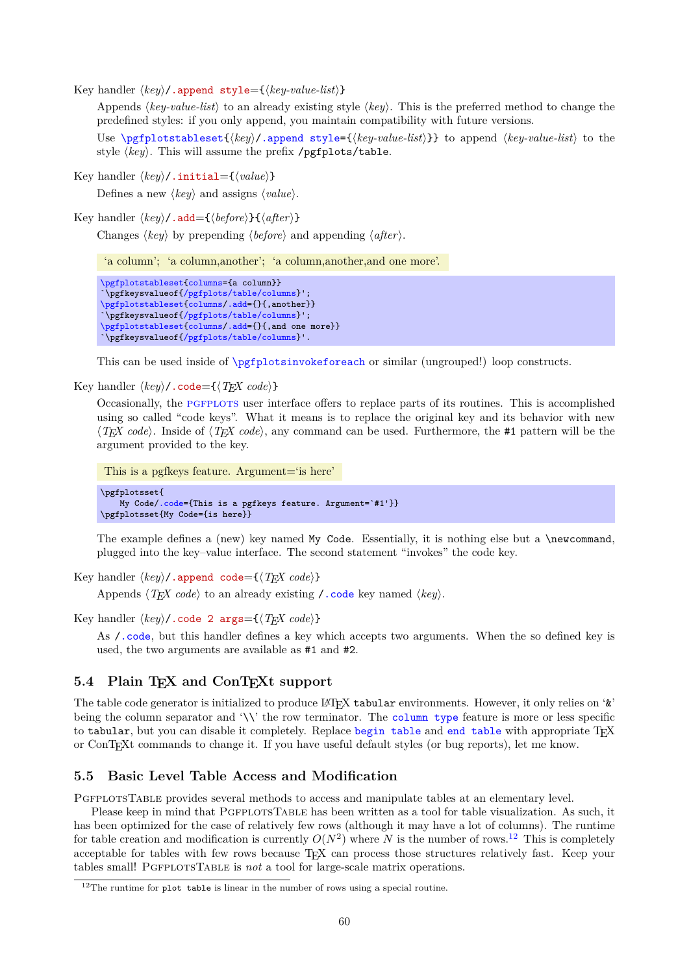<span id="page-59-5"></span><span id="page-59-2"></span>Key handler  $\langle key \rangle$ /.append style={ $\langle key-value-list \rangle$ }

Appends  $\langle key-value-list \rangle$  to an already existing style  $\langle key \rangle$ . This is the preferred method to change the predefined styles: if you only append, you maintain compatibility with future versions.

Use  $\pgfplotstableset({key}/$ .append style={ $\key-value-list$ }} to append  $\key-value-list$  to the style  $\langle key \rangle$ . This will assume the prefix /pgfplots/table.

Key handler  $\langle key \rangle$ .initial= $\{\langle value \rangle\}$ 

Defines a new  $\langle key \rangle$  and assigns  $\langle value \rangle$ .

<span id="page-59-3"></span>Key handler  $\langle key \rangle$ .add= ${\lbrace \langle before \rangle \rbrace \lbrace \langle after \rangle \rbrace}$ 

Changes  $\langle key \rangle$  by prepending  $\langle before \rangle$  and appending  $\langle after \rangle$ .

'a column'; 'a column,another'; 'a column,another,and one more'.

```
\pgfplotstableset{columns={a column}}
`\pgfkeysvalueof{/pgfplots/table/columns}';
\pgfplotstableset{columns/.add={}{,another}}
`\pgfkeysvalueof{/pgfplots/table/columns}';
\pgfplotstableset{columns/.add={}{,and one more}}
`\pgfkeysvalueof{/pgfplots/table/columns}'.
```
This can be used inside of [\pgfplotsinvokeforeach](#page-65-2) or similar (ungrouped!) loop constructs.

<span id="page-59-0"></span>Key handler  $\langle key \rangle$ .code= $\{\langle T_F X \text{ code}\rangle\}$ 

Occasionally, the PGFPLOTS user interface offers to replace parts of its routines. This is accomplished using so called "code keys". What it means is to replace the original key and its behavior with new  $\langle T_F X \, code \rangle$ . Inside of  $\langle T_F X \, code \rangle$ , any command can be used. Furthermore, the #1 pattern will be the argument provided to the key.

```
This is a pgfkeys feature. Argument='is here'
```
\pgfplotsset{ My Code[/.code=](#page-59-0){This is a pgfkeys feature. Argument=`#1'}} \pgfplotsset{My Code={is here}}

The example defines a (new) key named My Code. Essentially, it is nothing else but a \newcommand, plugged into the key–value interface. The second statement "invokes" the code key.

```
Key handler \langle \textit{keu} \rangle / append code=\{\langle \textit{Tr} X \textit{ code} \rangle\}
```
Appends  $\langle T_F X \text{ code} \rangle$  to an already existing  $\prime$ . code key named  $\langle \text{key} \rangle$ .

Key handler  $\langle key \rangle$ .code 2 args={ $\langle T_F X code \rangle$ }

As [/.code](#page-59-0), but this handler defines a key which accepts two arguments. When the so defined key is used, the two arguments are available as #1 and #2.

# **5.4 Plain TEX and ConTEXt support**

The table code generator is initialized to produce LAT<sub>EX</sub> tabular environments. However, it only relies on ' $\&$ ' being the column separator and '\\' the row terminator. The [column type](#page-10-0) feature is more or less specific to tabular, but you can disable it completely. Replace [begin table](#page-22-1) and [end table](#page-23-3) with appropriate TFX or ConTEXt commands to change it. If you have useful default styles (or bug reports), let me know.

# **5.5 Basic Level Table Access and Modification**

PGFPLOTSTABLE provides several methods to access and manipulate tables at an elementary level.

Please keep in mind that PgfplotsTable has been written as a tool for table visualization. As such, it has been optimized for the case of relatively few rows (although it may have a lot of columns). The runtime for table creation and modification is currently  $O(N^2)$  where N is the number of rows.<sup>[12](#page-59-4)</sup> This is completely acceptable for tables with few rows because T<sub>EX</sub> can process those structures relatively fast. Keep your tables small! PgfplotsTable is *not* a tool for large-scale matrix operations.

<span id="page-59-4"></span><sup>&</sup>lt;sup>12</sup>The runtime for plot table is linear in the number of rows using a special routine.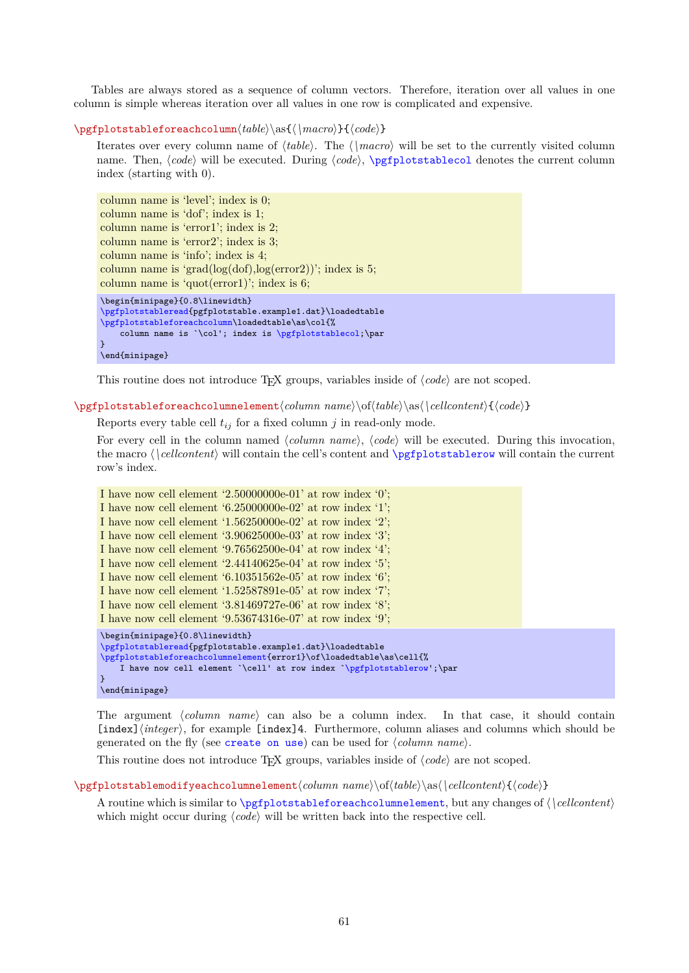<span id="page-60-3"></span>Tables are always stored as a sequence of column vectors. Therefore, iteration over all values in one column is simple whereas iteration over all values in one row is complicated and expensive.

#### <span id="page-60-0"></span>\pgfplotstableforeachcolumn\table\\as{\\macro\}{\code\}

Iterates over every column name of  $\langle table \rangle$ . The  $\langle$   $\langle macro \rangle$  will be set to the currently visited column name. Then,  $\langle code \rangle$  will be executed. During  $\langle code \rangle$ ,  $\text{pefplotstablecol}$  denotes the current column index (starting with 0).

```
column name is 'level'; index is 0;
column name is 'dof'; index is 1;
column name is 'error1'; index is 2;
column name is 'error2'; index is 3;
column name is 'info'; index is 4;
column name is 'grad(log(dof),log(error2))'; index is 5;
column name is 'quot(error1)'; index is 6;
\begin{minipage}{0.8\linewidth}
\pgfplotstableread{pgfplotstable.example1.dat}\loadedtable
\pgfplotstableforeachcolumn\loadedtable\as\col{%
    column name is `\col'; index is \pgfplotstablecol;\par
\overline{ }
```
\end{minipage}

This routine does not introduce T<sub>E</sub>X groups, variables inside of  $\langle code \rangle$  are not scoped.

<span id="page-60-1"></span> $\pgfplotstableforeachcolumnelement\cdot\cdots \hskip 1.00cm\hspace{1.00cm}\text{or} \hskip 1.00cm\text{and}\hskip 1.00cm\text{for} \hskip 1.00cm\text{or} \hskip 1.00cm\text{or} \hskip 1.00cm\text{or} \hskip 1.00cm\text{or} \hskip 1.00cm\text{or} \hskip 1.00cm\text{or} \hskip 1.00cm\text{or} \hskip 1.00cm\text{or} \hskip 1.00cm\text{or} \hskip 1.00cm\text{or} \hskip 1.00cm\text{or} \$ 

Reports every table cell  $t_{ij}$  for a fixed column j in read-only mode.

For every cell in the column named *(column name)*, *(code)* will be executed. During this invocation, the macro  $\langle$  | *cellcontent* $\rangle$  will contain the cell's content and  $\pmb{\rightarrow}$  pgfplotstablerow will contain the current row's index.

```
I have now cell element '2.50000000e-01' at row index '0';
I have now cell element '6.25000000e-02' at row index '1';
I have now cell element '1.56250000e-02' at row index '2';
I have now cell element '3.90625000e-03' at row index '3';
I have now cell element '9.76562500e-04' at row index '4';
I have now cell element '2.44140625e-04' at row index '5';
I have now cell element '6.10351562e-05' at row index '6';
I have now cell element '1.52587891e-05' at row index '7';
I have now cell element '3.81469727e-06' at row index '8';
I have now cell element '9.53674316e-07' at row index '9';
\begin{minipage}{0.8\linewidth}
\pgfplotstableread{pgfplotstable.example1.dat}\loadedtable
\pgfplotstableforeachcolumnelement{error1}\of\loadedtable\as\cell{%
    I have now cell element `\cell' at row index `\pgfplotstablerow';\par
}
\end{minipage}
```
The argument *(column name)* can also be a column index. In that case, it should contain [index]/*integer*}, for example [index]4. Furthermore, column aliases and columns which should be generated on the fly (see [create on use](#page-49-0)) can be used for  $\langle column \ name \rangle$ .

This routine does not introduce T<sub>EX</sub> groups, variables inside of  $\langle code \rangle$  are not scoped.

#### <span id="page-60-2"></span> $\pgfplotstablemodifyeachcolumnelement/column name) \of(table) \as(\\cellcontent){\code{code}}$

A routine which is similar to **[\pgfplotstableforeachcolumnelement](#page-60-1)**, but any changes of  $\langle \text{|} \text{cellcontent} \rangle$ which might occur during  $\langle code \rangle$  will be written back into the respective cell.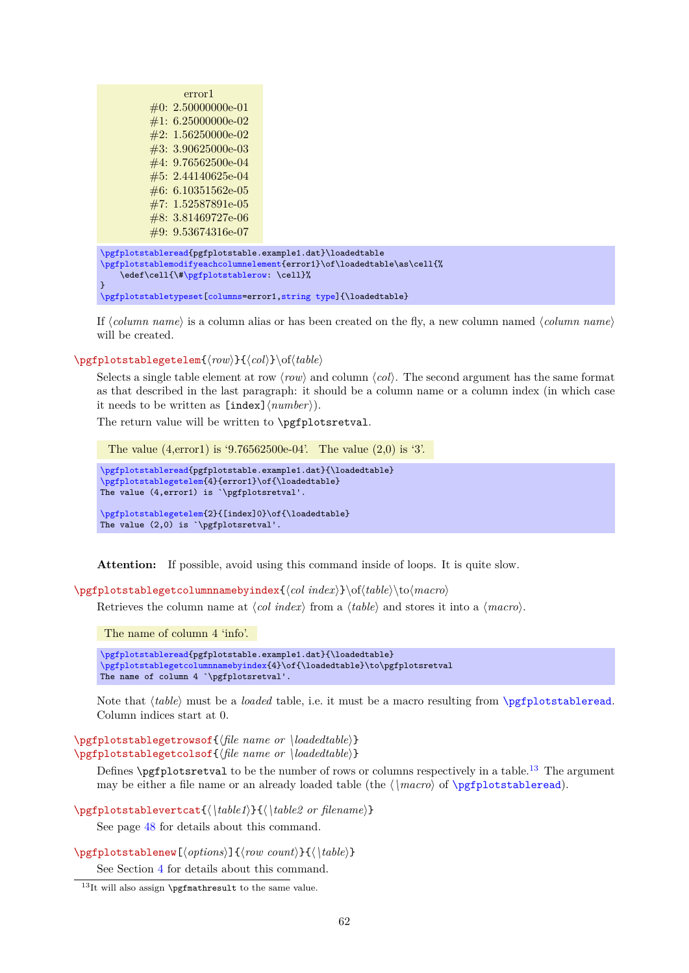<span id="page-61-4"></span>

| error1<br>$\#0: 2.50000000e-01$<br>$\#1: 6.25000000e-02$<br>$\#2: 1.56250000e-02$<br>$\#3: 3.90625000e-03$<br>$\#4: 9.76562500e-04$<br>$\#5: 2.44140625e-04$<br>$\#6: 6.10351562e-05$<br>$\#7: 1.52587891e-05$<br>$\#8: 3.81469727e-06$<br>$\#9: 9.53674316e-07$ |                                                                        |
|------------------------------------------------------------------------------------------------------------------------------------------------------------------------------------------------------------------------------------------------------------------|------------------------------------------------------------------------|
| \pgfplotstableread{pgfplotstable.example1.dat}\loadedtable<br>\edef\cell{\#\pgfplotstablerow: \cell}%<br>ł<br>\pgfplotstabletypeset[columns=error1, string type]{\loadedtable}                                                                                   | \pgfplotstablemodifyeachcolumnelement{error1}\of\loadedtable\as\cell{% |

If  $\langle column \, name \rangle$  is a column alias or has been created on the fly, a new column named  $\langle column \, name \rangle$ will be created.

<span id="page-61-1"></span>\pgfplotstablegetelem{ $\langle row\rangle$ }{ $\langle col\rangle$ }\of $\langle table\rangle$ 

Selects a single table element at row  $\langle row \rangle$  and column  $\langle col \rangle$ . The second argument has the same format as that described in the last paragraph: it should be a column name or a column index (in which case it needs to be written as  $[\text{index}]\langle number \rangle$ .

The return value will be written to **\pgfplotsretval**.

The value (4,error1) is '9.76562500e-04'. The value (2,0) is '3'.

```
\pgfplotstableread{pgfplotstable.example1.dat}{\loadedtable}
\pgfplotstablegetelem{4}{error1}\of{\loadedtable}
The value (4,error1) is `\pgfplotsretval'.
```
[\pgfplotstablegetelem{](#page-61-1)2}{[index]0}\of{\loadedtable} The value (2,0) is `\pgfplotsretval'.

**Attention:** If possible, avoid using this command inside of loops. It is quite slow.

<span id="page-61-2"></span>\pgfplotstablegetcolumnnamebyindex{h*col index*i}\ofh*table*i\toh*macro*i

Retrieves the column name at  $\langle col\ index\rangle$  from a  $\langle table\rangle$  and stores it into a  $\langle macro\rangle$ .

The name of column 4 'info'.

```
\pgfplotstableread{pgfplotstable.example1.dat}{\loadedtable}
\pgfplotstablegetcolumnnamebyindex{4}\of{\loadedtable}\to\pgfplotsretval
The name of column 4 `\pgfplotsretval'.
```
Note that  $\langle table \rangle$  must be a *loaded* table, i.e. it must be a macro resulting from [\pgfplotstableread](#page-3-0). Column indices start at 0.

<span id="page-61-0"></span> $\pmb{\text{ppfplotstable}}$  $\pmb{\rightarrow}$ 

Defines  $\text{ppfplot}$ sretval to be the number of rows or columns respectively in a table.<sup>[13](#page-61-3)</sup> The argument may be either a file name or an already loaded table (the  $\langle \langle \rangle$  of  $\text{ppfplotstable}$ ).

\pgfplotstablevertcat{\\table1\}{\\table2 or filename\}

See page [48](#page-46-3) for details about this command.

\pgfplotstablenew[ $\{options\}$ ]{ $\{row count\}$ }{ $\{\hat{table}\}$ }

See Section [4](#page-46-0) for details about this command.

<span id="page-61-3"></span> $13$ It will also assign \pgfmathresult to the same value.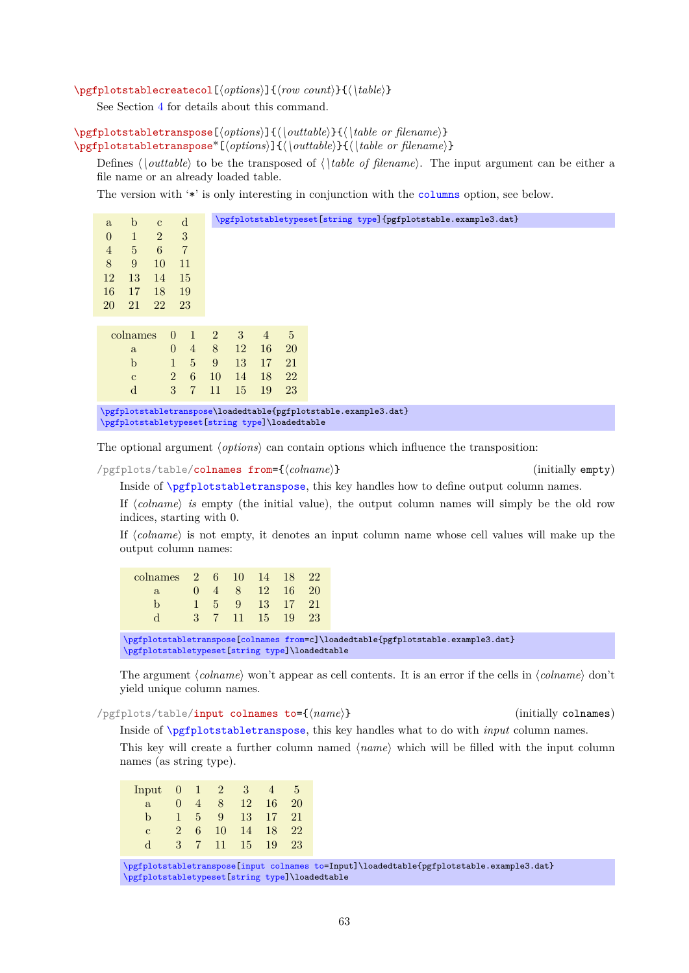# <span id="page-62-3"></span>\pgfplotstablecreatecol[\*options*}]{\*row count*}}{\\table}}

See Section [4](#page-46-0) for details about this command.

<span id="page-62-0"></span>\pgfplotstabletranspose[\*options*}]{\\outtable}}{\\table or filename}} \pgfplotstabletranspose<sup>\*</sup>[\*options*}]{\\*outtable*}}{\\table or filename}}

Defines  $\langle$  *\outtable* $\rangle$  to be the transposed of  $\langle$  *\table of filename* $\rangle$ . The input argument can be either a file name or an already loaded table.

The version with '\*' is only interesting in conjunction with the [columns](#page-9-0) option, see below.

| a              | $\mathbf b$     | $\mathbf{c}$   |                | d              |                |           | \pgfplotstabletypeset [string type] {pgfplotstable.example3.dat} |                |                                                                                                                   |
|----------------|-----------------|----------------|----------------|----------------|----------------|-----------|------------------------------------------------------------------|----------------|-------------------------------------------------------------------------------------------------------------------|
| $\overline{0}$ | $\mathbf{1}$    | $\overline{2}$ |                | 3              |                |           |                                                                  |                |                                                                                                                   |
| $\overline{4}$ | $5\overline{)}$ | 6              |                | $\overline{7}$ |                |           |                                                                  |                |                                                                                                                   |
| 8              | 9               | 10             |                | 11             |                |           |                                                                  |                |                                                                                                                   |
| 12             | 13              | 14             |                | <sup>15</sup>  |                |           |                                                                  |                |                                                                                                                   |
| 16             | 17              | 18             |                | 19             |                |           |                                                                  |                |                                                                                                                   |
| 20             | 21              | 22             |                | 23             |                |           |                                                                  |                |                                                                                                                   |
|                |                 |                |                |                |                |           |                                                                  |                |                                                                                                                   |
|                | colnames        |                | $\overline{0}$ |                | $\mathbf{1}$   | 2         | 3 <sup>1</sup>                                                   | $\overline{4}$ | $5\overline{)}$                                                                                                   |
|                | a               |                | $\overline{0}$ |                | $\overline{4}$ | 8         | 12                                                               | 16             | <b>20</b>                                                                                                         |
|                | $\mathbf{b}$    |                |                | 1              | 5 <sup>5</sup> | 9         | 13                                                               | <sup>17</sup>  | 21                                                                                                                |
|                | $\mathbf{c}$    |                | $\overline{2}$ |                | $6^{\circ}$    | <b>10</b> | 14                                                               | <sup>18</sup>  | 22                                                                                                                |
|                | d               |                | $\mathcal{S}$  |                | $\overline{7}$ | 11        | 15                                                               | 19             | 23                                                                                                                |
|                |                 |                |                |                |                |           |                                                                  |                | \pgfplotstabletranspose\loadedtable{pgfplotstable.example3.dat}<br>\pgfplotstabletypeset[string type]\loadedtable |
|                |                 |                |                |                |                |           |                                                                  |                |                                                                                                                   |

The optional argument  $\langle options \rangle$  can contain options which influence the transposition:

<span id="page-62-1"></span>/pgfplots/table/colnames from={h*colname*i} (initially empty)

Inside of [\pgfplotstabletranspose](#page-62-0), this key handles how to define output column names.

If  $\langle \text{column} \rangle$  *is* empty (the initial value), the output column names will simply be the old row indices, starting with 0.

If  $\langle \textit{colname} \rangle$  is not empty, it denotes an input column name whose cell values will make up the output column names:

| colnames 2 6 10 14 18 22 |    |  |                            |  |
|--------------------------|----|--|----------------------------|--|
| a                        |    |  | $0 \t4 \t8 \t12 \t16 \t20$ |  |
|                          |    |  | 1 5 9 13 17 21             |  |
|                          | З. |  | 7 11 15 19 23              |  |

[\pgfplotstabletranspose](#page-62-0)[\[colnames from=](#page-62-1)c]\loadedtable{pgfplotstable.example3.dat} [\pgfplotstabletypeset](#page-2-0)[\[string type\]](#page-37-0)\loadedtable

The argument  $\langle column \rangle$  won't appear as cell contents. It is an error if the cells in  $\langle column \rangle$  don't yield unique column names.

<span id="page-62-2"></span>/pgfplots/table/input colnames to={h*name*i} (initially colnames)

Inside of [\pgfplotstabletranspose](#page-62-0), this key handles what to do with *input* column names.

This key will create a further column named  $\langle name \rangle$  which will be filled with the input column names (as string type).

| Input | $\theta$       | $\blacktriangleleft$ | $\mathbf{2}$    | - 3-          | $\overline{4}$ | 5  |
|-------|----------------|----------------------|-----------------|---------------|----------------|----|
| a     | $\mathbf{0}$   | $\overline{4}$       | 8 <sup>8</sup>  | <sup>12</sup> | 16             | 20 |
| h     |                | $5 -$                | 9               |               | 13 17          | 21 |
| C     | $\overline{2}$ | 6.                   | 10              | 14            | 18             | 22 |
|       | 3              | 7                    | 41 <sup>7</sup> | 15            | 19             | 23 |

[\pgfplotstabletranspose](#page-62-0)[\[input colnames to=](#page-62-2)Input]\loadedtable{pgfplotstable.example3.dat} [\pgfplotstabletypeset](#page-2-0)[\[string type\]](#page-37-0)\loadedtable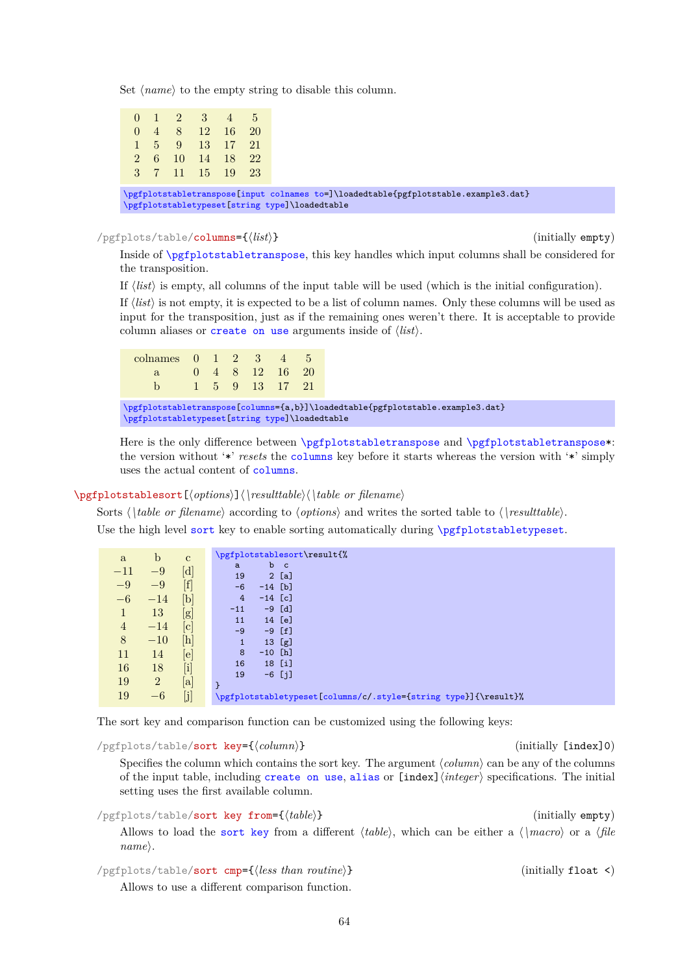<span id="page-63-3"></span>Set  $\langle name \rangle$  to the empty string to disable this column.

|  | $0 \t1 \t2 \t3 \t4 \t5$                        |  |                                                                                                                                        |
|--|------------------------------------------------|--|----------------------------------------------------------------------------------------------------------------------------------------|
|  | $0 \quad 4 \quad 8 \quad 12 \quad 16 \quad 20$ |  |                                                                                                                                        |
|  | 1 5 9 13 17 21                                 |  |                                                                                                                                        |
|  | 2 6 10 14 18 22                                |  |                                                                                                                                        |
|  | 3 7 11 15 19 23                                |  |                                                                                                                                        |
|  |                                                |  |                                                                                                                                        |
|  |                                                |  | \pgfplotstabletranspose[input colnames to=]\loadedtable{pgfplotstable.example3.dat}<br>\pgfplotstabletypeset [string type]\loadedtable |
|  |                                                |  |                                                                                                                                        |

/pgfplots/table/columns={h*list*i} (initially empty)

Inside of [\pgfplotstabletranspose](#page-62-0), this key handles which input columns shall be considered for the transposition.

If  $\langle list \rangle$  is empty, all columns of the input table will be used (which is the initial configuration).

If  $\langle list \rangle$  is not empty, it is expected to be a list of column names. Only these columns will be used as input for the transposition, just as if the remaining ones weren't there. It is acceptable to provide column aliases or [create on use](#page-49-0) arguments inside of  $\langle list \rangle$ .

colnames 0 1 2 3 4 5 a 0 4 8 12 16 20 b 1 5 9 13 17 21

[\pgfplotstabletranspose](#page-62-0)[\[columns=](#page-9-0){a,b}]\loadedtable{pgfplotstable.example3.dat} [\pgfplotstabletypeset](#page-2-0)[\[string type\]](#page-37-0)\loadedtable

Here is the only difference between [\pgfplotstabletranspose](#page-62-0) and [\pgfplotstabletranspose\\*](#page-62-0): the version without '\*' *resets* the [columns](#page-9-0) key before it starts whereas the version with '\*' simply uses the actual content of [columns](#page-9-0).

#### <span id="page-63-0"></span>\pgfplotstablesort[h*options*i]h*\resulttable*ih*\table or filename*i

Sorts  $\langle \hat{\phi} \rangle$  *table or filename*) according to  $\langle \hat{\phi} \rangle$  and writes the sorted table to  $\langle \hat{\phi} \rangle$ . Use the high level [sort](#page-13-0) key to enable sorting automatically during [\pgfplotstabletypeset](#page-2-0).

| a              | b              | $\mathbf{c}$                                                                                                                                                                                                                                                                       | \pgfplotstablesort\result{%                                     |
|----------------|----------------|------------------------------------------------------------------------------------------------------------------------------------------------------------------------------------------------------------------------------------------------------------------------------------|-----------------------------------------------------------------|
| $-11$          | $-9$           | [d]                                                                                                                                                                                                                                                                                | $\mathbf b$<br>$\mathbf{C}$<br>a                                |
|                |                |                                                                                                                                                                                                                                                                                    | 2[a]<br>19                                                      |
| $-9$           | $-9$           | $[f]$                                                                                                                                                                                                                                                                              | $-14$ [b]<br>$-6$                                               |
| $-6$           | $-14$          | $[b] % \centering % {\includegraphics[width=0.9\textwidth]{figs-pi.pdf}} \caption{The figure shows the result of the parameter $\rho$ in the right panel. The left panel shows the result of the parameter $\rho$ in the right panel.} \label{fig:pi} %$                           | $-14$ [c]<br>$\overline{4}$                                     |
| $\mathbf 1$    | 13             | $[\mathrm{g}]$                                                                                                                                                                                                                                                                     | $-9$ [d]<br>$-11$                                               |
|                |                |                                                                                                                                                                                                                                                                                    | 14 [e]<br>11                                                    |
| $\overline{4}$ | $-14$          | $[\mathrm{c}]$                                                                                                                                                                                                                                                                     | $-9 [f]$<br>$-9$                                                |
| 8              | $-10$          | $[h]% \centering \includegraphics[width=0.47\textwidth]{images/TrDiM-Architecture.png} \caption{The 3D (top) and the 4D (bottom) of the 3D (bottom) and the 4D (bottom) of the 3D (bottom) and the 4D (bottom) of the 3D (bottom) of the 3D (bottom).} \label{TrDiM-Architecture}$ | [g]<br>$\mathbf{1}$<br>13 <sup>7</sup>                          |
| 11             | 14             | $[{\rm e}]$                                                                                                                                                                                                                                                                        | 8<br>$-10$ [h]                                                  |
| 16             | 18             |                                                                                                                                                                                                                                                                                    | 18 [i]<br>16                                                    |
|                |                | $[{\rm i}]$                                                                                                                                                                                                                                                                        | $-6$ [j]<br>19                                                  |
| 19             | $\overline{2}$ | $[\mathrm{a}]$                                                                                                                                                                                                                                                                     | ł                                                               |
| 19             | $-6$           | $[j]$                                                                                                                                                                                                                                                                              | \pgfplotstabletypeset[columns/c/.style={string type}]{\result}% |

The sort key and comparison function can be customized using the following keys:

<span id="page-63-1"></span>/pgfplots/table/**sort key={**/*column*} (initially [index]0)

Specifies the column which contains the sort key. The argument  $\langle column \rangle$  can be any of the columns of the input table, including [create on use](#page-49-0), [alias](#page-9-1) or [index]h*integer*i specifications. The initial setting uses the first available column.

/pgfplots/table/**sort key from={** $\{table\}$ } (initially empty)

Allows to load the [sort key](#page-63-1) from a different  $\langle \text{table} \rangle$ , which can be either a  $\langle \text{frac} \rangle$  or a  $\langle \text{file} \rangle$  $name\rangle$ .

```
/pgfplots/table/sort cmp={/less than routine}} (initially float <)
```
Allows to use a different comparison function.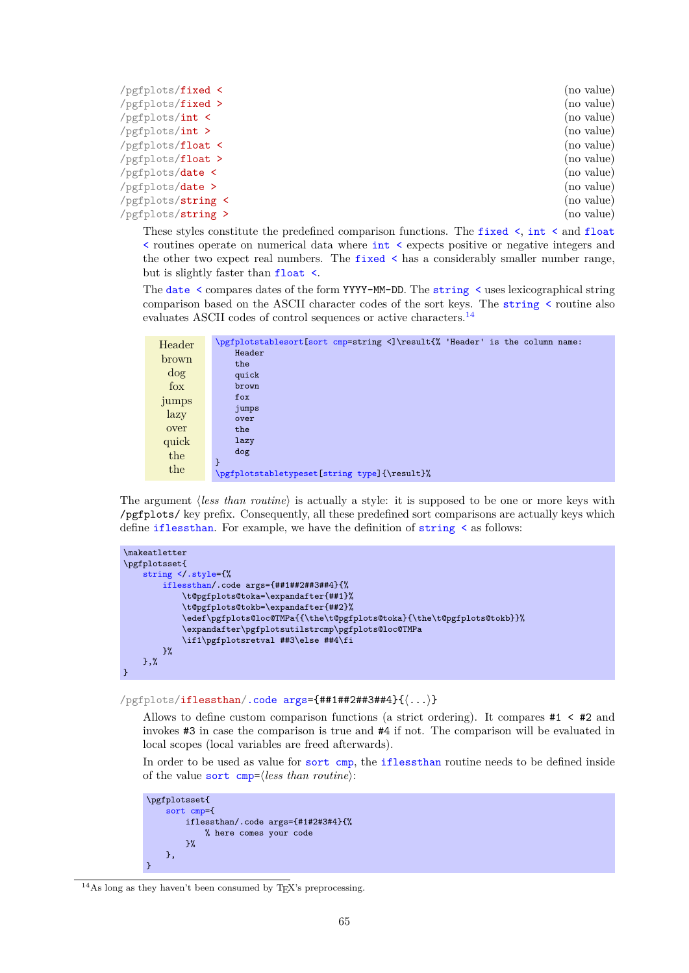<span id="page-64-7"></span><span id="page-64-2"></span><span id="page-64-1"></span><span id="page-64-0"></span>

| $/$ pgfplots/fixed < | (no value) |
|----------------------|------------|
| /pgfplots/fixed >    | (no value) |
| /pgfplots/int <      | (no value) |
| $/pgfplots/int$ >    | (no value) |
| /pgfplots/float <    | (no value) |
| /pgfplots/float >    | (no value) |
| /pgfplots/date <     | (no value) |
| $/pgfplots/date$ >   | (no value) |
| /pgfplots/string <   | (no value) |
| /pgfplots/string >   | (no value) |

<span id="page-64-4"></span><span id="page-64-3"></span>These styles constitute the predefined comparison functions. The [fixed <](#page-64-0), [int <](#page-64-1) and [float](#page-64-2)  $\le$  routines operate on numerical data where  $\mathrm{int} \leq$  expects positive or negative integers and the other two expect real numbers. The [fixed <](#page-64-0) has a considerably smaller number range, but is slightly faster than [float <](#page-64-2).

The [date <](#page-64-3) compares dates of the form YYYY-MM-DD. The [string <](#page-64-4) uses lexicographical string comparison based on the ASCII character codes of the sort keys. The string  $\le$  routine also evaluates ASCII codes of control sequences or active characters.<sup>[14](#page-64-5)</sup>

| Header | \pgfplotstablesort [sort cmp=string <]\result{%, 'Header' is the column name:<br>Header |
|--------|-----------------------------------------------------------------------------------------|
| brown  | the                                                                                     |
| dog    | quick                                                                                   |
| fox    | brown                                                                                   |
| jumps  | fox                                                                                     |
| lazy   | jumps                                                                                   |
|        | over                                                                                    |
| over   | the                                                                                     |
| quick  | lazy                                                                                    |
| the    | dog                                                                                     |
| the    | \pgfplotstabletypeset[string type]{\result}%                                            |

The argument *(less than routine)* is actually a style: it is supposed to be one or more keys with /pgfplots/ key prefix. Consequently, all these predefined sort comparisons are actually keys which define [iflessthan](#page-64-6). For example, we have the definition of [string <](#page-64-4) as follows:

```
\makeatletter
\pgfplotsset{
    string </.style={%
        iflessthan/.code args={##1##2##3##4}{%
            \t@pgfplots@toka=\expandafter{##1}%
            \t@pgfplots@tokb=\expandafter{##2}%
            \edef\pgfplots@loc@TMPa{{\the\t@pgfplots@toka}{\the\t@pgfplots@tokb}}%
            \expandafter\pgfplotsutilstrcmp\pgfplots@loc@TMPa
            \if1\pgfplotsretval ##3\else ##4\fi
        }%
    },%
}
```
#### <span id="page-64-6"></span>/pgfplots/iflessthan[/.code args=](#page-59-0){##1##2##3##4}{h*...*i}

Allows to define custom comparison functions (a strict ordering). It compares #1 < #2 and invokes #3 in case the comparison is true and #4 if not. The comparison will be evaluated in local scopes (local variables are freed afterwards).

In order to be used as value for [sort cmp](#page-63-2), the [iflessthan](#page-64-6) routine needs to be defined inside of the value [sort cmp=](#page-63-2) $\langle less\ than\ routine\rangle$ :

```
\pgfplotsset{
     sort cmp={
         iflessthan/.code args={#1#2#3#4}{%
              % here comes your code
         \overline{2}%
     },
}
```
<span id="page-64-5"></span><sup>&</sup>lt;sup>14</sup>As long as they haven't been consumed by T<sub>E</sub>X's preprocessing.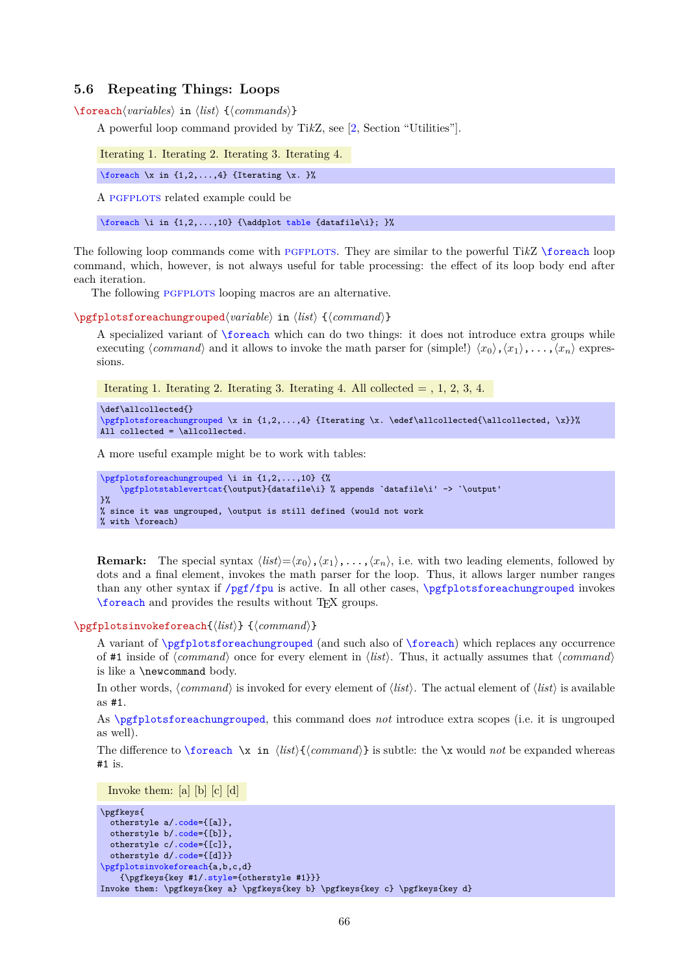# <span id="page-65-3"></span>**5.6 Repeating Things: Loops**

<span id="page-65-0"></span> $\{fore$  *(foreach* $\{variables\}$  in  $\{list\}$  { $\{commands\}$ }

A powerful loop command provided by Ti*k*Z, see [\[2,](#page-71-0) Section "Utilities"].

Iterating 1. Iterating 2. Iterating 3. Iterating 4.

[\foreach](#page-65-0) \x in  $\{1,2,\ldots,4\}$  {Iterating \x. }%

A PGFPLOTS related example could be

[\foreach](#page-65-0) \i in  $\{1,2,\ldots,10\}$  {\addplot [table](#page-56-0) {datafile\i}; }%

The following loop commands come with PGFPLOTS. They are similar to the powerful TikZ [\foreach](#page-65-0) loop command, which, however, is not always useful for table processing: the effect of its loop body end after each iteration.

The following PGFPLOTS looping macros are an alternative.

<span id="page-65-1"></span> $\text{ppfplots}$ foreachungrouped $\langle variable \rangle$  in  $\langle list \rangle$  { $\langle command \rangle$ }

A specialized variant of [\foreach](#page-65-0) which can do two things: it does not introduce extra groups while executing  $\langle command \rangle$  and it allows to invoke the math parser for  $(\text{simple!}) \langle x_0 \rangle, \langle x_1 \rangle, \ldots, \langle x_n \rangle$  expressions.

Iterating 1. Iterating 2. Iterating 3. Iterating 4. All collected  $= 1, 2, 3, 4$ .

```
\def\allcollected{}
\pgfplotsforeachungrouped \x in {1,2,...,4} {Iterating \x. \edef\allcollected{\allcollected, \x}}%
All collected = \allcollected.
```
A more useful example might be to work with tables:

```
\pgfplotsforeachungrouped \i in {1,2,...,10} {%
    \pgfplotstablevertcat{\output}{datafile\i} % appends `datafile\i' -> `\output'
}%
% since it was ungrouped, \output is still defined (would not work
% with \foreach)
```
**Remark:** The special syntax  $\langle list \rangle = \langle x_0 \rangle, \langle x_1 \rangle, \ldots, \langle x_n \rangle$ , i.e. with two leading elements, followed by dots and a final element, invokes the math parser for the loop. Thus, it allows larger number ranges than any other syntax if  $/pgf/fpu$  is active. In all other cases,  $\pfplotsforeachungrouped$  invokes [\foreach](#page-65-0) and provides the results without TEX groups.

<span id="page-65-2"></span>\pgfplotsinvokeforeach{\list\} {\lammand\}

A variant of [\pgfplotsforeachungrouped](#page-65-1) (and such also of [\foreach](#page-65-0)) which replaces any occurrence of #1 inside of  $\langle command \rangle$  once for every element in  $\langle list \rangle$ . Thus, it actually assumes that  $\langle command \rangle$ is like a \newcommand body.

In other words,  $\langle command \rangle$  is invoked for every element of  $\langle list \rangle$ . The actual element of  $\langle list \rangle$  is available as #1.

As [\pgfplotsforeachungrouped](#page-65-1), this command does *not* introduce extra scopes (i.e. it is ungrouped as well).

The difference to  $\text{break } \x in \{list\} {\text{command}}\}$  is subtle: the  $\x$  would *not* be expanded whereas #1 is.

Invoke them: [a] [b] [c] [d]

```
\pgfkeys{
 otherstyle a/.code={[a]},
 otherstyle b/.code={[b]},
 otherstyle c/.code={[c]},
 otherstyle d/.code={[d]}}
\pgfplotsinvokeforeach{a,b,c,d}
   {\pgfkeys{key #1/.style={otherstyle #1}}}
Invoke them: \pgfkeys{key a} \pgfkeys{key b} \pgfkeys{key c} \pgfkeys{key d}
```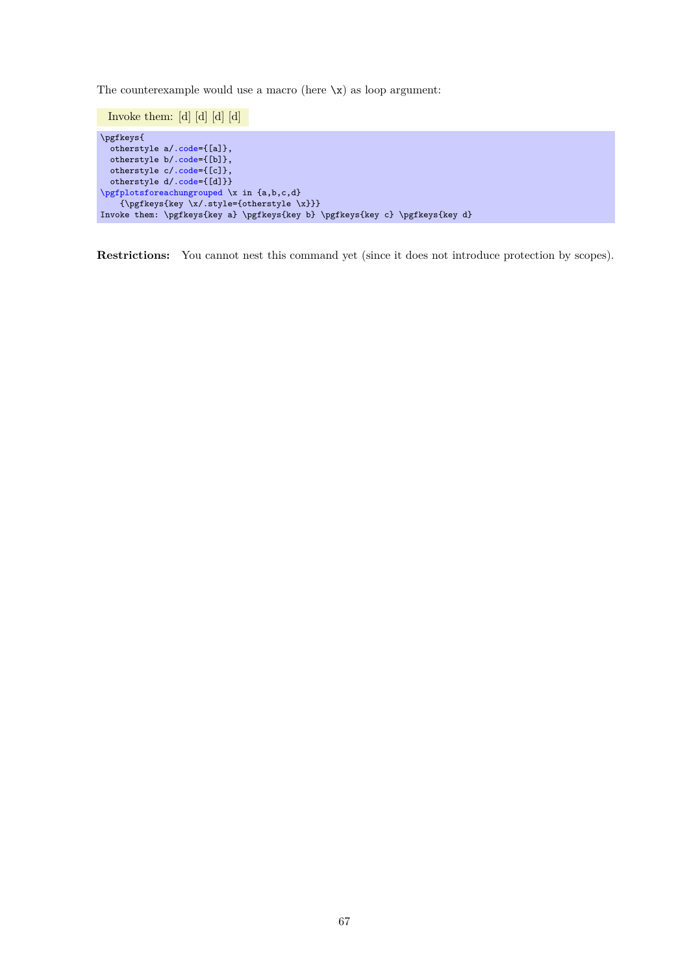The counterexample would use a macro (here  $\chi$ ) as loop argument:

Invoke them: [d] [d] [d] [d] \pgfkeys{ otherstylea[/.code=](#page-59-0){[a]}, otherstyleb[/.code=](#page-59-0){[b]}, otherstylec[/.code=](#page-59-0){[c]}, otherstyled[/.code=](#page-59-0){[d]}} [\pgfplotsforeachungrouped](#page-65-1) \x in {a,b,c,d} {\pgfkeys{key \x/.style={otherstyle \x}}} Invoke them: \pgfkeys{key a} \pgfkeys{key b} \pgfkeys{key c} \pgfkeys{key d}

**Restrictions:** You cannot nest this command yet (since it does not introduce protection by scopes).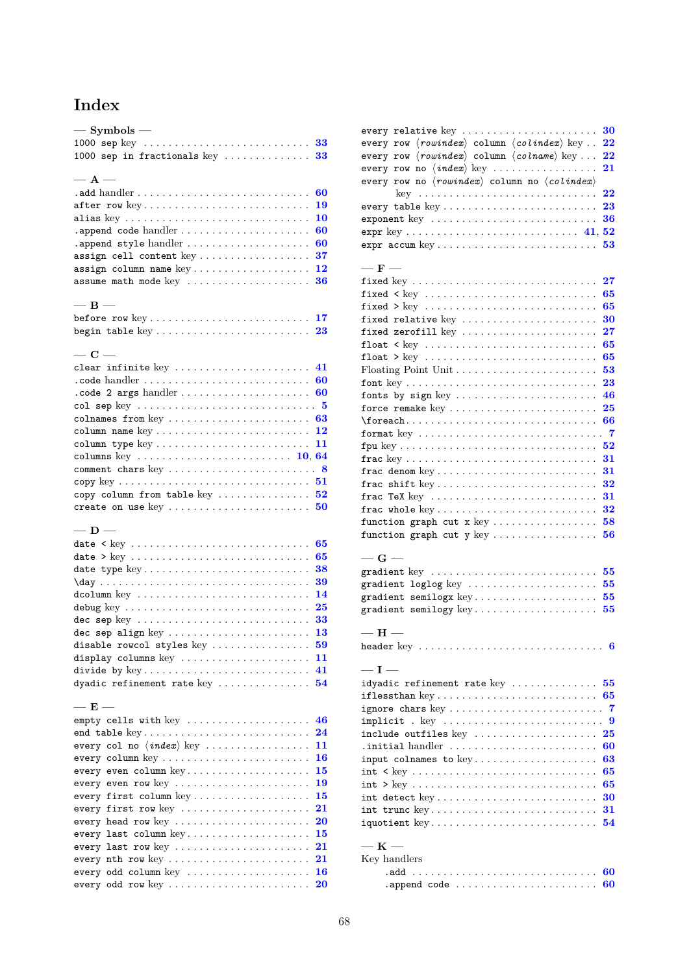# **Index**

| $-$ Symbols $-$                                                                     |          |
|-------------------------------------------------------------------------------------|----------|
| 1000 sep in fractionals key $33$                                                    |          |
| $- A -$                                                                             |          |
|                                                                                     | 60       |
| after row key                                                                       | 19       |
| alias key                                                                           | 10       |
| .append code handler                                                                | 60       |
| .append style handler                                                               | 60       |
| assign cell content key                                                             | 37       |
| assign column name key                                                              | 12       |
| assume math mode key                                                                | 36       |
|                                                                                     |          |
| $-$ B $-$                                                                           |          |
|                                                                                     |          |
|                                                                                     | 23       |
|                                                                                     |          |
| $-$ C $-$                                                                           |          |
| clear infinite key $\dots\dots\dots\dots\dots\dots\dots\dots$ 41                    |          |
| $\cdot$ code handler $\dots \dots \dots \dots \dots \dots \dots \dots \dots$        | 60       |
| .code 2 args handler                                                                | 60       |
| col sep key $\ldots \ldots \ldots \ldots \ldots \ldots \ldots \ldots \ldots 5$      |          |
| colnames from key                                                                   | 63       |
|                                                                                     | 12       |
|                                                                                     | 11       |
| columns key $\ldots \ldots \ldots \ldots \ldots \ldots \ldots \ldots \ldots 10, 64$ |          |
|                                                                                     |          |
| copy column from table key                                                          | 52       |
| create on use key                                                                   | 50       |
|                                                                                     |          |
| $-$ D $-$                                                                           |          |
|                                                                                     | 65       |
|                                                                                     | 65       |
| date type key                                                                       | 38       |
|                                                                                     | 39       |
|                                                                                     | 14       |
|                                                                                     | 25       |
| dec sep key                                                                         | 33       |
| dec sep align key                                                                   | 13       |
| disable rowcol styles key                                                           | 59       |
| display columns key                                                                 | 11       |
| divide by key                                                                       | 41       |
| dyadic refinement rate key                                                          | 54       |
|                                                                                     |          |
| $-$ E $-$                                                                           |          |
|                                                                                     |          |
| empty cells with key                                                                | 46       |
| end table key                                                                       | 24       |
| every col no $\langle \text{index} \rangle$ key                                     | 11       |
| every column key                                                                    | 16       |
| every even column key                                                               | 15       |
| every even row key $\dots\dots\dots\dots\dots\dots\dots\dots\dots$                  | 19       |
| every first column key                                                              | 15       |
| every first row key $\dots\dots\dots\dots\dots\dots\dots\dots$                      | 21       |
| every head row key                                                                  | 20       |
| every last column key                                                               | 15       |
| every last row key                                                                  | 21       |
| every nth row key                                                                   | 21       |
| every odd column key<br>every odd row key                                           | 16<br>20 |

| every relative $key$                                                                           | 30                  |
|------------------------------------------------------------------------------------------------|---------------------|
| every row $\langle \textit{rowindex} \rangle$ column $\langle \textit{colindex} \rangle$ key   | 22                  |
| every row $\langle \textit{rowindex} \rangle$ column $\langle \textit{column} \rangle$ key     | $\overline{\bf 22}$ |
| every row no $\langle \text{index} \rangle$ key                                                | 21                  |
| every row no $\langle \textit{rowindex} \rangle$ column no $\langle \textit{colindex} \rangle$ |                     |
|                                                                                                | 22                  |
| every table $key \ldots \ldots \ldots \ldots \ldots \ldots \ldots \ldots$                      | 23                  |
| exponent key                                                                                   | 36                  |
|                                                                                                |                     |
| expr accum key                                                                                 | 53                  |
|                                                                                                |                     |
| $-$ F $-$                                                                                      |                     |
| fixed key                                                                                      | 27                  |
| fixed $\langle$ key                                                                            | 65                  |
| fixed $>$ key                                                                                  | 65                  |
| fixed relative key                                                                             | 30                  |
| fixed zerofill key                                                                             | $\bf{27}$           |
|                                                                                                | 65                  |
| float > $key$                                                                                  | 65                  |
|                                                                                                | 53                  |
| font $key \ldots \ldots \ldots \ldots \ldots \ldots \ldots \ldots \ldots \ldots$               | 23                  |
| fonts by sign key $\dots\dots\dots\dots\dots\dots\dots\dots\dots$                              | 46                  |
| force remake $key \ldots \ldots \ldots \ldots \ldots \ldots \ldots$                            | 25                  |
|                                                                                                | 66                  |
| format key                                                                                     | - 7                 |
|                                                                                                | 52                  |
|                                                                                                | 31                  |
|                                                                                                | 31                  |
| frac shift $key \ldots \ldots \ldots \ldots \ldots \ldots \ldots \ldots$                       | 32                  |
| frac TeX key                                                                                   | 31                  |
|                                                                                                | 32                  |
| frac whole $\text{key} \dots \dots \dots \dots \dots \dots \dots \dots$                        |                     |
| function graph cut $x \text{ key } \ldots \ldots \ldots \ldots$                                | 58                  |
| function graph cut y key                                                                       | 56                  |
| $-\,\mathrm{G}$ $-$                                                                            |                     |
| gradient key                                                                                   | 55                  |
|                                                                                                | 55                  |
| gradient semilogx key                                                                          | 55                  |
| gradient semilogy $key \ldots \ldots \ldots \ldots \ldots \ldots$                              | 55                  |
|                                                                                                |                     |
| $-$ H $-$                                                                                      |                     |
| header $\text{key}\;\dots\ldots\ldots\ldots\ldots\ldots\ldots\ldots\ldots\ldots\;6$            |                     |
|                                                                                                |                     |
| $-I -$                                                                                         |                     |
| $i$ dyadic refinement rate $key$                                                               | 55                  |
| if less than $key \ldots \ldots \ldots \ldots \ldots \ldots \ldots \ldots$                     | 65                  |
| ignore chars key                                                                               | 7                   |
| implicit . key                                                                                 | 9                   |
|                                                                                                | 25                  |
| . initial handler                                                                              | 60                  |
| input colnames to $key \ldots \ldots \ldots \ldots \ldots$                                     | 63                  |
|                                                                                                | 65                  |
|                                                                                                | 65                  |
| $\quad$ int detect $\text{key} \dots \dots \dots \dots \dots \dots \dots \dots$                | 30                  |
| int trunc key                                                                                  | 31                  |
| iquotient key                                                                                  | 54                  |
|                                                                                                |                     |
| $-$ K $-$                                                                                      |                     |
| Key handlers                                                                                   |                     |
|                                                                                                | 60                  |
| .append code                                                                                   | 60                  |
|                                                                                                |                     |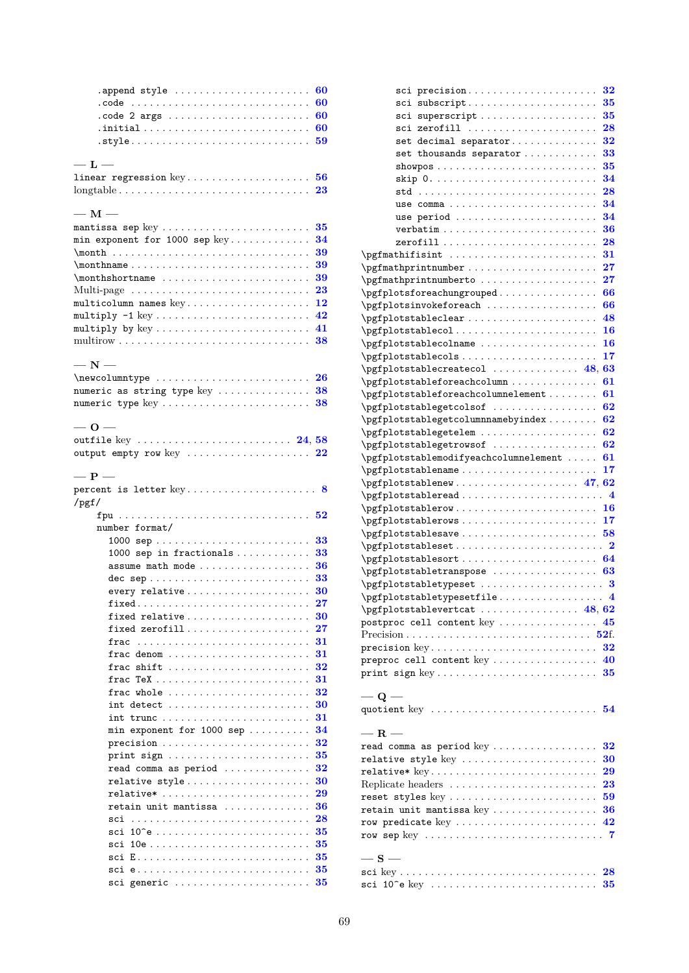| .append style $\dots\dots\dots\dots\dots\dots\dots\dots$                             |                          |
|--------------------------------------------------------------------------------------|--------------------------|
|                                                                                      | 60                       |
| .code                                                                                | 60                       |
| .code 2 args                                                                         | 60                       |
|                                                                                      | 60                       |
|                                                                                      | 59                       |
| $-$ L $-$                                                                            |                          |
| $\verb linear regression key  \dots \dots \dots \dots \dots \dots \dots \dots$       | 56                       |
| $\text{longtable} \dots \dots \dots \dots \dots \dots \dots \dots \dots \dots \dots$ | 23                       |
|                                                                                      |                          |
| $-$ M $-$                                                                            |                          |
| mantissa sep $key \ldots \ldots \ldots \ldots \ldots \ldots \ldots$                  | 35                       |
| min exponent for $1000$ sep $key$                                                    | 34                       |
|                                                                                      | 39                       |
|                                                                                      | 39                       |
|                                                                                      | 39                       |
| Multi-page                                                                           | 23                       |
| $\texttt{multicolumn~names~key} \ldots \ldots \ldots \ldots \ldots \ldots$           | 12                       |
|                                                                                      | 42                       |
| multiply by $key \ldots \ldots \ldots \ldots \ldots \ldots \ldots \ldots$            | 41                       |
|                                                                                      | 38                       |
| $-$ N $-$                                                                            |                          |
|                                                                                      | 26                       |
| numeric as string type $key \ldots \ldots \ldots \ldots$                             | 38                       |
| numeric type key                                                                     | 38                       |
|                                                                                      |                          |
| $-0-$                                                                                |                          |
| outfile key $\ldots \ldots \ldots \ldots \ldots \ldots \ldots \ldots 24, 58$         |                          |
| output empty row key $\dots\dots\dots\dots\dots\dots\dots$ 22                        |                          |
|                                                                                      |                          |
| $- P -$                                                                              |                          |
|                                                                                      |                          |
| $/$ pgf $/$                                                                          |                          |
|                                                                                      |                          |
| number format/                                                                       |                          |
|                                                                                      | 33                       |
|                                                                                      |                          |
| 1000 sep in fractionals $\ldots$                                                     | 33                       |
| assume math mode                                                                     | 36                       |
| dec sep                                                                              | 33                       |
| every relative                                                                       | 30                       |
|                                                                                      | $\overline{\mathbf{27}}$ |
| fixed relative                                                                       | 30                       |
| fixed zerofill                                                                       | $\bf{27}$                |
| frac                                                                                 | 31                       |
| frac denom                                                                           | 31                       |
| shift $\ldots \ldots \ldots \ldots \ldots \ldots$<br>frac                            | 32                       |
|                                                                                      | 31                       |
| frac whole $\ldots \ldots \ldots \ldots \ldots \ldots \ldots$                        | 32                       |
| int detect                                                                           | 30                       |
| int trunc                                                                            | 31                       |
| min exponent for $1000$ sep                                                          | 34                       |
|                                                                                      | 32                       |
| print sign                                                                           | 35                       |
| read comma as period                                                                 | 32                       |
| relative style                                                                       | 30                       |
| relative*                                                                            | 29<br>36                 |
| retain unit mantissa<br>sci                                                          | 28                       |
| sci                                                                                  | 35                       |
| sci                                                                                  | 35                       |
|                                                                                      | 35                       |
| sci e                                                                                | 35                       |

| sci precision                                                            | 32         |
|--------------------------------------------------------------------------|------------|
| sci subscript                                                            | 35         |
| sci superscript                                                          | 35         |
| sci zerofill                                                             | 28         |
| set decimal separator                                                    | 32         |
| set thousands separator                                                  | 33         |
|                                                                          | 35         |
|                                                                          | 34         |
|                                                                          | 28         |
|                                                                          | 34         |
| use comma                                                                | 34         |
| use period                                                               |            |
|                                                                          | 36         |
|                                                                          | 28         |
|                                                                          | 31         |
|                                                                          | ${\bf 27}$ |
| \pgfmathprintnumberto                                                    | $\bf{27}$  |
| \pgfplotsforeachungrouped                                                | 66         |
| \pgfplotsinvokeforeach                                                   | 66         |
| \pgfplotstableclear                                                      | 48         |
| \pgfplotstablecol                                                        | 16         |
| \pgfplotstablecolname                                                    | 16         |
| \pgfplotstablecols                                                       | 17         |
| $\{p\}$ pgfplotstablecreatecol  48, 63                                   |            |
| \pgfplotstableforeachcolumn                                              | 61         |
| \pgfplotstableforeachcolumnelement                                       | 61         |
| \pgfplotstablegetcolsof                                                  | 62         |
| \pgfplotstablegetcolumnnamebyindex                                       | 62         |
| \pgfplotstablegetelem                                                    | 62         |
| \pgfplotstablegetrowsof                                                  | 62         |
|                                                                          |            |
|                                                                          |            |
| \pgfplotstablemodifyeachcolumnelement                                    | 61         |
| \pgfplotstablename                                                       | 17         |
|                                                                          |            |
|                                                                          |            |
|                                                                          |            |
|                                                                          |            |
| $\{p\n 58$                                                               |            |
| \pgfplotstableset                                                        | 2          |
| $\pgfplotstablesort \ldots \ldots \ldots \ldots \ldots \qquad 64$        |            |
| \pgfplotstabletranspose                                                  | 63         |
| \pgfplotstabletypeset  3                                                 |            |
| $\{ \text{pgfplotstable typesetfile} \dots \dots \dots \dots \quad 4 \}$ |            |
| $\pgfplotstablevertcat \ldots \ldots \ldots \qquad 48, 62$               |            |
| postproc cell content key  45                                            |            |
|                                                                          |            |
|                                                                          |            |
| preproc cell content key  40                                             |            |
|                                                                          |            |
|                                                                          |            |
| $-$ Q $-$                                                                |            |
| quotient key  54                                                         |            |
|                                                                          |            |
| $-$ R $-$                                                                |            |
| read comma as period key                                                 | 32         |
| relative style key                                                       | 30         |
|                                                                          | 29         |
| Replicate headers                                                        | 23         |
| reset styles key                                                         | 59         |
| $reta$ in unit mantissa key                                              | 36         |
| row predicate key                                                        | 42         |
|                                                                          |            |
|                                                                          |            |
| $-$ S $-$                                                                |            |
|                                                                          |            |
|                                                                          |            |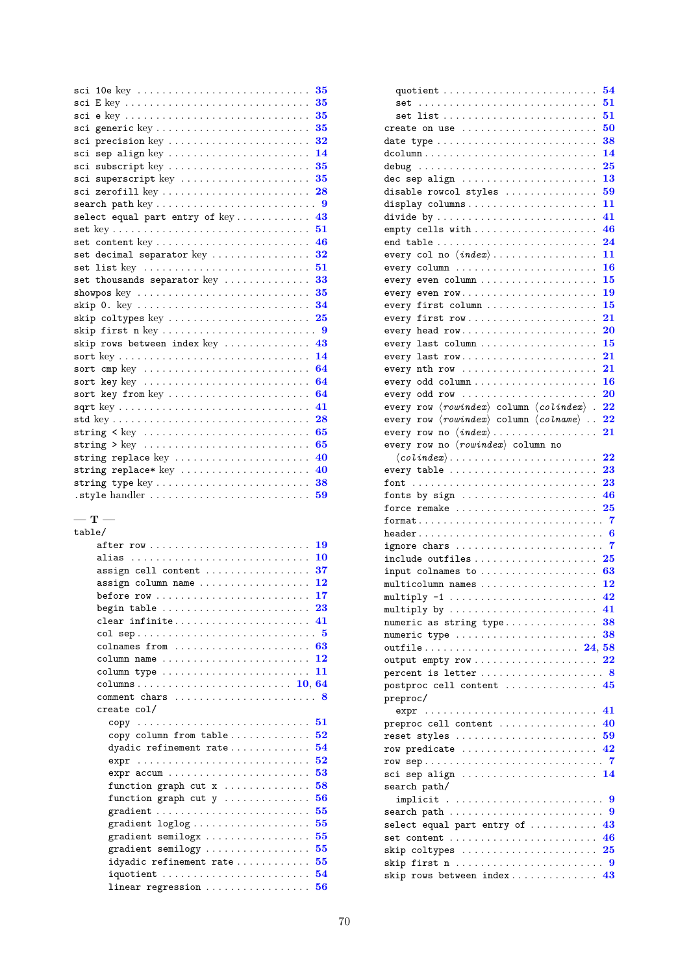| sci                                                                         | 35        |
|-----------------------------------------------------------------------------|-----------|
| sci                                                                         | 35        |
| sci                                                                         | 35        |
| sci                                                                         | 35        |
| precision key<br>sci                                                        | 32        |
| sep align key<br>sci                                                        | 14        |
| subscript key<br>sci                                                        | 35        |
| superscript key<br>sci                                                      | 35        |
| sci zerofill key                                                            | 28        |
|                                                                             |           |
| select equal part entry of key                                              | 43        |
|                                                                             | 51        |
|                                                                             | 46        |
| set decimal separator key                                                   | 32        |
| set list key                                                                | 51        |
| set thousands separator key                                                 | 33        |
| showpos key                                                                 | 35        |
|                                                                             | 34        |
| skip coltypes key                                                           | 25        |
| skip first n key                                                            | $\cdot$ 9 |
| skip rows between index $key$                                               | 43        |
|                                                                             | 14        |
| sort cmp key $\dots\dots\dots\dots\dots\dots\dots\dots\dots\dots\dots\dots$ | 64        |
| sort key key                                                                | 64        |
| sort key from key                                                           | 64        |
|                                                                             | 41        |
|                                                                             | 28        |
|                                                                             | 65        |
|                                                                             | 65        |
| string replace $key$                                                        | 40        |
| string replace* $key$                                                       | 40        |
| string type key                                                             | 38        |
| .style handler                                                              | 59        |
|                                                                             |           |

#### **— T —**

| 19                                                                       |  |
|--------------------------------------------------------------------------|--|
| 10<br>alias                                                              |  |
| 37<br>$assign cell content     $                                         |  |
| 12<br>$\texttt{assign column name} \dots \dots \dots \dots \dots \dots$  |  |
| 17<br>before $row \dots \dots \dots \dots \dots \dots \dots \dots \dots$ |  |
| 23<br>begin table                                                        |  |
| 41<br>clear infinite                                                     |  |
|                                                                          |  |
| colnames from $\ldots \ldots \ldots \ldots \ldots \ldots \ldots 63$      |  |
| 12<br>column name                                                        |  |
| 11                                                                       |  |
|                                                                          |  |
| comment chars  8                                                         |  |
| create col/                                                              |  |
|                                                                          |  |
| 52<br>copy column from table                                             |  |
| 54<br>dyadic refinement rate                                             |  |
| 52<br>$expr$                                                             |  |
| 53                                                                       |  |
| 58<br>function graph cut $x$                                             |  |
| 56<br>function graph cut $y$                                             |  |
| 55                                                                       |  |
| 55                                                                       |  |
| 55<br>gradient semilogx                                                  |  |
| 55<br>gradient semilogy $\ldots$                                         |  |
| 55<br>idyadic refinement rate                                            |  |
| 54<br>$iquotient$                                                        |  |
| 56                                                                       |  |
|                                                                          |  |

|                                                                                                                  | 54  |
|------------------------------------------------------------------------------------------------------------------|-----|
| set                                                                                                              | 51  |
| set list                                                                                                         | 51  |
| create on use                                                                                                    | 50  |
|                                                                                                                  | 38  |
| $d$ column                                                                                                       | 14  |
|                                                                                                                  | 25  |
| dec sep align                                                                                                    | 13  |
| disable rowcol styles                                                                                            | 59  |
| display columns                                                                                                  | 11  |
| divide by                                                                                                        | 41  |
|                                                                                                                  | 46  |
| end table                                                                                                        | 24  |
| every col no $\langle \text{index} \rangle$                                                                      | 11  |
| every column                                                                                                     | 16  |
| every even column                                                                                                | 15  |
| every even row                                                                                                   | 19  |
| every first column                                                                                               | 15  |
| every first $row \dots \dots \dots \dots \dots \dots \dots$                                                      | 21  |
| every head row                                                                                                   | 20  |
| every last column                                                                                                | 15  |
| every last row                                                                                                   | 21  |
| every $nth$ row $\ldots \ldots \ldots \ldots \ldots \ldots$                                                      | 21  |
|                                                                                                                  | 16  |
| every odd row                                                                                                    | 20  |
| every row $\langle \textit{rowindex} \rangle$ column $\langle \textit{colindex} \rangle$<br>$\ddot{\phantom{a}}$ | 22  |
| $\langle \textit{rowindex} \rangle$ column $\langle \textit{column} \rangle$ .<br>every row                      | 22  |
| every row no $\langle \textit{index} \rangle$                                                                    | 21  |
| every row no (rowindex) column no                                                                                |     |
| $\langle colindex \rangle$                                                                                       | 22  |
| every table                                                                                                      | 23  |
|                                                                                                                  | 23  |
|                                                                                                                  |     |
|                                                                                                                  |     |
| fonts by sign                                                                                                    | 46  |
| force remake                                                                                                     | 25  |
|                                                                                                                  | - 6 |
| header                                                                                                           |     |
| ignore chars                                                                                                     |     |
| include outfiles                                                                                                 | 25  |
| input colnames to                                                                                                | 63  |
| multicolumn names                                                                                                | 12  |
| multiply $-1$                                                                                                    | 42  |
| multiply by $41$                                                                                                 |     |
| numeric as string type $38$                                                                                      |     |
| numeric type                                                                                                     | 38  |
|                                                                                                                  |     |
| output empty row                                                                                                 | 22  |
| percent is letter  8                                                                                             |     |
| postproc cell content $\ldots \ldots \ldots \ldots 45$                                                           |     |
| preproc/                                                                                                         |     |
| $expr \dots \dots \dots \dots \dots \dots \dots \dots \dots \dots \dots$                                         | 41  |
| preproc cell content                                                                                             | 40  |
| reset styles                                                                                                     | 59  |
| row predicate                                                                                                    | 42  |
|                                                                                                                  |     |
| sci sep align $14$                                                                                               |     |
| search path/                                                                                                     |     |
|                                                                                                                  |     |
|                                                                                                                  |     |
| select equal part entry of $\ldots \ldots \ldots$ 43                                                             |     |
| set content                                                                                                      | 46  |
| skip coltypes $\ldots \ldots \ldots \ldots \ldots \ldots \ldots 25$                                              |     |
| skip rows between index $43$                                                                                     |     |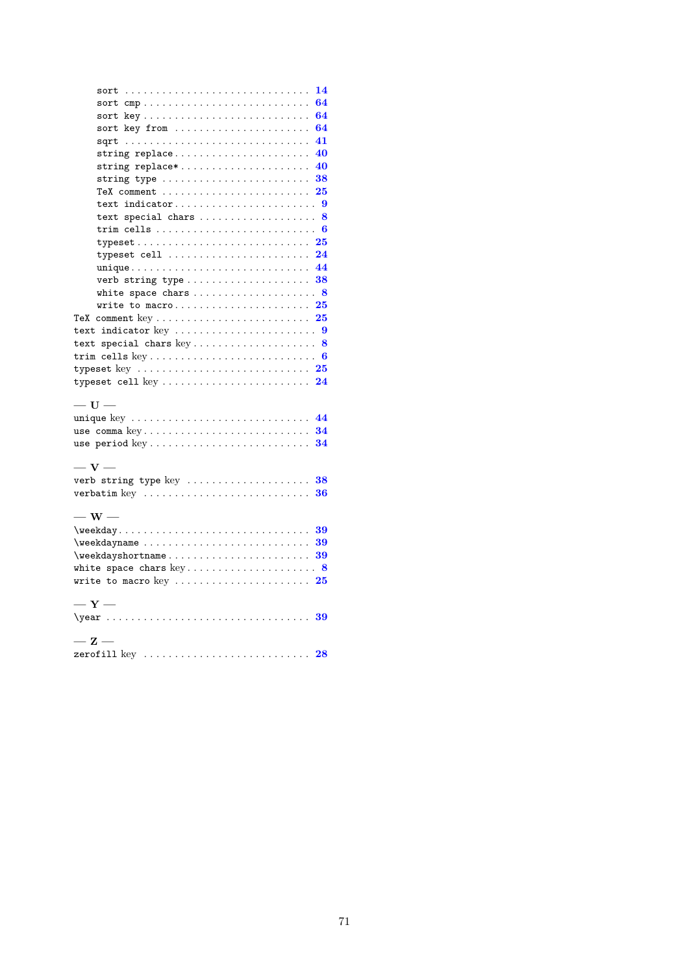|                                                                                   | 14  |
|-----------------------------------------------------------------------------------|-----|
| sort cmp                                                                          | 64  |
| sort key                                                                          | 64  |
| sort key from                                                                     | 64  |
|                                                                                   | 41  |
| string replace                                                                    | 40  |
| string replace*                                                                   | 40  |
| string type $\ldots \ldots \ldots \ldots \ldots \ldots \ldots \ldots$             | 38  |
| TeX comment $\ldots \ldots \ldots \ldots \ldots \ldots \ldots$                    | 25  |
| text indicator                                                                    | - 9 |
| text special chars $8$                                                            |     |
|                                                                                   |     |
| typeset                                                                           | 25  |
| typeset cell $\dots\dots\dots\dots\dots\dots\dots\dots\dots$                      | 24  |
| unique 44                                                                         |     |
| verb string type                                                                  | 38  |
|                                                                                   |     |
| write to macro                                                                    | 25  |
| TeX comment $key \ldots \ldots \ldots \ldots \ldots \ldots \ldots$                | 25  |
|                                                                                   |     |
| text special chars $key \ldots \ldots \ldots \ldots \ldots 8$                     |     |
|                                                                                   |     |
| typeset key $\ldots \ldots \ldots \ldots \ldots \ldots \ldots \ldots \ldots 25$   |     |
| typeset cell key $24$                                                             |     |
|                                                                                   |     |
| $-$ U $-$                                                                         |     |
| unique key  44                                                                    |     |
| use comma $key \ldots \ldots \ldots \ldots \ldots \ldots \ldots \ldots \ldots 34$ |     |
| use period key                                                                    | 34  |
| $-$ V $-$                                                                         |     |
| verb string type key  38                                                          |     |
| verbatim key $\ldots \ldots \ldots \ldots \ldots \ldots \ldots \ldots \ldots 36$  |     |
|                                                                                   |     |
| $-$ W $-$                                                                         |     |
| \weekday                                                                          | 39  |
| \weekdayname                                                                      | 39  |
| \weekdayshortname                                                                 | 39  |
| white space chars $key \ldots \ldots \ldots \ldots \ldots \ldots 8$               |     |
| write to macro key                                                                | 25  |
|                                                                                   |     |
| $-Y-$                                                                             |     |
|                                                                                   |     |
|                                                                                   |     |
| $-\mathbf{z}-$                                                                    |     |
| zerofill key $\ldots \ldots \ldots \ldots \ldots \ldots \ldots \ldots 28$         |     |